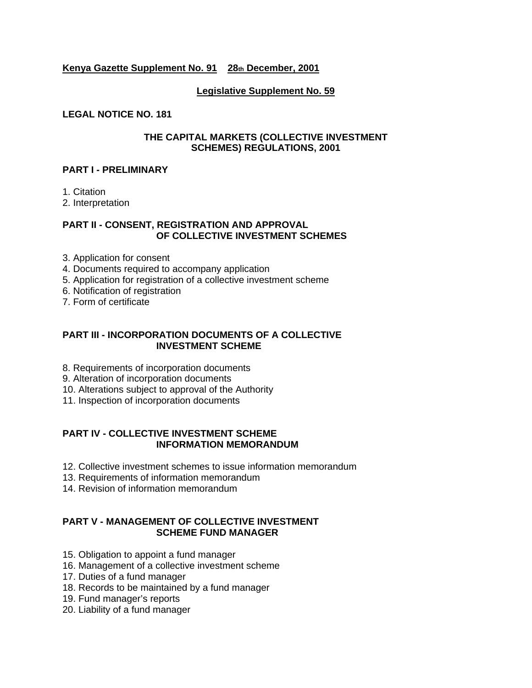### **Kenya Gazette Supplement No. 91 28th December, 2001**

### **Legislative Supplement No. 59**

#### **LEGAL NOTICE NO. 181**

#### **THE CAPITAL MARKETS (COLLECTIVE INVESTMENT SCHEMES) REGULATIONS, 2001**

#### **PART I - PRELIMINARY**

1. Citation

2. Interpretation

## **PART II - CONSENT, REGISTRATION AND APPROVAL OF COLLECTIVE INVESTMENT SCHEMES**

- 3. Application for consent
- 4. Documents required to accompany application
- 5. Application for registration of a collective investment scheme
- 6. Notification of registration
- 7. Form of certificate

### **PART III - INCORPORATION DOCUMENTS OF A COLLECTIVE INVESTMENT SCHEME**

- 8. Requirements of incorporation documents
- 9. Alteration of incorporation documents
- 10. Alterations subject to approval of the Authority
- 11. Inspection of incorporation documents

### **PART IV - COLLECTIVE INVESTMENT SCHEME INFORMATION MEMORANDUM**

- 12. Collective investment schemes to issue information memorandum
- 13. Requirements of information memorandum
- 14. Revision of information memorandum

## **PART V - MANAGEMENT OF COLLECTIVE INVESTMENT SCHEME FUND MANAGER**

- 15. Obligation to appoint a fund manager
- 16. Management of a collective investment scheme
- 17. Duties of a fund manager
- 18. Records to be maintained by a fund manager
- 19. Fund manager's reports
- 20. Liability of a fund manager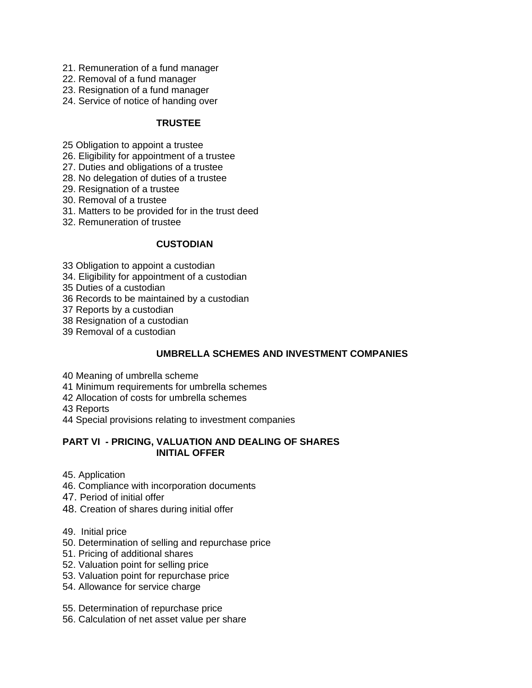- 21. Remuneration of a fund manager
- 22. Removal of a fund manager
- 23. Resignation of a fund manager
- 24. Service of notice of handing over

### **TRUSTEE**

- 25 Obligation to appoint a trustee
- 26. Eligibility for appointment of a trustee
- 27. Duties and obligations of a trustee
- 28. No delegation of duties of a trustee
- 29. Resignation of a trustee
- 30. Removal of a trustee
- 31. Matters to be provided for in the trust deed
- 32. Remuneration of trustee

## **CUSTODIAN**

- 33 Obligation to appoint a custodian
- 34. Eligibility for appointment of a custodian
- 35 Duties of a custodian
- 36 Records to be maintained by a custodian
- 37 Reports by a custodian
- 38 Resignation of a custodian
- 39 Removal of a custodian

## **UMBRELLA SCHEMES AND INVESTMENT COMPANIES**

- 40 Meaning of umbrella scheme
- 41 Minimum requirements for umbrella schemes
- 42 Allocation of costs for umbrella schemes
- 43 Reports
- 44 Special provisions relating to investment companies

### **PART VI - PRICING, VALUATION AND DEALING OF SHARES INITIAL OFFER**

- 45. Application
- 46. Compliance with incorporation documents
- 47. Period of initial offer
- 48. Creation of shares during initial offer
- 49. Initial price
- 50. Determination of selling and repurchase price
- 51. Pricing of additional shares
- 52. Valuation point for selling price
- 53. Valuation point for repurchase price
- 54. Allowance for service charge
- 55. Determination of repurchase price
- 56. Calculation of net asset value per share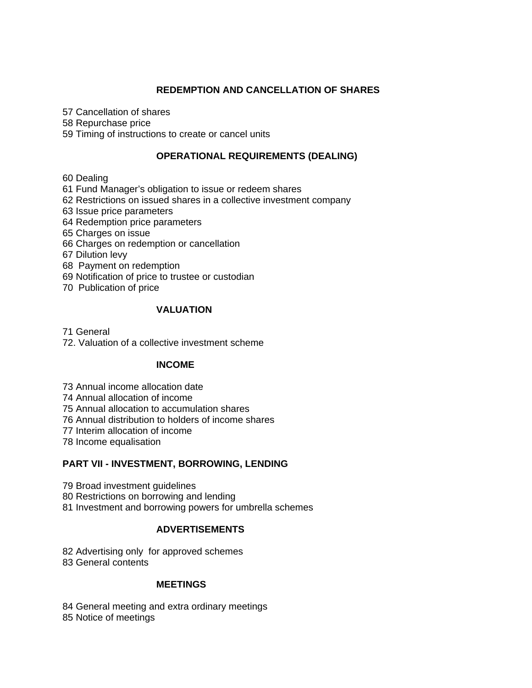## **REDEMPTION AND CANCELLATION OF SHARES**

57 Cancellation of shares

58 Repurchase price

59 Timing of instructions to create or cancel units

## **OPERATIONAL REQUIREMENTS (DEALING)**

60 Dealing

61 Fund Manager's obligation to issue or redeem shares

62 Restrictions on issued shares in a collective investment company

63 Issue price parameters

- 64 Redemption price parameters
- 65 Charges on issue
- 66 Charges on redemption or cancellation
- 67 Dilution levy
- 68 Payment on redemption
- 69 Notification of price to trustee or custodian
- 70 Publication of price

## **VALUATION**

71 General

72. Valuation of a collective investment scheme

# **INCOME**

73 Annual income allocation date

74 Annual allocation of income

75 Annual allocation to accumulation shares

76 Annual distribution to holders of income shares

77 Interim allocation of income

78 Income equalisation

## **PART VII - INVESTMENT, BORROWING, LENDING**

79 Broad investment guidelines

80 Restrictions on borrowing and lending

81 Investment and borrowing powers for umbrella schemes

## **ADVERTISEMENTS**

82 Advertising only for approved schemes 83 General contents

## **MEETINGS**

84 General meeting and extra ordinary meetings 85 Notice of meetings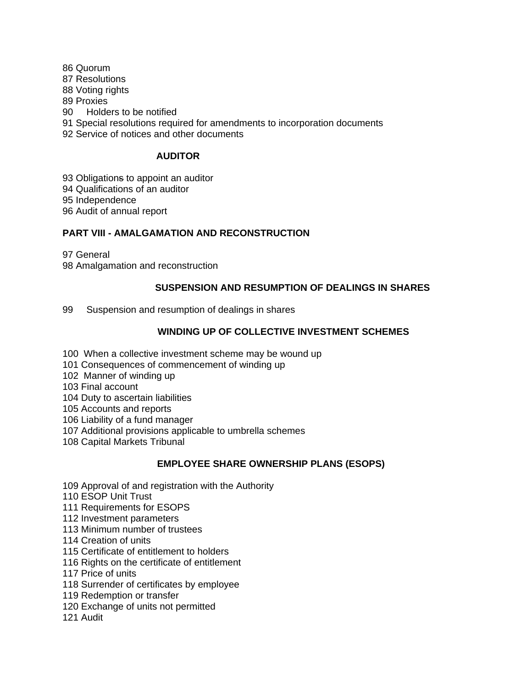86 Quorum 87 Resolutions 88 Voting rights 89 Proxies 90 Holders to be notified 91 Special resolutions required for amendments to incorporation documents 92 Service of notices and other documents

## **AUDITOR**

93 Obligations to appoint an auditor 94 Qualifications of an auditor 95 Independence 96 Audit of annual report

## **PART VIII - AMALGAMATION AND RECONSTRUCTION**

97 General 98 Amalgamation and reconstruction

## **SUSPENSION AND RESUMPTION OF DEALINGS IN SHARES**

99 Suspension and resumption of dealings in shares

## **WINDING UP OF COLLECTIVE INVESTMENT SCHEMES**

- 100 When a collective investment scheme may be wound up
- 101 Consequences of commencement of winding up
- 102 Manner of winding up

103 Final account

104 Duty to ascertain liabilities

105 Accounts and reports

- 106 Liability of a fund manager
- 107 Additional provisions applicable to umbrella schemes
- 108 Capital Markets Tribunal

## **EMPLOYEE SHARE OWNERSHIP PLANS (ESOPS)**

- 109 Approval of and registration with the Authority
- 110 ESOP Unit Trust
- 111 Requirements for ESOPS
- 112 Investment parameters
- 113 Minimum number of trustees
- 114 Creation of units
- 115 Certificate of entitlement to holders
- 116 Rights on the certificate of entitlement
- 117 Price of units
- 118 Surrender of certificates by employee
- 119 Redemption or transfer
- 120 Exchange of units not permitted
- 121 Audit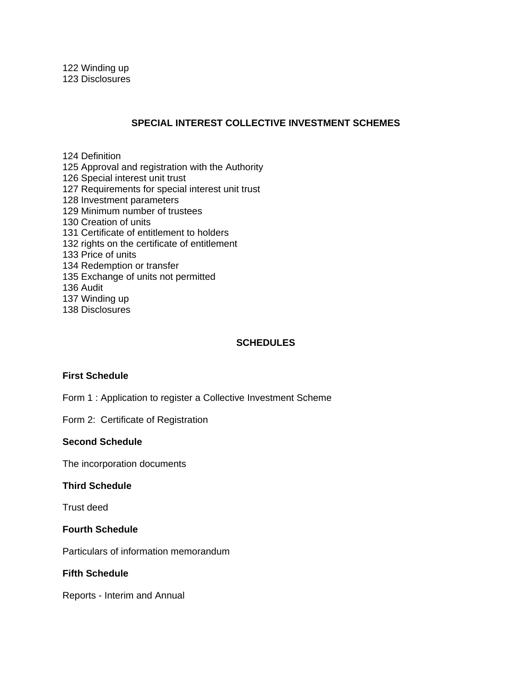### **SPECIAL INTEREST COLLECTIVE INVESTMENT SCHEMES**

124 Definition

125 Approval and registration with the Authority

126 Special interest unit trust

127 Requirements for special interest unit trust

128 Investment parameters

129 Minimum number of trustees

- 130 Creation of units
- 131 Certificate of entitlement to holders
- 132 rights on the certificate of entitlement

133 Price of units

- 134 Redemption or transfer
- 135 Exchange of units not permitted

136 Audit

137 Winding up

138 Disclosures

#### **SCHEDULES**

#### **First Schedule**

Form 1 : Application to register a Collective Investment Scheme

Form 2: Certificate of Registration

#### **Second Schedule**

The incorporation documents

#### **Third Schedule**

Trust deed

#### **Fourth Schedule**

Particulars of information memorandum

## **Fifth Schedule**

Reports - Interim and Annual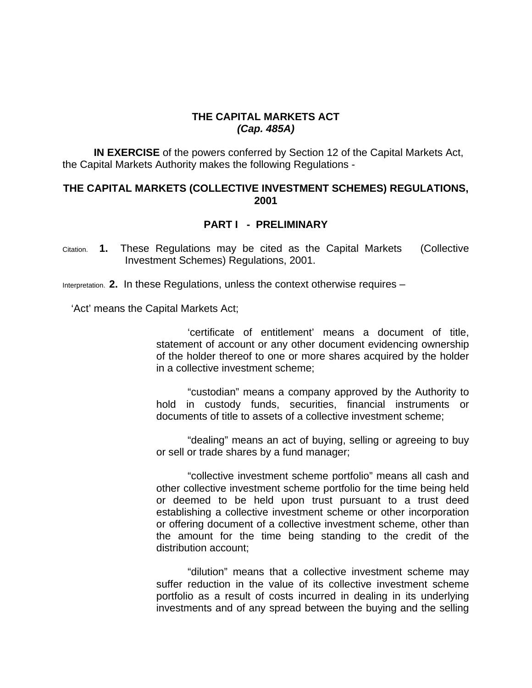# **THE CAPITAL MARKETS ACT**  *(Cap. 485A)*

**IN EXERCISE** of the powers conferred by Section 12 of the Capital Markets Act, the Capital Markets Authority makes the following Regulations -

## **THE CAPITAL MARKETS (COLLECTIVE INVESTMENT SCHEMES) REGULATIONS, 2001**

# **PART I - PRELIMINARY**

Citation. **1.** These Regulations may be cited as the Capital Markets (Collective Investment Schemes) Regulations, 2001.

Interpretation. **2.** In these Regulations, unless the context otherwise requires –

'Act' means the Capital Markets Act;

'certificate of entitlement' means a document of title, statement of account or any other document evidencing ownership of the holder thereof to one or more shares acquired by the holder in a collective investment scheme;

"custodian" means a company approved by the Authority to hold in custody funds, securities, financial instruments or documents of title to assets of a collective investment scheme;

"dealing" means an act of buying, selling or agreeing to buy or sell or trade shares by a fund manager;

"collective investment scheme portfolio" means all cash and other collective investment scheme portfolio for the time being held or deemed to be held upon trust pursuant to a trust deed establishing a collective investment scheme or other incorporation or offering document of a collective investment scheme, other than the amount for the time being standing to the credit of the distribution account;

"dilution" means that a collective investment scheme may suffer reduction in the value of its collective investment scheme portfolio as a result of costs incurred in dealing in its underlying investments and of any spread between the buying and the selling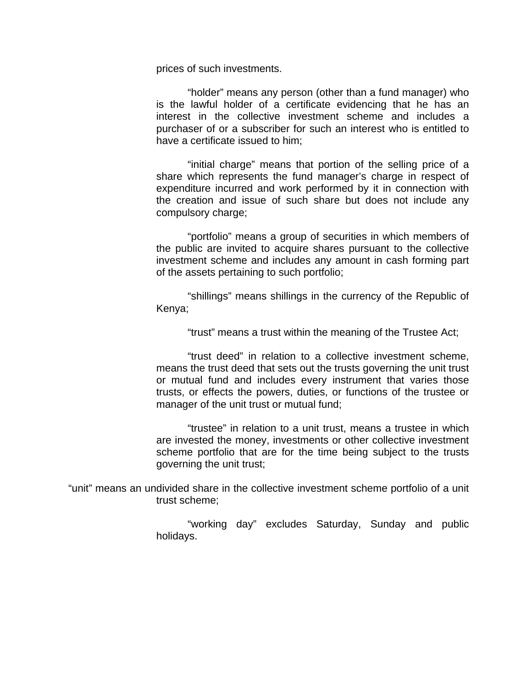prices of such investments.

"holder" means any person (other than a fund manager) who is the lawful holder of a certificate evidencing that he has an interest in the collective investment scheme and includes a purchaser of or a subscriber for such an interest who is entitled to have a certificate issued to him;

"initial charge" means that portion of the selling price of a share which represents the fund manager's charge in respect of expenditure incurred and work performed by it in connection with the creation and issue of such share but does not include any compulsory charge;

"portfolio" means a group of securities in which members of the public are invited to acquire shares pursuant to the collective investment scheme and includes any amount in cash forming part of the assets pertaining to such portfolio;

"shillings" means shillings in the currency of the Republic of Kenya;

"trust" means a trust within the meaning of the Trustee Act;

"trust deed" in relation to a collective investment scheme, means the trust deed that sets out the trusts governing the unit trust or mutual fund and includes every instrument that varies those trusts, or effects the powers, duties, or functions of the trustee or manager of the unit trust or mutual fund;

"trustee" in relation to a unit trust, means a trustee in which are invested the money, investments or other collective investment scheme portfolio that are for the time being subject to the trusts governing the unit trust;

"unit" means an undivided share in the collective investment scheme portfolio of a unit trust scheme;

> "working day" excludes Saturday, Sunday and public holidays.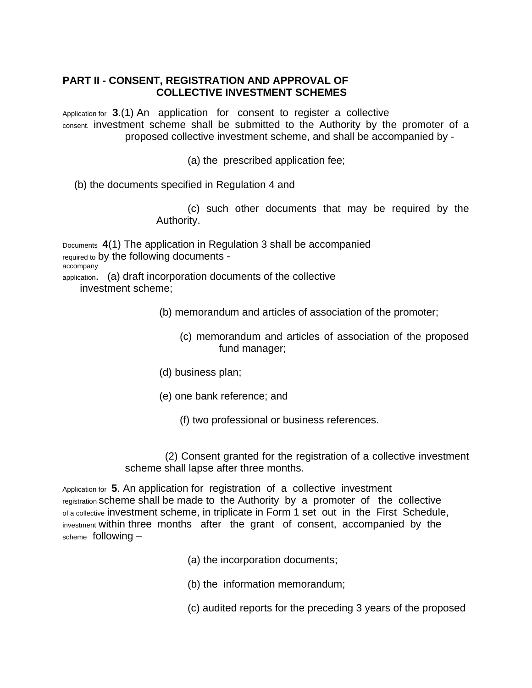# **PART II - CONSENT, REGISTRATION AND APPROVAL OF COLLECTIVE INVESTMENT SCHEMES**

Application for **3**.(1) An application for consent to register a collective consent. investment scheme shall be submitted to the Authority by the promoter of a proposed collective investment scheme, and shall be accompanied by -

(a) the prescribed application fee;

(b) the documents specified in Regulation 4 and

(c) such other documents that may be required by the Authority.

Documents **4**(1) The application in Regulation 3 shall be accompanied required to by the following documents accompany application. (a) draft incorporation documents of the collective investment scheme;

(b) memorandum and articles of association of the promoter;

(c) memorandum and articles of association of the proposed fund manager;

(d) business plan;

(e) one bank reference; and

(f) two professional or business references.

 (2) Consent granted for the registration of a collective investment scheme shall lapse after three months.

Application for **5**. An application for registration of a collective investment registration scheme shall be made to the Authority by a promoter of the collective of a collective investment scheme, in triplicate in Form 1 set out in the First Schedule, investment within three months after the grant of consent, accompanied by the scheme following –

(a) the incorporation documents;

(b) the information memorandum;

(c) audited reports for the preceding 3 years of the proposed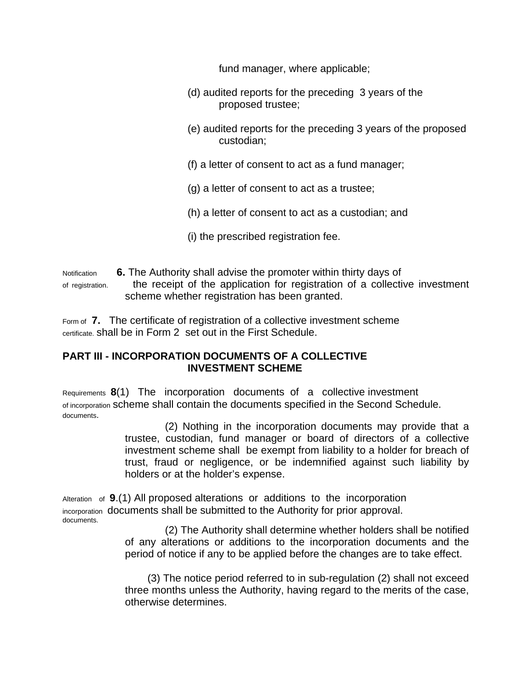fund manager, where applicable;

- (d) audited reports for the preceding 3 years of the proposed trustee;
- (e) audited reports for the preceding 3 years of the proposed custodian;
- (f) a letter of consent to act as a fund manager;
- (g) a letter of consent to act as a trustee;
- (h) a letter of consent to act as a custodian; and
- (i) the prescribed registration fee.

Notification **6.** The Authority shall advise the promoter within thirty days of of registration. the receipt of the application for registration of a collective investment scheme whether registration has been granted.

Form of **7.** The certificate of registration of a collective investment scheme certificate. shall be in Form 2 set out in the First Schedule.

# **PART III - INCORPORATION DOCUMENTS OF A COLLECTIVE INVESTMENT SCHEME**

Requirements **8**(1) The incorporation documents of a collective investment of incorporation scheme shall contain the documents specified in the Second Schedule. documents.

> (2) Nothing in the incorporation documents may provide that a trustee, custodian, fund manager or board of directors of a collective investment scheme shall be exempt from liability to a holder for breach of trust, fraud or negligence, or be indemnified against such liability by holders or at the holder's expense.

Alteration of **9**.(1) All proposed alterations or additions to the incorporation incorporation documents shall be submitted to the Authority for prior approval. documents.

> (2) The Authority shall determine whether holders shall be notified of any alterations or additions to the incorporation documents and the period of notice if any to be applied before the changes are to take effect.

> (3) The notice period referred to in sub-regulation (2) shall not exceed three months unless the Authority, having regard to the merits of the case, otherwise determines.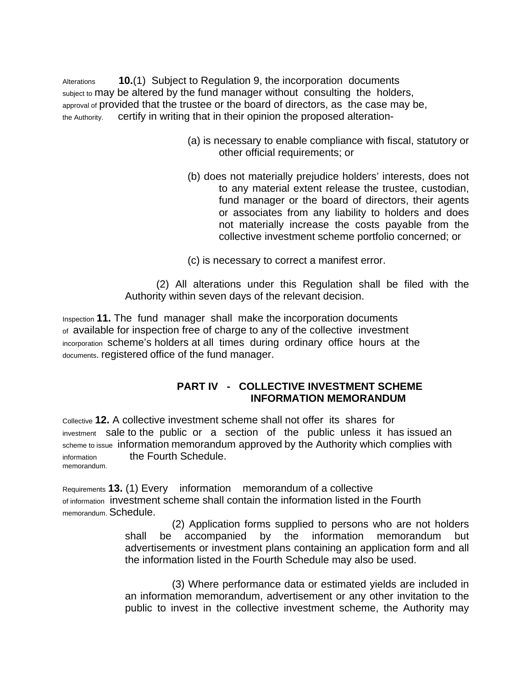Alterations **10.**(1) Subject to Regulation 9, the incorporation documents subject to may be altered by the fund manager without consulting the holders, approval of provided that the trustee or the board of directors, as the case may be, the Authority. certify in writing that in their opinion the proposed alteration-

- (a) is necessary to enable compliance with fiscal, statutory or other official requirements; or
- (b) does not materially prejudice holders' interests, does not to any material extent release the trustee, custodian, fund manager or the board of directors, their agents or associates from any liability to holders and does not materially increase the costs payable from the collective investment scheme portfolio concerned; or
- (c) is necessary to correct a manifest error.

(2) All alterations under this Regulation shall be filed with the Authority within seven days of the relevant decision.

Inspection **11.** The fund manager shall make the incorporation documents of available for inspection free of charge to any of the collective investment incorporation scheme's holders at all times during ordinary office hours at the documents. registered office of the fund manager.

# **PART IV - COLLECTIVE INVESTMENT SCHEME INFORMATION MEMORANDUM**

Collective **12.** A collective investment scheme shall not offer its shares for investment sale to the public or a section of the public unless it has issued an scheme to issue information memorandum approved by the Authority which complies with information the Fourth Schedule. memorandum.

Requirements **13.** (1) Every information memorandum of a collective of information investment scheme shall contain the information listed in the Fourth memorandum. Schedule.

> (2) Application forms supplied to persons who are not holders shall be accompanied by the information memorandum but advertisements or investment plans containing an application form and all the information listed in the Fourth Schedule may also be used.

> (3) Where performance data or estimated yields are included in an information memorandum, advertisement or any other invitation to the public to invest in the collective investment scheme, the Authority may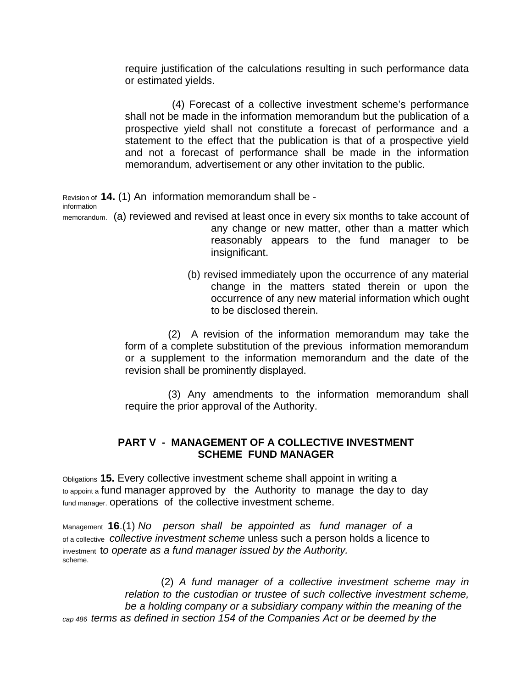require justification of the calculations resulting in such performance data or estimated yields.

(4) Forecast of a collective investment scheme's performance shall not be made in the information memorandum but the publication of a prospective yield shall not constitute a forecast of performance and a statement to the effect that the publication is that of a prospective yield and not a forecast of performance shall be made in the information memorandum, advertisement or any other invitation to the public.

Revision of **14.** (1) An information memorandum shall be information

- memorandum. (a) reviewed and revised at least once in every six months to take account of any change or new matter, other than a matter which reasonably appears to the fund manager to be insignificant.
	- (b) revised immediately upon the occurrence of any material change in the matters stated therein or upon the occurrence of any new material information which ought to be disclosed therein.

 (2) A revision of the information memorandum may take the form of a complete substitution of the previous information memorandum or a supplement to the information memorandum and the date of the revision shall be prominently displayed.

 (3) Any amendments to the information memorandum shall require the prior approval of the Authority.

# **PART V - MANAGEMENT OF A COLLECTIVE INVESTMENT SCHEME FUND MANAGER**

Obligations **15.** Every collective investment scheme shall appoint in writing a to appoint a fund manager approved by the Authority to manage the day to day fund manager. operations of the collective investment scheme.

Management **16**.(1) *No person shall be appointed as fund manager of a*  of a collective *collective investment scheme* unless such a person holds a licence to investment t*o operate as a fund manager issued by the Authority.* scheme.

 (2) *A fund manager of a collective investment scheme may in relation to the custodian or trustee of such collective investment scheme, be a holding company or a subsidiary company within the meaning of the cap 486 terms as defined in section 154 of the Companies Act or be deemed by the*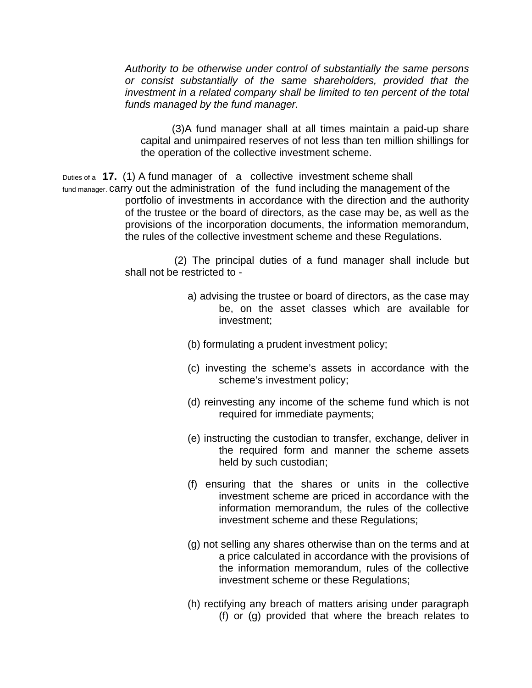*Authority to be otherwise under control of substantially the same persons or consist substantially of the same shareholders, provided that the investment in a related company shall be limited to ten percent of the total funds managed by the fund manager.* 

(3)A fund manager shall at all times maintain a paid-up share capital and unimpaired reserves of not less than ten million shillings for the operation of the collective investment scheme.

Duties of a **17.** (1) A fund manager of a collective investment scheme shall fund manager. carry out the administration of the fund including the management of the portfolio of investments in accordance with the direction and the authority of the trustee or the board of directors, as the case may be, as well as the provisions of the incorporation documents, the information memorandum, the rules of the collective investment scheme and these Regulations.

> (2) The principal duties of a fund manager shall include but shall not be restricted to -

- a) advising the trustee or board of directors, as the case may be, on the asset classes which are available for investment;
- (b) formulating a prudent investment policy;
- (c) investing the scheme's assets in accordance with the scheme's investment policy;
- (d) reinvesting any income of the scheme fund which is not required for immediate payments;
- (e) instructing the custodian to transfer, exchange, deliver in the required form and manner the scheme assets held by such custodian;
- (f) ensuring that the shares or units in the collective investment scheme are priced in accordance with the information memorandum, the rules of the collective investment scheme and these Regulations;
- (g) not selling any shares otherwise than on the terms and at a price calculated in accordance with the provisions of the information memorandum, rules of the collective investment scheme or these Regulations;
- (h) rectifying any breach of matters arising under paragraph (f) or (g) provided that where the breach relates to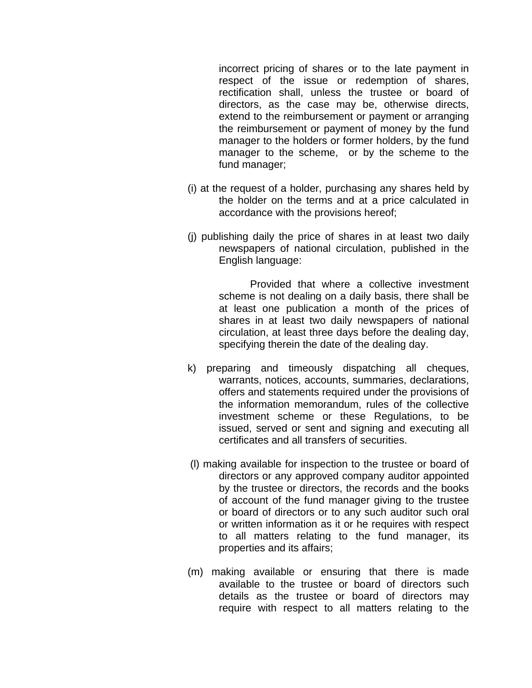incorrect pricing of shares or to the late payment in respect of the issue or redemption of shares, rectification shall, unless the trustee or board of directors, as the case may be, otherwise directs, extend to the reimbursement or payment or arranging the reimbursement or payment of money by the fund manager to the holders or former holders, by the fund manager to the scheme, or by the scheme to the fund manager;

- (i) at the request of a holder, purchasing any shares held by the holder on the terms and at a price calculated in accordance with the provisions hereof;
- (j) publishing daily the price of shares in at least two daily newspapers of national circulation, published in the English language:

Provided that where a collective investment scheme is not dealing on a daily basis, there shall be at least one publication a month of the prices of shares in at least two daily newspapers of national circulation, at least three days before the dealing day, specifying therein the date of the dealing day.

- k) preparing and timeously dispatching all cheques, warrants, notices, accounts, summaries, declarations, offers and statements required under the provisions of the information memorandum, rules of the collective investment scheme or these Regulations, to be issued, served or sent and signing and executing all certificates and all transfers of securities.
- (l) making available for inspection to the trustee or board of directors or any approved company auditor appointed by the trustee or directors, the records and the books of account of the fund manager giving to the trustee or board of directors or to any such auditor such oral or written information as it or he requires with respect to all matters relating to the fund manager, its properties and its affairs;
- (m) making available or ensuring that there is made available to the trustee or board of directors such details as the trustee or board of directors may require with respect to all matters relating to the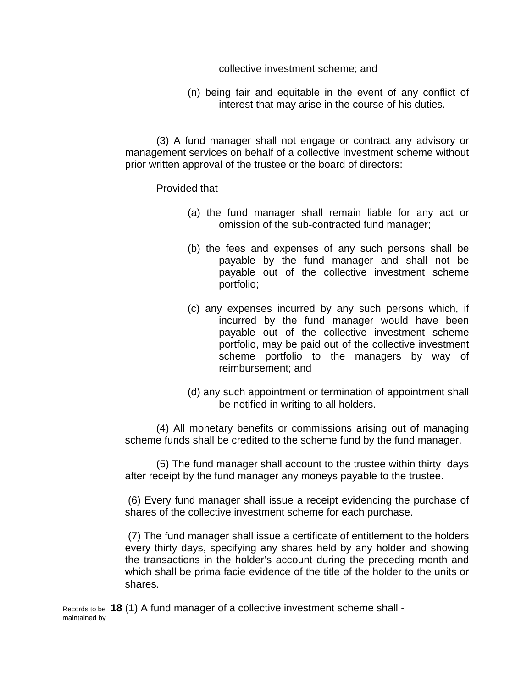collective investment scheme; and

(n) being fair and equitable in the event of any conflict of interest that may arise in the course of his duties.

(3) A fund manager shall not engage or contract any advisory or management services on behalf of a collective investment scheme without prior written approval of the trustee or the board of directors:

## Provided that -

- (a) the fund manager shall remain liable for any act or omission of the sub-contracted fund manager;
- (b) the fees and expenses of any such persons shall be payable by the fund manager and shall not be payable out of the collective investment scheme portfolio;
- (c) any expenses incurred by any such persons which, if incurred by the fund manager would have been payable out of the collective investment scheme portfolio, may be paid out of the collective investment scheme portfolio to the managers by way of reimbursement; and
- (d) any such appointment or termination of appointment shall be notified in writing to all holders.

(4) All monetary benefits or commissions arising out of managing scheme funds shall be credited to the scheme fund by the fund manager.

(5) The fund manager shall account to the trustee within thirty days after receipt by the fund manager any moneys payable to the trustee.

 (6) Every fund manager shall issue a receipt evidencing the purchase of shares of the collective investment scheme for each purchase.

 (7) The fund manager shall issue a certificate of entitlement to the holders every thirty days, specifying any shares held by any holder and showing the transactions in the holder's account during the preceding month and which shall be prima facie evidence of the title of the holder to the units or shares.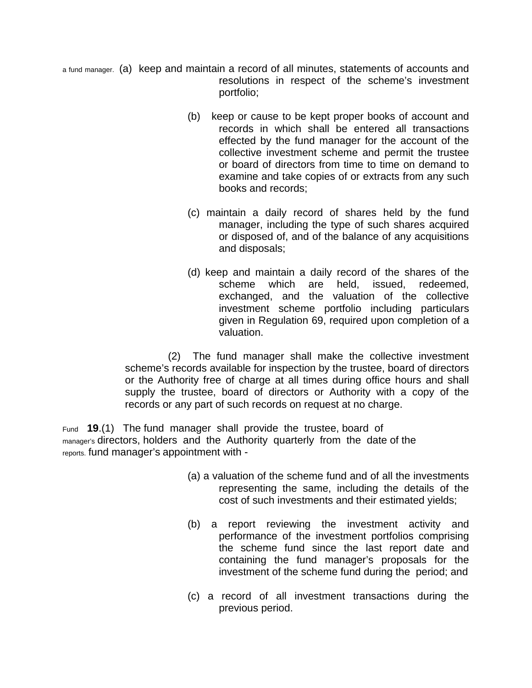- a fund manager. (a) keep and maintain a record of all minutes, statements of accounts and resolutions in respect of the scheme's investment portfolio;
	- (b) keep or cause to be kept proper books of account and records in which shall be entered all transactions effected by the fund manager for the account of the collective investment scheme and permit the trustee or board of directors from time to time on demand to examine and take copies of or extracts from any such books and records;
	- (c) maintain a daily record of shares held by the fund manager, including the type of such shares acquired or disposed of, and of the balance of any acquisitions and disposals;
	- (d) keep and maintain a daily record of the shares of the scheme which are held, issued, redeemed, exchanged, and the valuation of the collective investment scheme portfolio including particulars given in Regulation 69, required upon completion of a valuation.

 (2) The fund manager shall make the collective investment scheme's records available for inspection by the trustee, board of directors or the Authority free of charge at all times during office hours and shall supply the trustee, board of directors or Authority with a copy of the records or any part of such records on request at no charge.

Fund **19**.(1) The fund manager shall provide the trustee, board of manager's directors, holders and the Authority quarterly from the date of the reports. fund manager's appointment with -

- (a) a valuation of the scheme fund and of all the investments representing the same, including the details of the cost of such investments and their estimated yields;
- (b) a report reviewing the investment activity and performance of the investment portfolios comprising the scheme fund since the last report date and containing the fund manager's proposals for the investment of the scheme fund during the period; and
- (c) a record of all investment transactions during the previous period.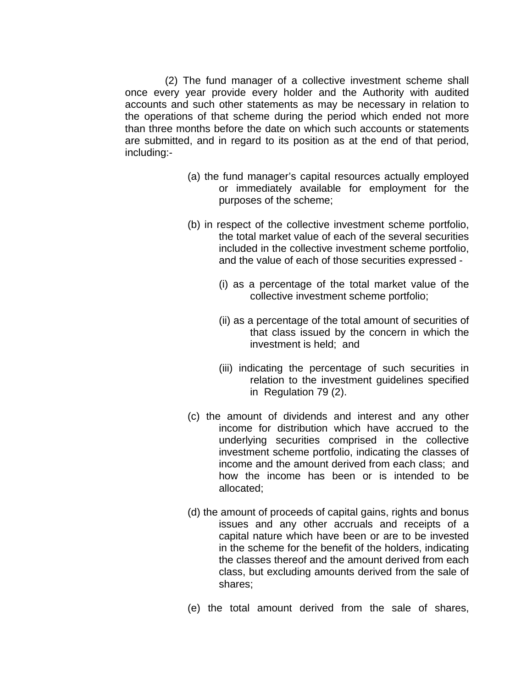(2) The fund manager of a collective investment scheme shall once every year provide every holder and the Authority with audited accounts and such other statements as may be necessary in relation to the operations of that scheme during the period which ended not more than three months before the date on which such accounts or statements are submitted, and in regard to its position as at the end of that period, including:-

- (a) the fund manager's capital resources actually employed or immediately available for employment for the purposes of the scheme;
- (b) in respect of the collective investment scheme portfolio, the total market value of each of the several securities included in the collective investment scheme portfolio, and the value of each of those securities expressed -
	- (i) as a percentage of the total market value of the collective investment scheme portfolio;
	- (ii) as a percentage of the total amount of securities of that class issued by the concern in which the investment is held; and
	- (iii) indicating the percentage of such securities in relation to the investment guidelines specified in Regulation 79 (2).
- (c) the amount of dividends and interest and any other income for distribution which have accrued to the underlying securities comprised in the collective investment scheme portfolio, indicating the classes of income and the amount derived from each class; and how the income has been or is intended to be allocated;
- (d) the amount of proceeds of capital gains, rights and bonus issues and any other accruals and receipts of a capital nature which have been or are to be invested in the scheme for the benefit of the holders, indicating the classes thereof and the amount derived from each class, but excluding amounts derived from the sale of shares;
- (e) the total amount derived from the sale of shares,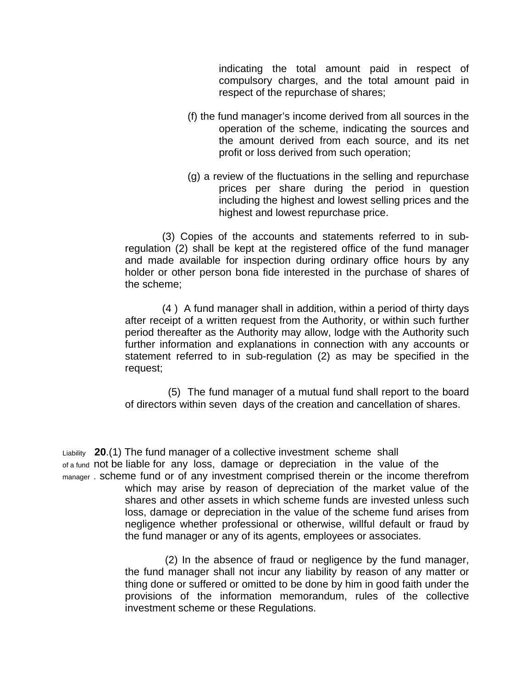indicating the total amount paid in respect of compulsory charges, and the total amount paid in respect of the repurchase of shares;

- (f) the fund manager's income derived from all sources in the operation of the scheme, indicating the sources and the amount derived from each source, and its net profit or loss derived from such operation;
- (g) a review of the fluctuations in the selling and repurchase prices per share during the period in question including the highest and lowest selling prices and the highest and lowest repurchase price.

 (3) Copies of the accounts and statements referred to in subregulation (2) shall be kept at the registered office of the fund manager and made available for inspection during ordinary office hours by any holder or other person bona fide interested in the purchase of shares of the scheme;

 (4 ) A fund manager shall in addition, within a period of thirty days after receipt of a written request from the Authority, or within such further period thereafter as the Authority may allow, lodge with the Authority such further information and explanations in connection with any accounts or statement referred to in sub-regulation (2) as may be specified in the request;

 (5) The fund manager of a mutual fund shall report to the board of directors within seven days of the creation and cancellation of shares.

Liability **20**.(1) The fund manager of a collective investment scheme shall of a fund not be liable for any loss, damage or depreciation in the value of the manager . scheme fund or of any investment comprised therein or the income therefrom which may arise by reason of depreciation of the market value of the shares and other assets in which scheme funds are invested unless such loss, damage or depreciation in the value of the scheme fund arises from negligence whether professional or otherwise, willful default or fraud by the fund manager or any of its agents, employees or associates.

> (2) In the absence of fraud or negligence by the fund manager, the fund manager shall not incur any liability by reason of any matter or thing done or suffered or omitted to be done by him in good faith under the provisions of the information memorandum, rules of the collective investment scheme or these Regulations.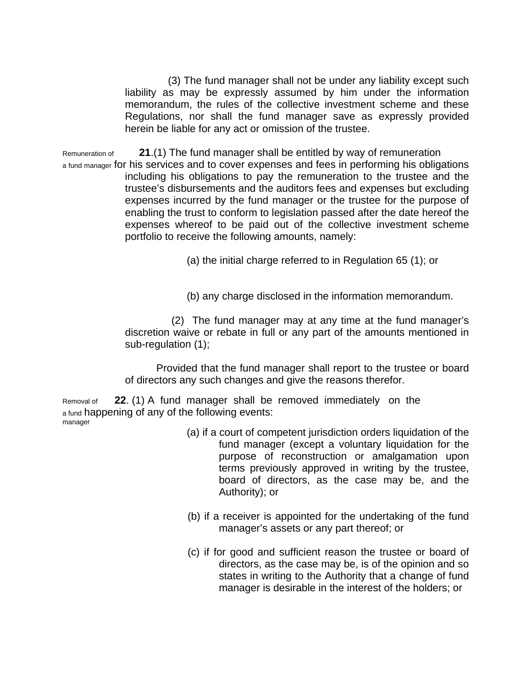(3) The fund manager shall not be under any liability except such liability as may be expressly assumed by him under the information memorandum, the rules of the collective investment scheme and these Regulations, nor shall the fund manager save as expressly provided herein be liable for any act or omission of the trustee.

Remuneration of **21**.(1) The fund manager shall be entitled by way of remuneration a fund manager for his services and to cover expenses and fees in performing his obligations including his obligations to pay the remuneration to the trustee and the trustee's disbursements and the auditors fees and expenses but excluding expenses incurred by the fund manager or the trustee for the purpose of enabling the trust to conform to legislation passed after the date hereof the expenses whereof to be paid out of the collective investment scheme portfolio to receive the following amounts, namely:

(a) the initial charge referred to in Regulation 65 (1); or

(b) any charge disclosed in the information memorandum.

 (2) The fund manager may at any time at the fund manager's discretion waive or rebate in full or any part of the amounts mentioned in sub-regulation (1);

Provided that the fund manager shall report to the trustee or board of directors any such changes and give the reasons therefor.

Removal of **22**. (1) A fund manager shall be removed immediately on the a fund happening of any of the following events: manager

- (a) if a court of competent jurisdiction orders liquidation of the fund manager (except a voluntary liquidation for the purpose of reconstruction or amalgamation upon terms previously approved in writing by the trustee, board of directors, as the case may be, and the Authority); or
- (b) if a receiver is appointed for the undertaking of the fund manager's assets or any part thereof; or
- (c) if for good and sufficient reason the trustee or board of directors, as the case may be, is of the opinion and so states in writing to the Authority that a change of fund manager is desirable in the interest of the holders; or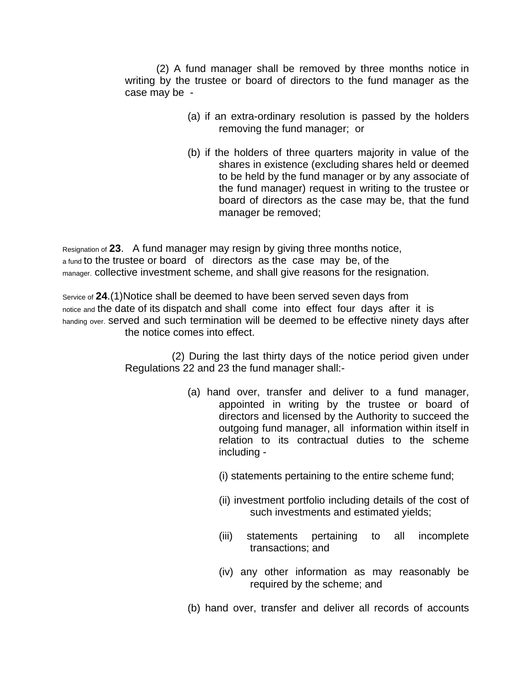(2) A fund manager shall be removed by three months notice in writing by the trustee or board of directors to the fund manager as the case may be -

- (a) if an extra-ordinary resolution is passed by the holders removing the fund manager; or
- (b) if the holders of three quarters majority in value of the shares in existence (excluding shares held or deemed to be held by the fund manager or by any associate of the fund manager) request in writing to the trustee or board of directors as the case may be, that the fund manager be removed;

Resignation of **23**. A fund manager may resign by giving three months notice, a fund to the trustee or board of directors as the case may be, of the manager. collective investment scheme, and shall give reasons for the resignation.

Service of **24**.(1)Notice shall be deemed to have been served seven days from notice and the date of its dispatch and shall come into effect four days after it is handing over. served and such termination will be deemed to be effective ninety days after the notice comes into effect.

> (2) During the last thirty days of the notice period given under Regulations 22 and 23 the fund manager shall:-

- (a) hand over, transfer and deliver to a fund manager, appointed in writing by the trustee or board of directors and licensed by the Authority to succeed the outgoing fund manager, all information within itself in relation to its contractual duties to the scheme including -
	- (i) statements pertaining to the entire scheme fund;
	- (ii) investment portfolio including details of the cost of such investments and estimated yields;
	- (iii) statements pertaining to all incomplete transactions; and
	- (iv) any other information as may reasonably be required by the scheme; and
- (b) hand over, transfer and deliver all records of accounts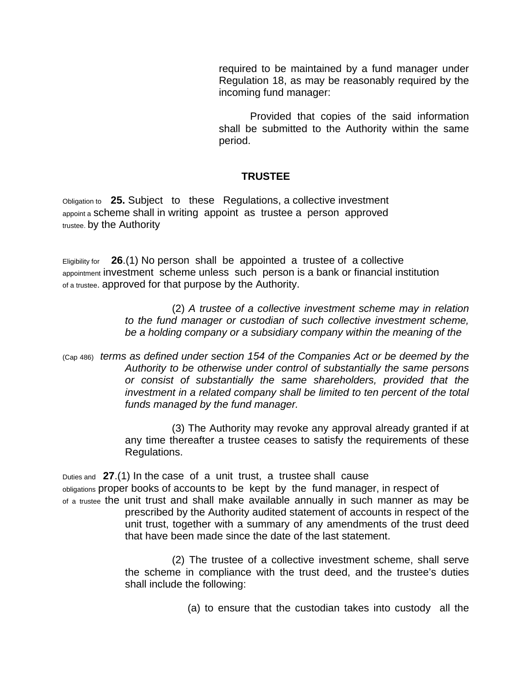required to be maintained by a fund manager under Regulation 18, as may be reasonably required by the incoming fund manager:

Provided that copies of the said information shall be submitted to the Authority within the same period.

# **TRUSTEE**

Obligation to **25.** Subject to these Regulations, a collective investment appoint a scheme shall in writing appoint as trustee a person approved trustee. by the Authority

Eligibility for **26**.(1) No person shall be appointed a trustee of a collective appointment investment scheme unless such person is a bank or financial institution of a trustee. approved for that purpose by the Authority.

> (2) *A trustee of a collective investment scheme may in relation to the fund manager or custodian of such collective investment scheme, be a holding company or a subsidiary company within the meaning of the*

(Cap 486) *terms as defined under section 154 of the Companies Act or be deemed by the Authority to be otherwise under control of substantially the same persons or consist of substantially the same shareholders, provided that the investment in a related company shall be limited to ten percent of the total funds managed by the fund manager.*

> (3) The Authority may revoke any approval already granted if at any time thereafter a trustee ceases to satisfy the requirements of these Regulations.

Duties and **27**.(1) In the case of a unit trust, a trustee shall cause

obligations proper books of accounts to be kept by the fund manager, in respect of of a trustee the unit trust and shall make available annually in such manner as may be

prescribed by the Authority audited statement of accounts in respect of the unit trust, together with a summary of any amendments of the trust deed that have been made since the date of the last statement.

(2) The trustee of a collective investment scheme, shall serve the scheme in compliance with the trust deed, and the trustee's duties shall include the following:

(a) to ensure that the custodian takes into custody all the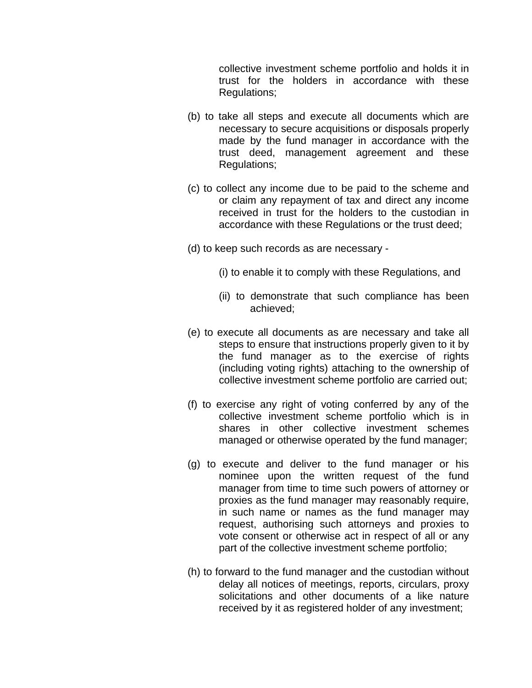collective investment scheme portfolio and holds it in trust for the holders in accordance with these Regulations;

- (b) to take all steps and execute all documents which are necessary to secure acquisitions or disposals properly made by the fund manager in accordance with the trust deed, management agreement and these Regulations;
- (c) to collect any income due to be paid to the scheme and or claim any repayment of tax and direct any income received in trust for the holders to the custodian in accordance with these Regulations or the trust deed;
- (d) to keep such records as are necessary
	- (i) to enable it to comply with these Regulations, and
	- (ii) to demonstrate that such compliance has been achieved;
- (e) to execute all documents as are necessary and take all steps to ensure that instructions properly given to it by the fund manager as to the exercise of rights (including voting rights) attaching to the ownership of collective investment scheme portfolio are carried out;
- (f) to exercise any right of voting conferred by any of the collective investment scheme portfolio which is in shares in other collective investment schemes managed or otherwise operated by the fund manager;
- (g) to execute and deliver to the fund manager or his nominee upon the written request of the fund manager from time to time such powers of attorney or proxies as the fund manager may reasonably require, in such name or names as the fund manager may request, authorising such attorneys and proxies to vote consent or otherwise act in respect of all or any part of the collective investment scheme portfolio;
- (h) to forward to the fund manager and the custodian without delay all notices of meetings, reports, circulars, proxy solicitations and other documents of a like nature received by it as registered holder of any investment;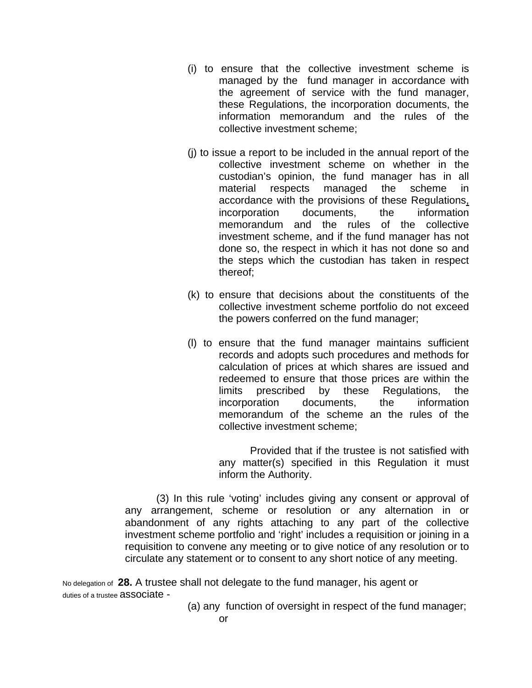- (i) to ensure that the collective investment scheme is managed by the fund manager in accordance with the agreement of service with the fund manager, these Regulations, the incorporation documents, the information memorandum and the rules of the collective investment scheme;
- (j) to issue a report to be included in the annual report of the collective investment scheme on whether in the custodian's opinion, the fund manager has in all material respects managed the scheme in accordance with the provisions of these Regulations, incorporation documents, the information memorandum and the rules of the collective investment scheme, and if the fund manager has not done so, the respect in which it has not done so and the steps which the custodian has taken in respect thereof;
- (k) to ensure that decisions about the constituents of the collective investment scheme portfolio do not exceed the powers conferred on the fund manager;
- (l) to ensure that the fund manager maintains sufficient records and adopts such procedures and methods for calculation of prices at which shares are issued and redeemed to ensure that those prices are within the limits prescribed by these Regulations, the incorporation documents, the information memorandum of the scheme an the rules of the collective investment scheme;

Provided that if the trustee is not satisfied with any matter(s) specified in this Regulation it must inform the Authority.

(3) In this rule 'voting' includes giving any consent or approval of any arrangement, scheme or resolution or any alternation in or abandonment of any rights attaching to any part of the collective investment scheme portfolio and 'right' includes a requisition or joining in a requisition to convene any meeting or to give notice of any resolution or to circulate any statement or to consent to any short notice of any meeting.

No delegation of **28.** A trustee shall not delegate to the fund manager, his agent or duties of a trustee **associate** -

(a) any function of oversight in respect of the fund manager;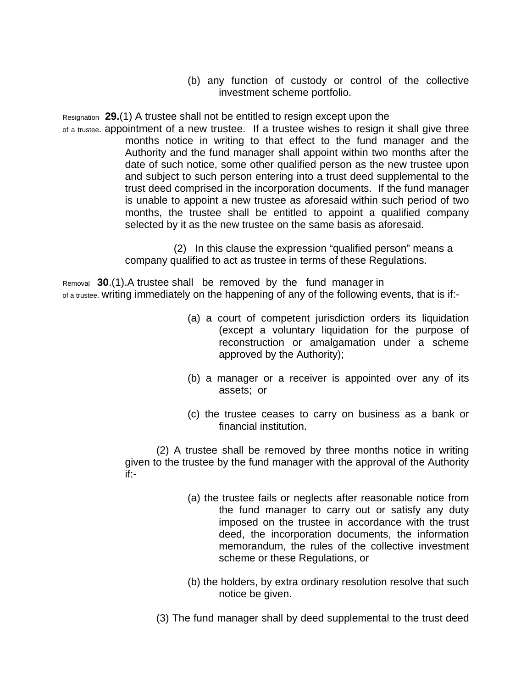(b) any function of custody or control of the collective investment scheme portfolio.

Resignation **29.**(1) A trustee shall not be entitled to resign except upon the

of a trustee. appointment of a new trustee. If a trustee wishes to resign it shall give three months notice in writing to that effect to the fund manager and the Authority and the fund manager shall appoint within two months after the date of such notice, some other qualified person as the new trustee upon and subject to such person entering into a trust deed supplemental to the trust deed comprised in the incorporation documents. If the fund manager is unable to appoint a new trustee as aforesaid within such period of two months, the trustee shall be entitled to appoint a qualified company selected by it as the new trustee on the same basis as aforesaid.

> (2) In this clause the expression "qualified person" means a company qualified to act as trustee in terms of these Regulations.

Removal **30**.(1).A trustee shall be removed by the fund manager in of a trustee. writing immediately on the happening of any of the following events, that is if:-

- (a) a court of competent jurisdiction orders its liquidation (except a voluntary liquidation for the purpose of reconstruction or amalgamation under a scheme approved by the Authority);
- (b) a manager or a receiver is appointed over any of its assets; or
- (c) the trustee ceases to carry on business as a bank or financial institution.

(2) A trustee shall be removed by three months notice in writing given to the trustee by the fund manager with the approval of the Authority if:-

- (a) the trustee fails or neglects after reasonable notice from the fund manager to carry out or satisfy any duty imposed on the trustee in accordance with the trust deed, the incorporation documents, the information memorandum, the rules of the collective investment scheme or these Regulations, or
- (b) the holders, by extra ordinary resolution resolve that such notice be given.
- (3) The fund manager shall by deed supplemental to the trust deed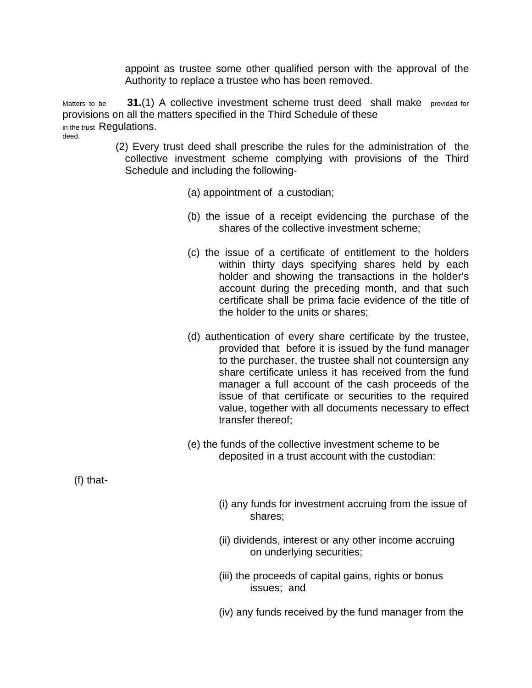appoint as trustee some other qualified person with the approval of the Authority to replace a trustee who has been removed.

Matters to be **31.**(1) A collective investment scheme trust deed shall make provided for provisions on all the matters specified in the Third Schedule of these in the trust Regulations. deed.

- (2) Every trust deed shall prescribe the rules for the administration of the collective investment scheme complying with provisions of the Third Schedule and including the following-
	- (a) appointment of a custodian;
	- (b) the issue of a receipt evidencing the purchase of the shares of the collective investment scheme;
	- (c) the issue of a certificate of entitlement to the holders within thirty days specifying shares held by each holder and showing the transactions in the holder's account during the preceding month, and that such certificate shall be prima facie evidence of the title of the holder to the units or shares;
	- (d) authentication of every share certificate by the trustee, provided that before it is issued by the fund manager to the purchaser, the trustee shall not countersign any share certificate unless it has received from the fund manager a full account of the cash proceeds of the issue of that certificate or securities to the required value, together with all documents necessary to effect transfer thereof;
	- (e) the funds of the collective investment scheme to be deposited in a trust account with the custodian:

(f) that-

- (i) any funds for investment accruing from the issue of shares;
- (ii) dividends, interest or any other income accruing on underlying securities;
- (iii) the proceeds of capital gains, rights or bonus issues; and
- (iv) any funds received by the fund manager from the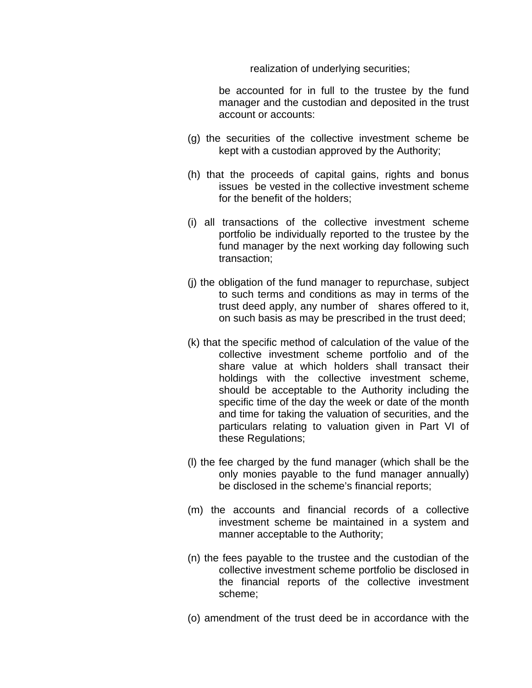realization of underlying securities;

be accounted for in full to the trustee by the fund manager and the custodian and deposited in the trust account or accounts:

- (g) the securities of the collective investment scheme be kept with a custodian approved by the Authority;
- (h) that the proceeds of capital gains, rights and bonus issues be vested in the collective investment scheme for the benefit of the holders;
- (i) all transactions of the collective investment scheme portfolio be individually reported to the trustee by the fund manager by the next working day following such transaction;
- (j) the obligation of the fund manager to repurchase, subject to such terms and conditions as may in terms of the trust deed apply, any number of shares offered to it, on such basis as may be prescribed in the trust deed;
- (k) that the specific method of calculation of the value of the collective investment scheme portfolio and of the share value at which holders shall transact their holdings with the collective investment scheme, should be acceptable to the Authority including the specific time of the day the week or date of the month and time for taking the valuation of securities, and the particulars relating to valuation given in Part VI of these Regulations;
- (l) the fee charged by the fund manager (which shall be the only monies payable to the fund manager annually) be disclosed in the scheme's financial reports;
- (m) the accounts and financial records of a collective investment scheme be maintained in a system and manner acceptable to the Authority;
- (n) the fees payable to the trustee and the custodian of the collective investment scheme portfolio be disclosed in the financial reports of the collective investment scheme;
- (o) amendment of the trust deed be in accordance with the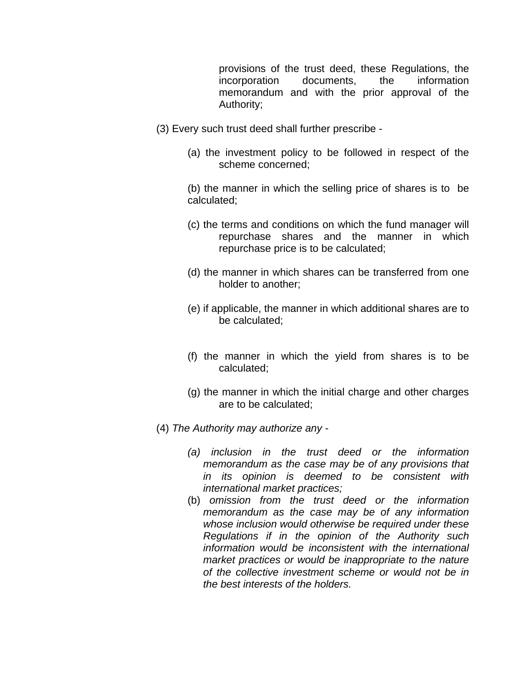provisions of the trust deed, these Regulations, the incorporation documents, the information memorandum and with the prior approval of the Authority;

- (3) Every such trust deed shall further prescribe
	- (a) the investment policy to be followed in respect of the scheme concerned;

(b) the manner in which the selling price of shares is to be calculated;

- (c) the terms and conditions on which the fund manager will repurchase shares and the manner in which repurchase price is to be calculated;
- (d) the manner in which shares can be transferred from one holder to another;
- (e) if applicable, the manner in which additional shares are to be calculated;
- (f) the manner in which the yield from shares is to be calculated;
- (g) the manner in which the initial charge and other charges are to be calculated;
- (4) *The Authority may authorize any* 
	- *(a) inclusion in the trust deed or the information memorandum as the case may be of any provisions that in its opinion is deemed to be consistent with international market practices;*
	- (b) *omission from the trust deed or the information memorandum as the case may be of any information whose inclusion would otherwise be required under these Regulations if in the opinion of the Authority such information would be inconsistent with the international market practices or would be inappropriate to the nature of the collective investment scheme or would not be in the best interests of the holders.*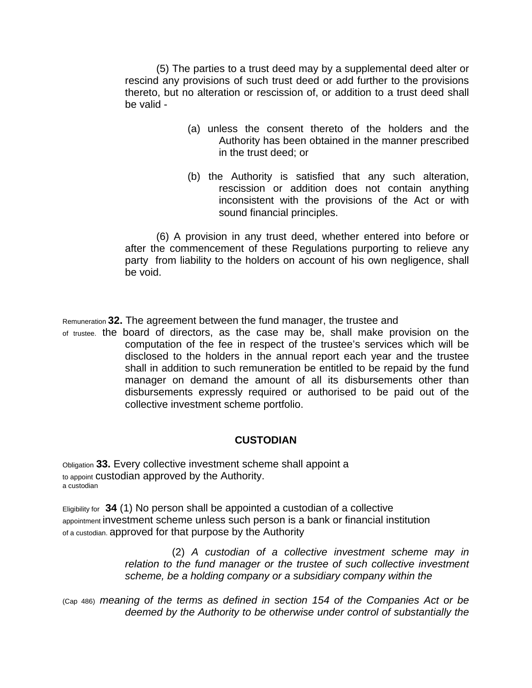(5) The parties to a trust deed may by a supplemental deed alter or rescind any provisions of such trust deed or add further to the provisions thereto, but no alteration or rescission of, or addition to a trust deed shall be valid -

- (a) unless the consent thereto of the holders and the Authority has been obtained in the manner prescribed in the trust deed; or
- (b) the Authority is satisfied that any such alteration, rescission or addition does not contain anything inconsistent with the provisions of the Act or with sound financial principles.

(6) A provision in any trust deed, whether entered into before or after the commencement of these Regulations purporting to relieve any party from liability to the holders on account of his own negligence, shall be void.

Remuneration **32.** The agreement between the fund manager, the trustee and

of trustee. the board of directors, as the case may be, shall make provision on the computation of the fee in respect of the trustee's services which will be disclosed to the holders in the annual report each year and the trustee shall in addition to such remuneration be entitled to be repaid by the fund manager on demand the amount of all its disbursements other than disbursements expressly required or authorised to be paid out of the collective investment scheme portfolio.

# **CUSTODIAN**

Obligation **33.** Every collective investment scheme shall appoint a to appoint custodian approved by the Authority. a custodian

Eligibility for **34** (1) No person shall be appointed a custodian of a collective appointment investment scheme unless such person is a bank or financial institution of a custodian. approved for that purpose by the Authority

> (2) *A custodian of a collective investment scheme may in relation to the fund manager or the trustee of such collective investment scheme, be a holding company or a subsidiary company within the*

(Cap 486) *meaning of the terms as defined in section 154 of the Companies Act or be deemed by the Authority to be otherwise under control of substantially the*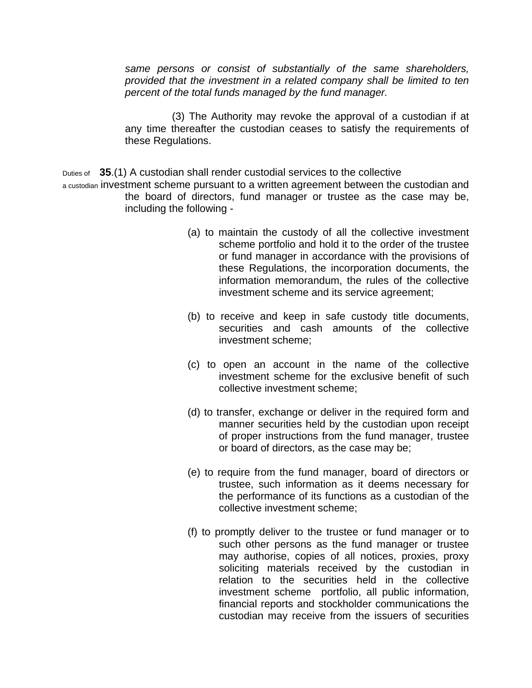*same persons or consist of substantially of the same shareholders, provided that the investment in a related company shall be limited to ten percent of the total funds managed by the fund manager.*

(3) The Authority may revoke the approval of a custodian if at any time thereafter the custodian ceases to satisfy the requirements of these Regulations.

Duties of **35**.(1) A custodian shall render custodial services to the collective

a custodian investment scheme pursuant to a written agreement between the custodian and the board of directors, fund manager or trustee as the case may be, including the following -

- (a) to maintain the custody of all the collective investment scheme portfolio and hold it to the order of the trustee or fund manager in accordance with the provisions of these Regulations, the incorporation documents, the information memorandum, the rules of the collective investment scheme and its service agreement;
- (b) to receive and keep in safe custody title documents, securities and cash amounts of the collective investment scheme;
- (c) to open an account in the name of the collective investment scheme for the exclusive benefit of such collective investment scheme;
- (d) to transfer, exchange or deliver in the required form and manner securities held by the custodian upon receipt of proper instructions from the fund manager, trustee or board of directors, as the case may be;
- (e) to require from the fund manager, board of directors or trustee, such information as it deems necessary for the performance of its functions as a custodian of the collective investment scheme;
- (f) to promptly deliver to the trustee or fund manager or to such other persons as the fund manager or trustee may authorise, copies of all notices, proxies, proxy soliciting materials received by the custodian in relation to the securities held in the collective investment scheme portfolio, all public information, financial reports and stockholder communications the custodian may receive from the issuers of securities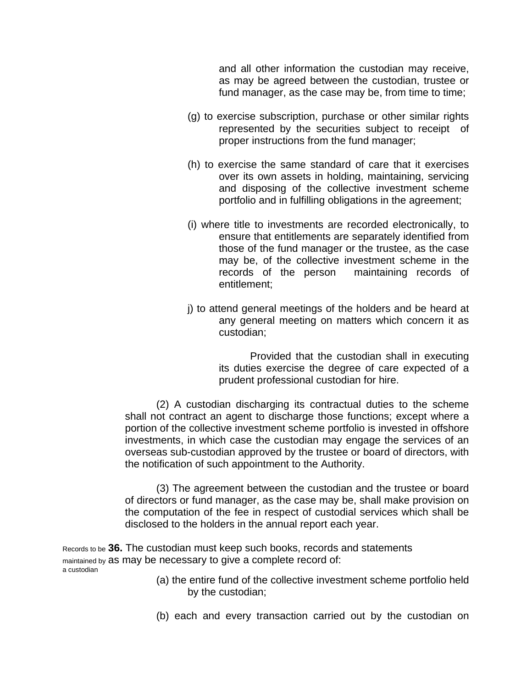and all other information the custodian may receive, as may be agreed between the custodian, trustee or fund manager, as the case may be, from time to time;

- (g) to exercise subscription, purchase or other similar rights represented by the securities subject to receipt of proper instructions from the fund manager;
- (h) to exercise the same standard of care that it exercises over its own assets in holding, maintaining, servicing and disposing of the collective investment scheme portfolio and in fulfilling obligations in the agreement;
- (i) where title to investments are recorded electronically, to ensure that entitlements are separately identified from those of the fund manager or the trustee, as the case may be, of the collective investment scheme in the records of the person maintaining records of entitlement;
- j) to attend general meetings of the holders and be heard at any general meeting on matters which concern it as custodian;

Provided that the custodian shall in executing its duties exercise the degree of care expected of a prudent professional custodian for hire.

(2) A custodian discharging its contractual duties to the scheme shall not contract an agent to discharge those functions; except where a portion of the collective investment scheme portfolio is invested in offshore investments, in which case the custodian may engage the services of an overseas sub-custodian approved by the trustee or board of directors, with the notification of such appointment to the Authority.

(3) The agreement between the custodian and the trustee or board of directors or fund manager, as the case may be, shall make provision on the computation of the fee in respect of custodial services which shall be disclosed to the holders in the annual report each year.

Records to be **36.** The custodian must keep such books, records and statements maintained by as may be necessary to give a complete record of: a custodian

- (a) the entire fund of the collective investment scheme portfolio held by the custodian;
- (b) each and every transaction carried out by the custodian on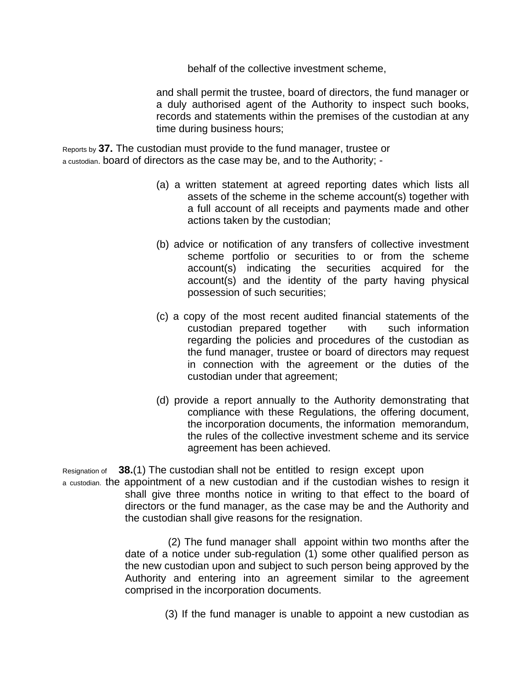behalf of the collective investment scheme,

and shall permit the trustee, board of directors, the fund manager or a duly authorised agent of the Authority to inspect such books, records and statements within the premises of the custodian at any time during business hours;

Reports by **37.** The custodian must provide to the fund manager, trustee or a custodian. board of directors as the case may be, and to the Authority; -

- (a) a written statement at agreed reporting dates which lists all assets of the scheme in the scheme account(s) together with a full account of all receipts and payments made and other actions taken by the custodian;
- (b) advice or notification of any transfers of collective investment scheme portfolio or securities to or from the scheme account(s) indicating the securities acquired for the account(s) and the identity of the party having physical possession of such securities;
- (c) a copy of the most recent audited financial statements of the custodian prepared together with such information regarding the policies and procedures of the custodian as the fund manager, trustee or board of directors may request in connection with the agreement or the duties of the custodian under that agreement;
- (d) provide a report annually to the Authority demonstrating that compliance with these Regulations, the offering document, the incorporation documents, the information memorandum, the rules of the collective investment scheme and its service agreement has been achieved.

Resignation of **38.**(1) The custodian shall not be entitled to resign except upon

a custodian. the appointment of a new custodian and if the custodian wishes to resign it shall give three months notice in writing to that effect to the board of directors or the fund manager, as the case may be and the Authority and the custodian shall give reasons for the resignation.

> (2) The fund manager shall appoint within two months after the date of a notice under sub-regulation (1) some other qualified person as the new custodian upon and subject to such person being approved by the Authority and entering into an agreement similar to the agreement comprised in the incorporation documents.

> > (3) If the fund manager is unable to appoint a new custodian as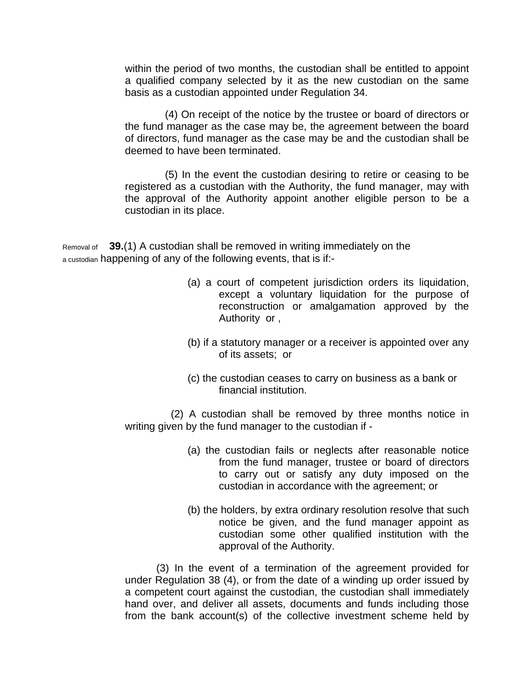within the period of two months, the custodian shall be entitled to appoint a qualified company selected by it as the new custodian on the same basis as a custodian appointed under Regulation 34.

 (4) On receipt of the notice by the trustee or board of directors or the fund manager as the case may be, the agreement between the board of directors, fund manager as the case may be and the custodian shall be deemed to have been terminated.

 (5) In the event the custodian desiring to retire or ceasing to be registered as a custodian with the Authority, the fund manager, may with the approval of the Authority appoint another eligible person to be a custodian in its place.

Removal of **39.**(1) A custodian shall be removed in writing immediately on the a custodian happening of any of the following events, that is if:-

- (a) a court of competent jurisdiction orders its liquidation, except a voluntary liquidation for the purpose of reconstruction or amalgamation approved by the Authority or ,
- (b) if a statutory manager or a receiver is appointed over any of its assets; or
- (c) the custodian ceases to carry on business as a bank or financial institution.

 (2) A custodian shall be removed by three months notice in writing given by the fund manager to the custodian if -

- (a) the custodian fails or neglects after reasonable notice from the fund manager, trustee or board of directors to carry out or satisfy any duty imposed on the custodian in accordance with the agreement; or
- (b) the holders, by extra ordinary resolution resolve that such notice be given, and the fund manager appoint as custodian some other qualified institution with the approval of the Authority.

(3) In the event of a termination of the agreement provided for under Regulation 38 (4), or from the date of a winding up order issued by a competent court against the custodian, the custodian shall immediately hand over, and deliver all assets, documents and funds including those from the bank account(s) of the collective investment scheme held by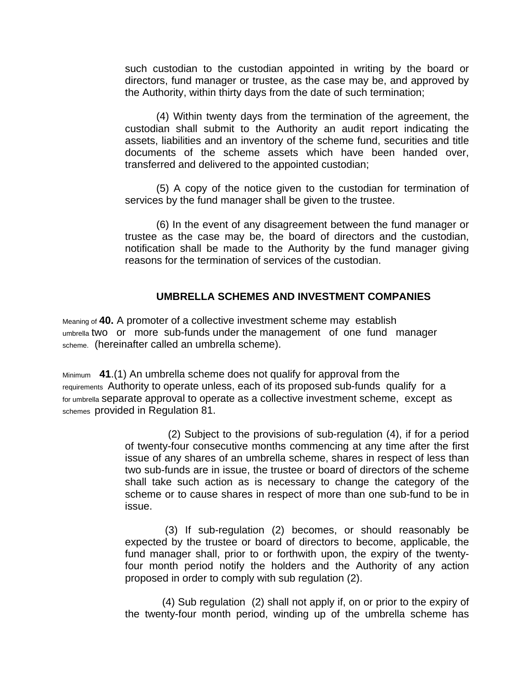such custodian to the custodian appointed in writing by the board or directors, fund manager or trustee, as the case may be, and approved by the Authority, within thirty days from the date of such termination;

(4) Within twenty days from the termination of the agreement, the custodian shall submit to the Authority an audit report indicating the assets, liabilities and an inventory of the scheme fund, securities and title documents of the scheme assets which have been handed over, transferred and delivered to the appointed custodian;

(5) A copy of the notice given to the custodian for termination of services by the fund manager shall be given to the trustee.

(6) In the event of any disagreement between the fund manager or trustee as the case may be, the board of directors and the custodian, notification shall be made to the Authority by the fund manager giving reasons for the termination of services of the custodian.

# **UMBRELLA SCHEMES AND INVESTMENT COMPANIES**

Meaning of **40.** A promoter of a collective investment scheme may establish umbrella two or more sub-funds under the management of one fund manager scheme. (hereinafter called an umbrella scheme).

Minimum **41**.(1) An umbrella scheme does not qualify for approval from the requirements Authority to operate unless, each of its proposed sub-funds qualify for a for umbrella separate approval to operate as a collective investment scheme, except as schemes provided in Regulation 81.

> (2) Subject to the provisions of sub-regulation (4), if for a period of twenty-four consecutive months commencing at any time after the first issue of any shares of an umbrella scheme, shares in respect of less than two sub-funds are in issue, the trustee or board of directors of the scheme shall take such action as is necessary to change the category of the scheme or to cause shares in respect of more than one sub-fund to be in issue.

> (3) If sub-regulation (2) becomes, or should reasonably be expected by the trustee or board of directors to become, applicable, the fund manager shall, prior to or forthwith upon, the expiry of the twentyfour month period notify the holders and the Authority of any action proposed in order to comply with sub regulation (2).

> (4) Sub regulation (2) shall not apply if, on or prior to the expiry of the twenty-four month period, winding up of the umbrella scheme has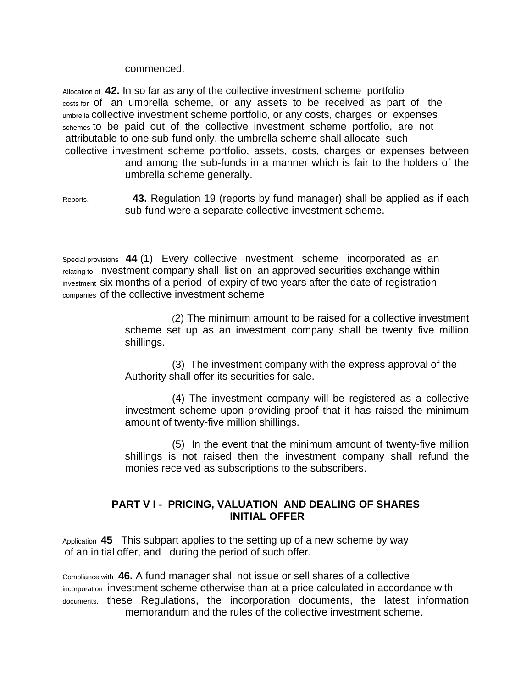commenced.

Allocation of **42.** In so far as any of the collective investment scheme portfolio costs for of an umbrella scheme, or any assets to be received as part of the umbrella collective investment scheme portfolio, or any costs, charges or expenses schemes to be paid out of the collective investment scheme portfolio, are not attributable to one sub-fund only, the umbrella scheme shall allocate such collective investment scheme portfolio, assets, costs, charges or expenses between and among the sub-funds in a manner which is fair to the holders of the umbrella scheme generally.

Reports. **43.** Regulation 19 (reports by fund manager) shall be applied as if each sub-fund were a separate collective investment scheme.

Special provisions **44** (1) Every collective investment scheme incorporated as an relating to investment company shall list on an approved securities exchange within investment six months of a period of expiry of two years after the date of registration companies of the collective investment scheme

> (2) The minimum amount to be raised for a collective investment scheme set up as an investment company shall be twenty five million shillings.

(3) The investment company with the express approval of the Authority shall offer its securities for sale.

(4) The investment company will be registered as a collective investment scheme upon providing proof that it has raised the minimum amount of twenty-five million shillings.

(5) In the event that the minimum amount of twenty-five million shillings is not raised then the investment company shall refund the monies received as subscriptions to the subscribers.

# **PART V I - PRICING, VALUATION AND DEALING OF SHARES INITIAL OFFER**

Application **45** This subpart applies to the setting up of a new scheme by way of an initial offer, and during the period of such offer.

Compliance with **46.** A fund manager shall not issue or sell shares of a collective incorporation investment scheme otherwise than at a price calculated in accordance with documents. these Regulations, the incorporation documents, the latest information memorandum and the rules of the collective investment scheme.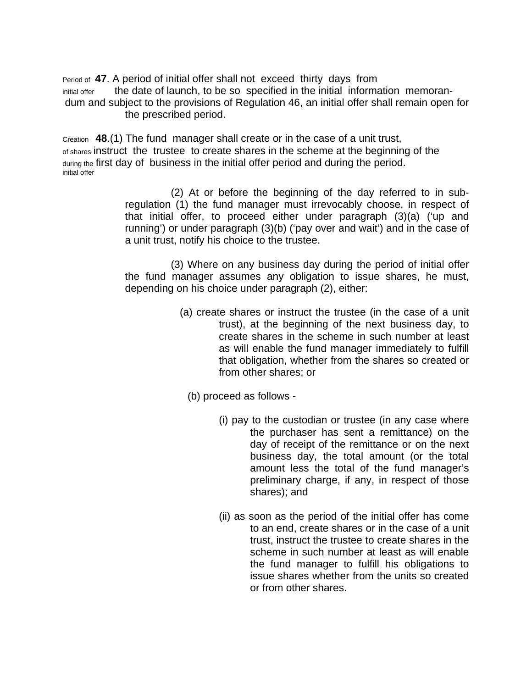Period of **47**. A period of initial offer shall not exceed thirty days from initial offer the date of launch, to be so specified in the initial information memorandum and subject to the provisions of Regulation 46, an initial offer shall remain open for the prescribed period.

Creation **48**.(1) The fund manager shall create or in the case of a unit trust, of shares instruct the trustee to create shares in the scheme at the beginning of the during the first day of business in the initial offer period and during the period. initial offer

> (2) At or before the beginning of the day referred to in subregulation (1) the fund manager must irrevocably choose, in respect of that initial offer, to proceed either under paragraph (3)(a) ('up and running') or under paragraph (3)(b) ('pay over and wait') and in the case of a unit trust, notify his choice to the trustee.

> (3) Where on any business day during the period of initial offer the fund manager assumes any obligation to issue shares, he must, depending on his choice under paragraph (2), either:

- (a) create shares or instruct the trustee (in the case of a unit trust), at the beginning of the next business day, to create shares in the scheme in such number at least as will enable the fund manager immediately to fulfill that obligation, whether from the shares so created or from other shares; or
	- (b) proceed as follows
		- (i) pay to the custodian or trustee (in any case where the purchaser has sent a remittance) on the day of receipt of the remittance or on the next business day, the total amount (or the total amount less the total of the fund manager's preliminary charge, if any, in respect of those shares); and
		- (ii) as soon as the period of the initial offer has come to an end, create shares or in the case of a unit trust, instruct the trustee to create shares in the scheme in such number at least as will enable the fund manager to fulfill his obligations to issue shares whether from the units so created or from other shares.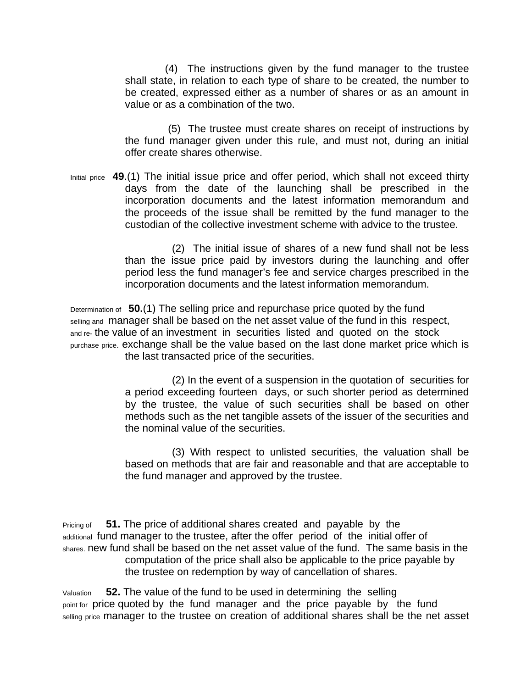(4) The instructions given by the fund manager to the trustee shall state, in relation to each type of share to be created, the number to be created, expressed either as a number of shares or as an amount in value or as a combination of the two.

 (5) The trustee must create shares on receipt of instructions by the fund manager given under this rule, and must not, during an initial offer create shares otherwise.

Initial price **49**.(1) The initial issue price and offer period, which shall not exceed thirty days from the date of the launching shall be prescribed in the incorporation documents and the latest information memorandum and the proceeds of the issue shall be remitted by the fund manager to the custodian of the collective investment scheme with advice to the trustee.

> (2) The initial issue of shares of a new fund shall not be less than the issue price paid by investors during the launching and offer period less the fund manager's fee and service charges prescribed in the incorporation documents and the latest information memorandum.

Determination of **50.**(1) The selling price and repurchase price quoted by the fund selling and manager shall be based on the net asset value of the fund in this respect, and re- the value of an investment in securities listed and quoted on the stock purchase price. exchange shall be the value based on the last done market price which is the last transacted price of the securities.

> (2) In the event of a suspension in the quotation of securities for a period exceeding fourteen days, or such shorter period as determined by the trustee, the value of such securities shall be based on other methods such as the net tangible assets of the issuer of the securities and the nominal value of the securities.

> (3) With respect to unlisted securities, the valuation shall be based on methods that are fair and reasonable and that are acceptable to the fund manager and approved by the trustee.

Pricing of **51.** The price of additional shares created and payable by the additional fund manager to the trustee, after the offer period of the initial offer of shares. new fund shall be based on the net asset value of the fund. The same basis in the computation of the price shall also be applicable to the price payable by the trustee on redemption by way of cancellation of shares.

Valuation **52.** The value of the fund to be used in determining the selling point for price quoted by the fund manager and the price payable by the fund selling price manager to the trustee on creation of additional shares shall be the net asset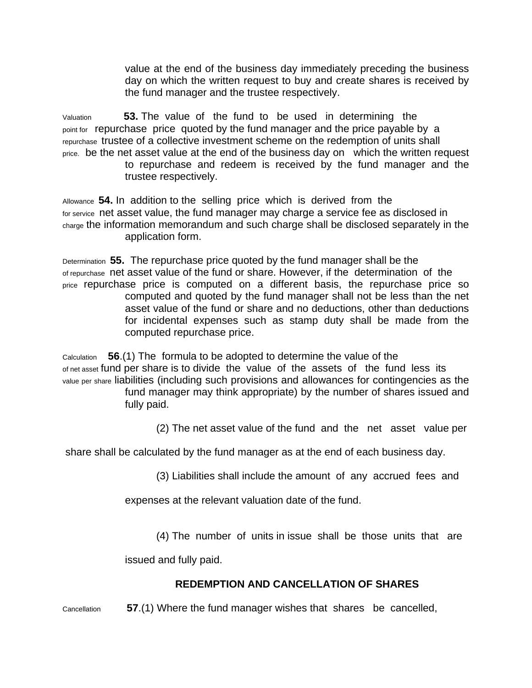value at the end of the business day immediately preceding the business day on which the written request to buy and create shares is received by the fund manager and the trustee respectively.

Valuation **53.** The value of the fund to be used in determining the point for repurchase price quoted by the fund manager and the price payable by a repurchase trustee of a collective investment scheme on the redemption of units shall price. be the net asset value at the end of the business day on which the written request to repurchase and redeem is received by the fund manager and the

trustee respectively.

Allowance **54.** In addition to the selling price which is derived from the for service net asset value, the fund manager may charge a service fee as disclosed in charge the information memorandum and such charge shall be disclosed separately in the application form.

Determination **55.** The repurchase price quoted by the fund manager shall be the of repurchase net asset value of the fund or share. However, if the determination of the price repurchase price is computed on a different basis, the repurchase price so computed and quoted by the fund manager shall not be less than the net asset value of the fund or share and no deductions, other than deductions for incidental expenses such as stamp duty shall be made from the computed repurchase price.

Calculation **56**.(1) The formula to be adopted to determine the value of the of net asset fund per share is to divide the value of the assets of the fund less its value per share liabilities (including such provisions and allowances for contingencies as the

fund manager may think appropriate) by the number of shares issued and fully paid.

(2) The net asset value of the fund and the net asset value per

share shall be calculated by the fund manager as at the end of each business day.

(3) Liabilities shall include the amount of any accrued fees and

expenses at the relevant valuation date of the fund.

(4) The number of units in issue shall be those units that are

issued and fully paid.

# **REDEMPTION AND CANCELLATION OF SHARES**

Cancellation **57**.(1) Where the fund manager wishes that shares be cancelled,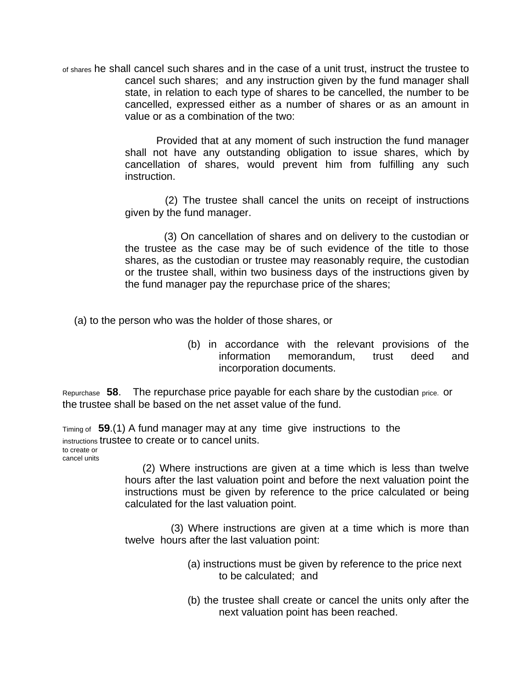of shares he shall cancel such shares and in the case of a unit trust, instruct the trustee to cancel such shares; and any instruction given by the fund manager shall state, in relation to each type of shares to be cancelled, the number to be cancelled, expressed either as a number of shares or as an amount in value or as a combination of the two:

> Provided that at any moment of such instruction the fund manager shall not have any outstanding obligation to issue shares, which by cancellation of shares, would prevent him from fulfilling any such instruction.

> (2) The trustee shall cancel the units on receipt of instructions given by the fund manager.

> (3) On cancellation of shares and on delivery to the custodian or the trustee as the case may be of such evidence of the title to those shares, as the custodian or trustee may reasonably require, the custodian or the trustee shall, within two business days of the instructions given by the fund manager pay the repurchase price of the shares;

(a) to the person who was the holder of those shares, or

(b) in accordance with the relevant provisions of the information memorandum, trust deed and incorporation documents.

Repurchase **58**. The repurchase price payable for each share by the custodian price. or the trustee shall be based on the net asset value of the fund.

Timing of **59**.(1) A fund manager may at any time give instructions to the instructions trustee to create or to cancel units. to create or cancel units

> (2) Where instructions are given at a time which is less than twelve hours after the last valuation point and before the next valuation point the instructions must be given by reference to the price calculated or being calculated for the last valuation point.

> (3) Where instructions are given at a time which is more than twelve hours after the last valuation point:

- (a) instructions must be given by reference to the price next to be calculated; and
- (b) the trustee shall create or cancel the units only after the next valuation point has been reached.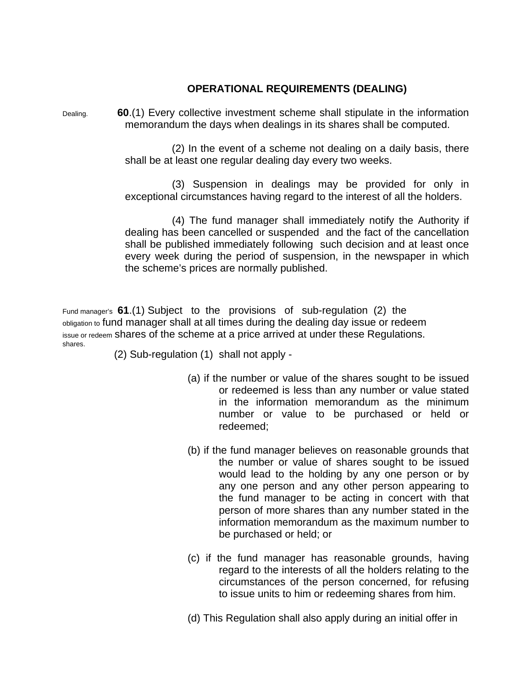# **OPERATIONAL REQUIREMENTS (DEALING)**

Dealing. **60**.(1) Every collective investment scheme shall stipulate in the information memorandum the days when dealings in its shares shall be computed.

> (2) In the event of a scheme not dealing on a daily basis, there shall be at least one regular dealing day every two weeks.

> (3) Suspension in dealings may be provided for only in exceptional circumstances having regard to the interest of all the holders.

> (4) The fund manager shall immediately notify the Authority if dealing has been cancelled or suspended and the fact of the cancellation shall be published immediately following such decision and at least once every week during the period of suspension, in the newspaper in which the scheme's prices are normally published.

Fund manager's **61**.(1) Subject to the provisions of sub-regulation (2) the obligation to fund manager shall at all times during the dealing day issue or redeem issue or redeem shares of the scheme at a price arrived at under these Regulations. shares.

(2) Sub-regulation (1) shall not apply -

- (a) if the number or value of the shares sought to be issued or redeemed is less than any number or value stated in the information memorandum as the minimum number or value to be purchased or held or redeemed;
- (b) if the fund manager believes on reasonable grounds that the number or value of shares sought to be issued would lead to the holding by any one person or by any one person and any other person appearing to the fund manager to be acting in concert with that person of more shares than any number stated in the information memorandum as the maximum number to be purchased or held; or
- (c) if the fund manager has reasonable grounds, having regard to the interests of all the holders relating to the circumstances of the person concerned, for refusing to issue units to him or redeeming shares from him.
- (d) This Regulation shall also apply during an initial offer in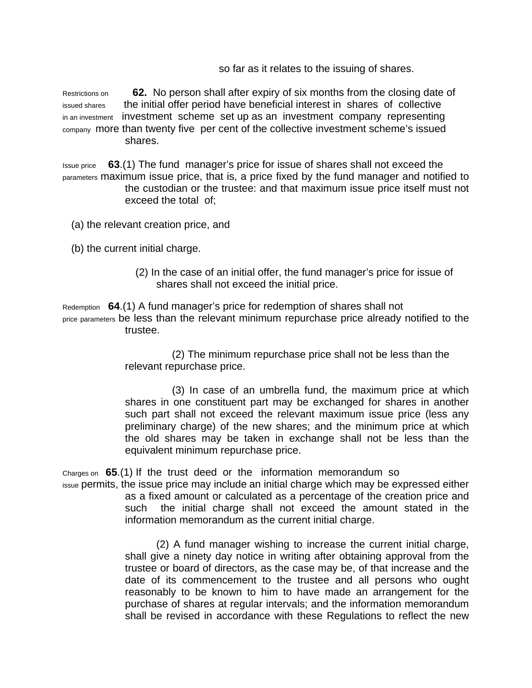so far as it relates to the issuing of shares.

Restrictions on **62.** No person shall after expiry of six months from the closing date of issued shares the initial offer period have beneficial interest in shares of collective in an investment investment scheme set up as an investment company representing company more than twenty five per cent of the collective investment scheme's issued shares.

Issue price **63**.(1) The fund manager's price for issue of shares shall not exceed the parameters maximum issue price, that is, a price fixed by the fund manager and notified to the custodian or the trustee: and that maximum issue price itself must not exceed the total of;

- (a) the relevant creation price, and
- (b) the current initial charge.
	- (2) In the case of an initial offer, the fund manager's price for issue of shares shall not exceed the initial price.

Redemption **64**.(1) A fund manager's price for redemption of shares shall not price parameters be less than the relevant minimum repurchase price already notified to the trustee.

> (2) The minimum repurchase price shall not be less than the relevant repurchase price.

(3) In case of an umbrella fund, the maximum price at which shares in one constituent part may be exchanged for shares in another such part shall not exceed the relevant maximum issue price (less any preliminary charge) of the new shares; and the minimum price at which the old shares may be taken in exchange shall not be less than the equivalent minimum repurchase price.

Charges on **65**.(1) If the trust deed or the information memorandum so

issue permits, the issue price may include an initial charge which may be expressed either as a fixed amount or calculated as a percentage of the creation price and such the initial charge shall not exceed the amount stated in the information memorandum as the current initial charge.

> (2) A fund manager wishing to increase the current initial charge, shall give a ninety day notice in writing after obtaining approval from the trustee or board of directors, as the case may be, of that increase and the date of its commencement to the trustee and all persons who ought reasonably to be known to him to have made an arrangement for the purchase of shares at regular intervals; and the information memorandum shall be revised in accordance with these Regulations to reflect the new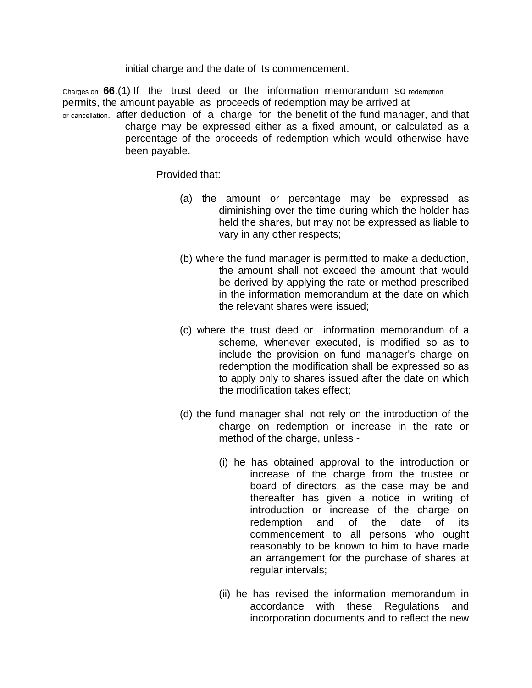initial charge and the date of its commencement.

Charges on **66**.(1) If the trust deed or the information memorandum so redemption permits, the amount payable as proceeds of redemption may be arrived at or cancellation. after deduction of a charge for the benefit of the fund manager, and that charge may be expressed either as a fixed amount, or calculated as a percentage of the proceeds of redemption which would otherwise have been payable.

Provided that:

- (a) the amount or percentage may be expressed as diminishing over the time during which the holder has held the shares, but may not be expressed as liable to vary in any other respects;
- (b) where the fund manager is permitted to make a deduction, the amount shall not exceed the amount that would be derived by applying the rate or method prescribed in the information memorandum at the date on which the relevant shares were issued;
- (c) where the trust deed or information memorandum of a scheme, whenever executed, is modified so as to include the provision on fund manager's charge on redemption the modification shall be expressed so as to apply only to shares issued after the date on which the modification takes effect;
- (d) the fund manager shall not rely on the introduction of the charge on redemption or increase in the rate or method of the charge, unless -
	- (i) he has obtained approval to the introduction or increase of the charge from the trustee or board of directors, as the case may be and thereafter has given a notice in writing of introduction or increase of the charge on redemption and of the date of its commencement to all persons who ought reasonably to be known to him to have made an arrangement for the purchase of shares at regular intervals;
	- (ii) he has revised the information memorandum in accordance with these Regulations and incorporation documents and to reflect the new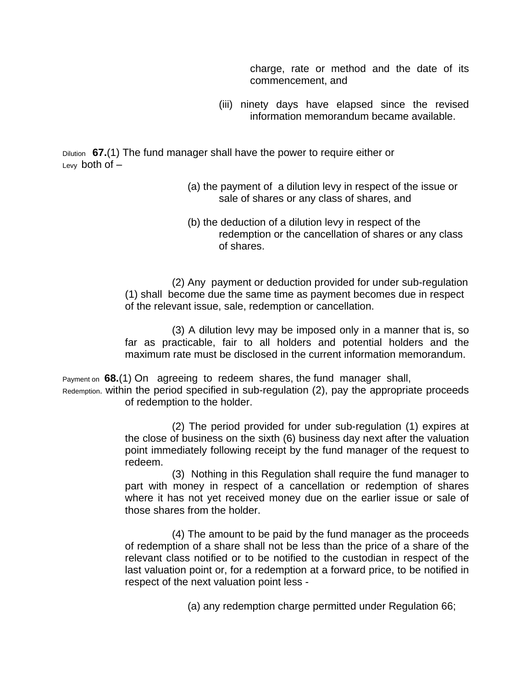charge, rate or method and the date of its commencement, and

(iii) ninety days have elapsed since the revised information memorandum became available.

Dilution **67.**(1) The fund manager shall have the power to require either or Levy both of  $-$ 

- (a) the payment of a dilution levy in respect of the issue or sale of shares or any class of shares, and
- (b) the deduction of a dilution levy in respect of the redemption or the cancellation of shares or any class of shares.

(2) Any payment or deduction provided for under sub-regulation (1) shall become due the same time as payment becomes due in respect of the relevant issue, sale, redemption or cancellation.

(3) A dilution levy may be imposed only in a manner that is, so far as practicable, fair to all holders and potential holders and the maximum rate must be disclosed in the current information memorandum.

Payment on **68.**(1) On agreeing to redeem shares, the fund manager shall,

Redemption. within the period specified in sub-regulation (2), pay the appropriate proceeds of redemption to the holder.

> (2) The period provided for under sub-regulation (1) expires at the close of business on the sixth (6) business day next after the valuation point immediately following receipt by the fund manager of the request to redeem.

> (3) Nothing in this Regulation shall require the fund manager to part with money in respect of a cancellation or redemption of shares where it has not yet received money due on the earlier issue or sale of those shares from the holder.

> (4) The amount to be paid by the fund manager as the proceeds of redemption of a share shall not be less than the price of a share of the relevant class notified or to be notified to the custodian in respect of the last valuation point or, for a redemption at a forward price, to be notified in respect of the next valuation point less -

> > (a) any redemption charge permitted under Regulation 66;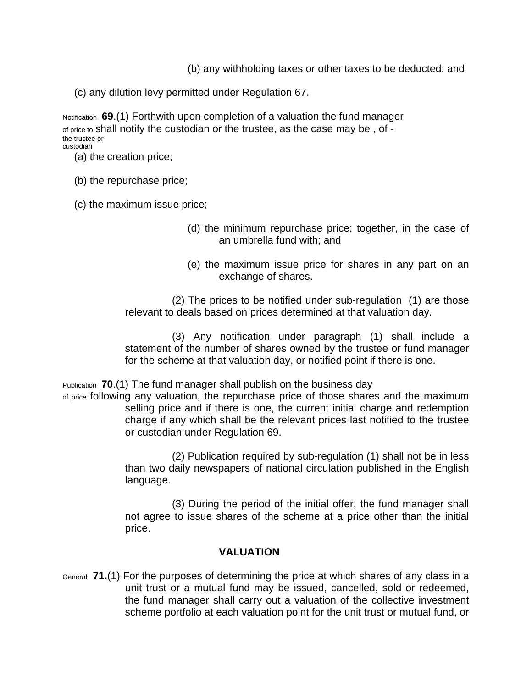(b) any withholding taxes or other taxes to be deducted; and

(c) any dilution levy permitted under Regulation 67.

Notification **69**.(1) Forthwith upon completion of a valuation the fund manager of price to shall notify the custodian or the trustee, as the case may be , of the trustee or custodian

- (a) the creation price;
- (b) the repurchase price;
- (c) the maximum issue price;
	- (d) the minimum repurchase price; together, in the case of an umbrella fund with; and
	- (e) the maximum issue price for shares in any part on an exchange of shares.

(2) The prices to be notified under sub-regulation (1) are those relevant to deals based on prices determined at that valuation day.

(3) Any notification under paragraph (1) shall include a statement of the number of shares owned by the trustee or fund manager for the scheme at that valuation day, or notified point if there is one.

Publication **70**.(1) The fund manager shall publish on the business day

of price following any valuation, the repurchase price of those shares and the maximum selling price and if there is one, the current initial charge and redemption charge if any which shall be the relevant prices last notified to the trustee or custodian under Regulation 69.

> (2) Publication required by sub-regulation (1) shall not be in less than two daily newspapers of national circulation published in the English language.

> (3) During the period of the initial offer, the fund manager shall not agree to issue shares of the scheme at a price other than the initial price.

### **VALUATION**

General **71.**(1) For the purposes of determining the price at which shares of any class in a unit trust or a mutual fund may be issued, cancelled, sold or redeemed, the fund manager shall carry out a valuation of the collective investment scheme portfolio at each valuation point for the unit trust or mutual fund, or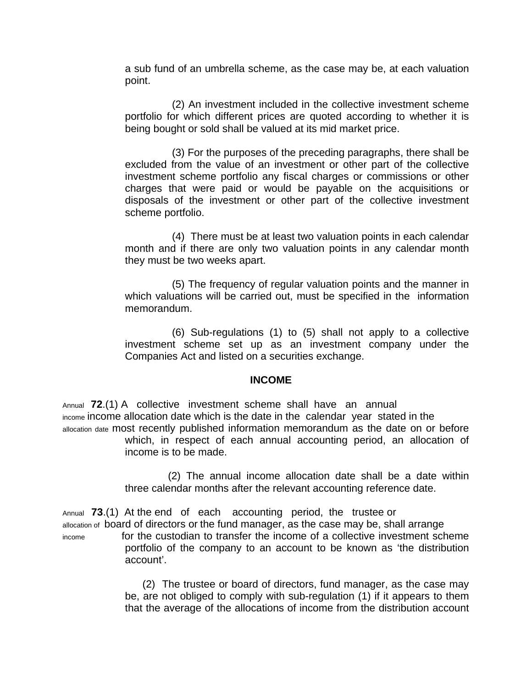a sub fund of an umbrella scheme, as the case may be, at each valuation point.

(2) An investment included in the collective investment scheme portfolio for which different prices are quoted according to whether it is being bought or sold shall be valued at its mid market price.

(3) For the purposes of the preceding paragraphs, there shall be excluded from the value of an investment or other part of the collective investment scheme portfolio any fiscal charges or commissions or other charges that were paid or would be payable on the acquisitions or disposals of the investment or other part of the collective investment scheme portfolio.

(4) There must be at least two valuation points in each calendar month and if there are only two valuation points in any calendar month they must be two weeks apart.

(5) The frequency of regular valuation points and the manner in which valuations will be carried out, must be specified in the information memorandum.

(6) Sub-regulations (1) to (5) shall not apply to a collective investment scheme set up as an investment company under the Companies Act and listed on a securities exchange.

### **INCOME**

Annual **72**.(1) A collective investment scheme shall have an annual income income allocation date which is the date in the calendar year stated in the allocation date most recently published information memorandum as the date on or before which, in respect of each annual accounting period, an allocation of income is to be made.

> (2) The annual income allocation date shall be a date within three calendar months after the relevant accounting reference date.

Annual **73**.(1) At the end of each accounting period, the trustee or allocation of board of directors or the fund manager, as the case may be, shall arrange income for the custodian to transfer the income of a collective investment scheme portfolio of the company to an account to be known as 'the distribution account'.

> (2) The trustee or board of directors, fund manager, as the case may be, are not obliged to comply with sub-regulation (1) if it appears to them that the average of the allocations of income from the distribution account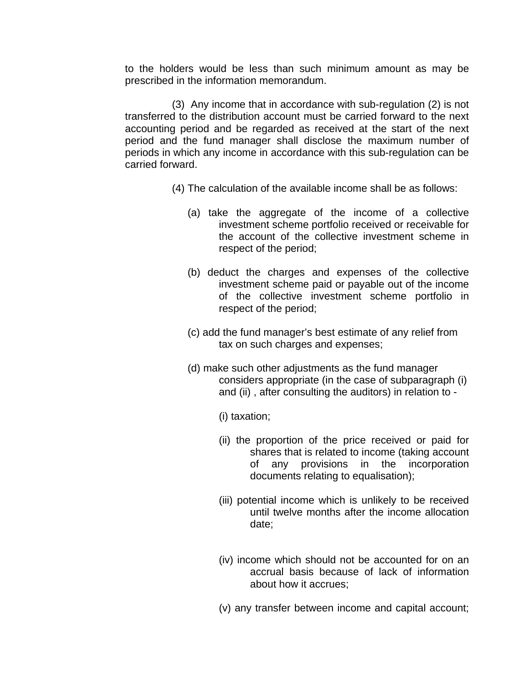to the holders would be less than such minimum amount as may be prescribed in the information memorandum.

(3) Any income that in accordance with sub-regulation (2) is not transferred to the distribution account must be carried forward to the next accounting period and be regarded as received at the start of the next period and the fund manager shall disclose the maximum number of periods in which any income in accordance with this sub-regulation can be carried forward.

- (4) The calculation of the available income shall be as follows:
	- (a) take the aggregate of the income of a collective investment scheme portfolio received or receivable for the account of the collective investment scheme in respect of the period;
	- (b) deduct the charges and expenses of the collective investment scheme paid or payable out of the income of the collective investment scheme portfolio in respect of the period;
	- (c) add the fund manager's best estimate of any relief from tax on such charges and expenses;
	- (d) make such other adjustments as the fund manager considers appropriate (in the case of subparagraph (i) and (ii) , after consulting the auditors) in relation to -
		- (i) taxation;
		- (ii) the proportion of the price received or paid for shares that is related to income (taking account of any provisions in the incorporation documents relating to equalisation);
		- (iii) potential income which is unlikely to be received until twelve months after the income allocation date;
		- (iv) income which should not be accounted for on an accrual basis because of lack of information about how it accrues;
		- (v) any transfer between income and capital account;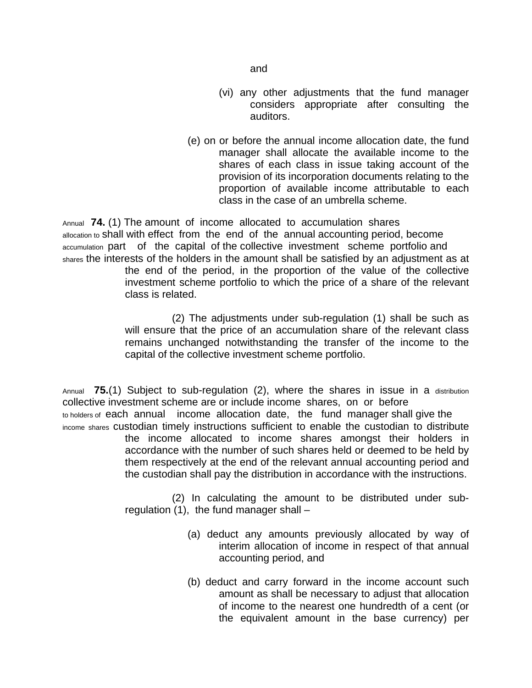- (vi) any other adjustments that the fund manager considers appropriate after consulting the auditors.
- (e) on or before the annual income allocation date, the fund manager shall allocate the available income to the shares of each class in issue taking account of the provision of its incorporation documents relating to the proportion of available income attributable to each class in the case of an umbrella scheme.

Annual **74.** (1) The amount of income allocated to accumulation shares allocation to shall with effect from the end of the annual accounting period, become accumulation part of the capital of the collective investment scheme portfolio and shares the interests of the holders in the amount shall be satisfied by an adjustment as at

the end of the period, in the proportion of the value of the collective investment scheme portfolio to which the price of a share of the relevant class is related.

(2) The adjustments under sub-regulation (1) shall be such as will ensure that the price of an accumulation share of the relevant class remains unchanged notwithstanding the transfer of the income to the capital of the collective investment scheme portfolio.

Annual **75.**(1) Subject to sub-regulation (2), where the shares in issue in a distribution collective investment scheme are or include income shares, on or before to holders of each annual income allocation date, the fund manager shall give the income shares custodian timely instructions sufficient to enable the custodian to distribute the income allocated to income shares amongst their holders in accordance with the number of such shares held or deemed to be held by them respectively at the end of the relevant annual accounting period and the custodian shall pay the distribution in accordance with the instructions.

> (2) In calculating the amount to be distributed under subregulation  $(1)$ , the fund manager shall  $-$

- (a) deduct any amounts previously allocated by way of interim allocation of income in respect of that annual accounting period, and
- (b) deduct and carry forward in the income account such amount as shall be necessary to adjust that allocation of income to the nearest one hundredth of a cent (or the equivalent amount in the base currency) per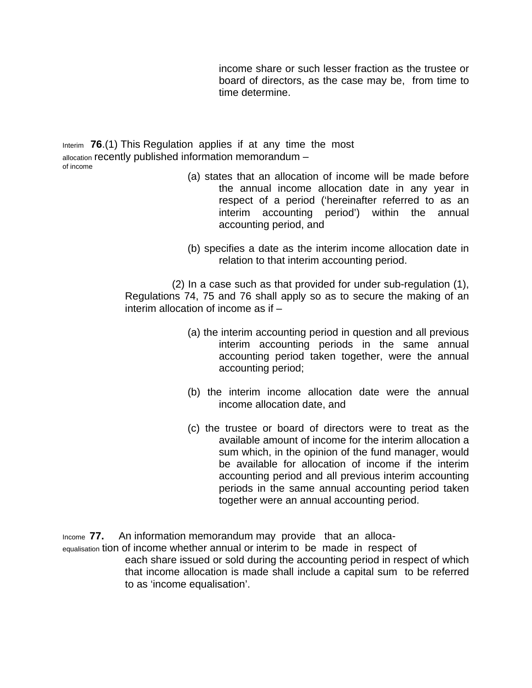income share or such lesser fraction as the trustee or board of directors, as the case may be, from time to time determine.

Interim **76**.(1) This Regulation applies if at any time the most allocation recently published information memorandum – of income

- (a) states that an allocation of income will be made before the annual income allocation date in any year in respect of a period ('hereinafter referred to as an interim accounting period') within the annual accounting period, and
- (b) specifies a date as the interim income allocation date in relation to that interim accounting period.

(2) In a case such as that provided for under sub-regulation (1), Regulations 74, 75 and 76 shall apply so as to secure the making of an interim allocation of income as if –

- (a) the interim accounting period in question and all previous interim accounting periods in the same annual accounting period taken together, were the annual accounting period;
- (b) the interim income allocation date were the annual income allocation date, and
- (c) the trustee or board of directors were to treat as the available amount of income for the interim allocation a sum which, in the opinion of the fund manager, would be available for allocation of income if the interim accounting period and all previous interim accounting periods in the same annual accounting period taken together were an annual accounting period.

Income **77.** An information memorandum may provide that an allocaequalisation tion of income whether annual or interim to be made in respect of each share issued or sold during the accounting period in respect of which that income allocation is made shall include a capital sum to be referred to as 'income equalisation'.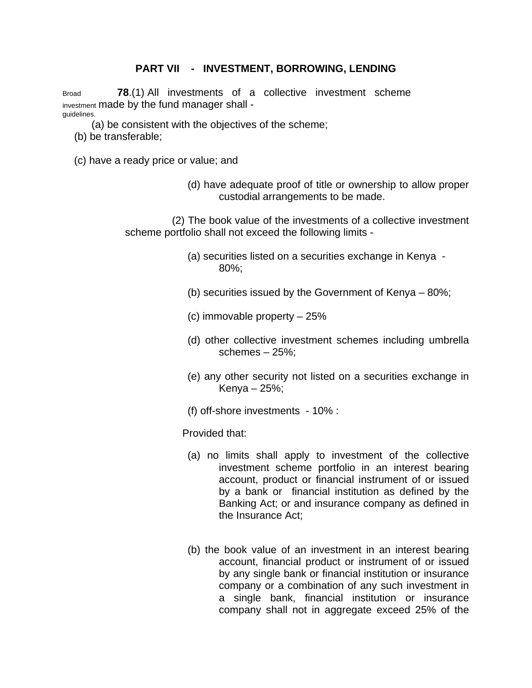# **PART VII - INVESTMENT, BORROWING, LENDING**

Broad **78**.(1) All investments of a collective investment scheme investment made by the fund manager shall guidelines.

- (a) be consistent with the objectives of the scheme;
- (b) be transferable;
- (c) have a ready price or value; and
	- (d) have adequate proof of title or ownership to allow proper custodial arrangements to be made.

(2) The book value of the investments of a collective investment scheme portfolio shall not exceed the following limits -

- (a) securities listed on a securities exchange in Kenya 80%;
- (b) securities issued by the Government of Kenya 80%;
- (c) immovable property 25%
- (d) other collective investment schemes including umbrella schemes – 25%;
- (e) any other security not listed on a securities exchange in Kenya – 25%;
- (f) off-shore investments 10% :

Provided that:

- (a) no limits shall apply to investment of the collective investment scheme portfolio in an interest bearing account, product or financial instrument of or issued by a bank or financial institution as defined by the Banking Act; or and insurance company as defined in the Insurance Act;
- (b) the book value of an investment in an interest bearing account, financial product or instrument of or issued by any single bank or financial institution or insurance company or a combination of any such investment in a single bank, financial institution or insurance company shall not in aggregate exceed 25% of the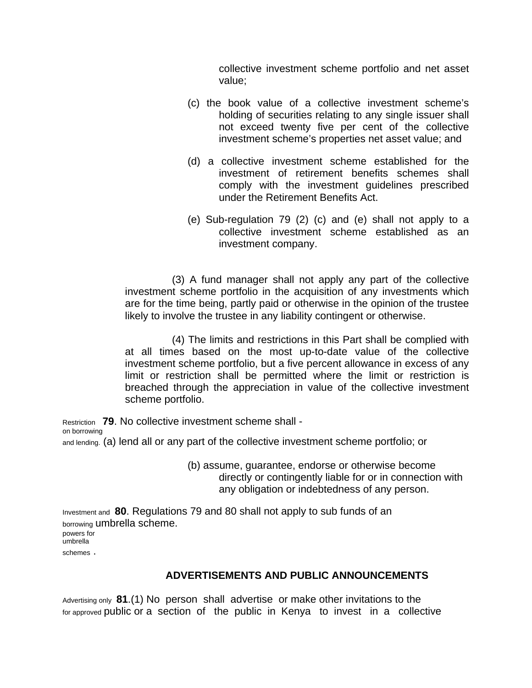collective investment scheme portfolio and net asset value;

- (c) the book value of a collective investment scheme's holding of securities relating to any single issuer shall not exceed twenty five per cent of the collective investment scheme's properties net asset value; and
- (d) a collective investment scheme established for the investment of retirement benefits schemes shall comply with the investment guidelines prescribed under the Retirement Benefits Act.
- (e) Sub-regulation 79 (2) (c) and (e) shall not apply to a collective investment scheme established as an investment company.

(3) A fund manager shall not apply any part of the collective investment scheme portfolio in the acquisition of any investments which are for the time being, partly paid or otherwise in the opinion of the trustee likely to involve the trustee in any liability contingent or otherwise.

(4) The limits and restrictions in this Part shall be complied with at all times based on the most up-to-date value of the collective investment scheme portfolio, but a five percent allowance in excess of any limit or restriction shall be permitted where the limit or restriction is breached through the appreciation in value of the collective investment scheme portfolio.

Restriction **79**. No collective investment scheme shall -

on borrowing

and lending. (a) lend all or any part of the collective investment scheme portfolio; or

(b) assume, guarantee, endorse or otherwise become directly or contingently liable for or in connection with any obligation or indebtedness of any person.

Investment and **80**. Regulations 79 and 80 shall not apply to sub funds of an borrowing umbrella scheme. powers for umbrella schemes .

### **ADVERTISEMENTS AND PUBLIC ANNOUNCEMENTS**

Advertising only **81**.(1) No person shall advertise or make other invitations to the for approved public or a section of the public in Kenya to invest in a collective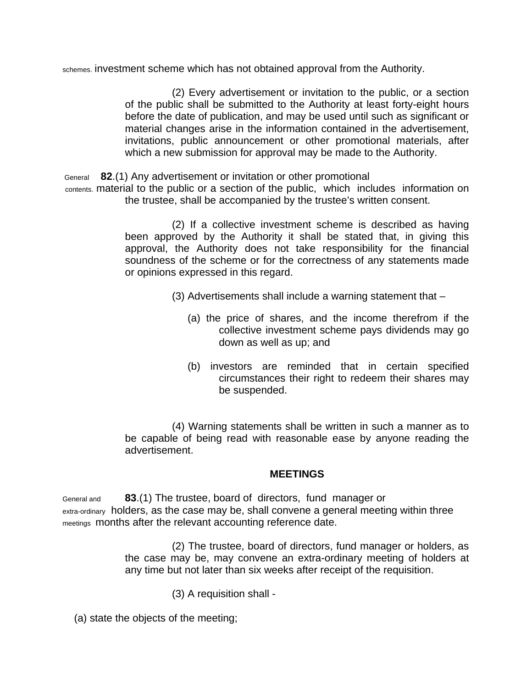schemes. investment scheme which has not obtained approval from the Authority.

(2) Every advertisement or invitation to the public, or a section of the public shall be submitted to the Authority at least forty-eight hours before the date of publication, and may be used until such as significant or material changes arise in the information contained in the advertisement, invitations, public announcement or other promotional materials, after which a new submission for approval may be made to the Authority.

General **82**.(1) Any advertisement or invitation or other promotional

contents. material to the public or a section of the public, which includes information on the trustee, shall be accompanied by the trustee's written consent.

> (2) If a collective investment scheme is described as having been approved by the Authority it shall be stated that, in giving this approval, the Authority does not take responsibility for the financial soundness of the scheme or for the correctness of any statements made or opinions expressed in this regard.

- (3) Advertisements shall include a warning statement that
	- (a) the price of shares, and the income therefrom if the collective investment scheme pays dividends may go down as well as up; and
	- (b) investors are reminded that in certain specified circumstances their right to redeem their shares may be suspended.

(4) Warning statements shall be written in such a manner as to be capable of being read with reasonable ease by anyone reading the advertisement.

### **MEETINGS**

General and **83**.(1) The trustee, board of directors, fund manager or extra-ordinary holders, as the case may be, shall convene a general meeting within three meetings months after the relevant accounting reference date.

> (2) The trustee, board of directors, fund manager or holders, as the case may be, may convene an extra-ordinary meeting of holders at any time but not later than six weeks after receipt of the requisition.

> > (3) A requisition shall -

(a) state the objects of the meeting;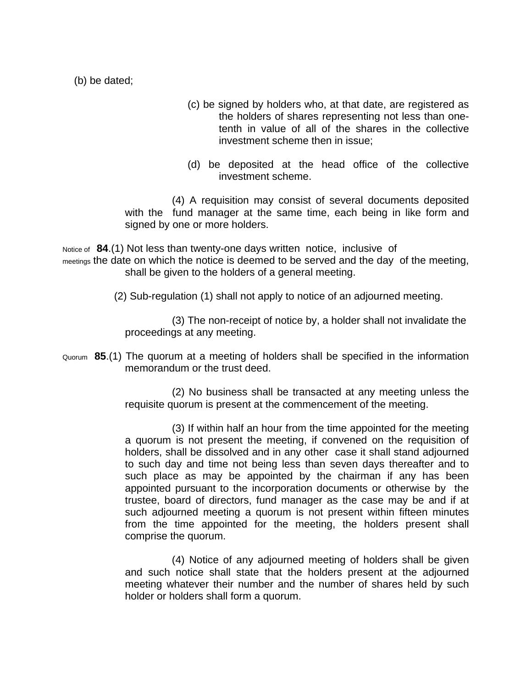(b) be dated;

- (c) be signed by holders who, at that date, are registered as the holders of shares representing not less than onetenth in value of all of the shares in the collective investment scheme then in issue;
- (d) be deposited at the head office of the collective investment scheme.

(4) A requisition may consist of several documents deposited with the fund manager at the same time, each being in like form and signed by one or more holders.

Notice of **84**.(1) Not less than twenty-one days written notice, inclusive of meetings the date on which the notice is deemed to be served and the day of the meeting, shall be given to the holders of a general meeting.

(2) Sub-regulation (1) shall not apply to notice of an adjourned meeting.

(3) The non-receipt of notice by, a holder shall not invalidate the proceedings at any meeting.

Quorum **85**.(1) The quorum at a meeting of holders shall be specified in the information memorandum or the trust deed.

> (2) No business shall be transacted at any meeting unless the requisite quorum is present at the commencement of the meeting.

> (3) If within half an hour from the time appointed for the meeting a quorum is not present the meeting, if convened on the requisition of holders, shall be dissolved and in any other case it shall stand adjourned to such day and time not being less than seven days thereafter and to such place as may be appointed by the chairman if any has been appointed pursuant to the incorporation documents or otherwise by the trustee, board of directors, fund manager as the case may be and if at such adjourned meeting a quorum is not present within fifteen minutes from the time appointed for the meeting, the holders present shall comprise the quorum.

> (4) Notice of any adjourned meeting of holders shall be given and such notice shall state that the holders present at the adjourned meeting whatever their number and the number of shares held by such holder or holders shall form a quorum.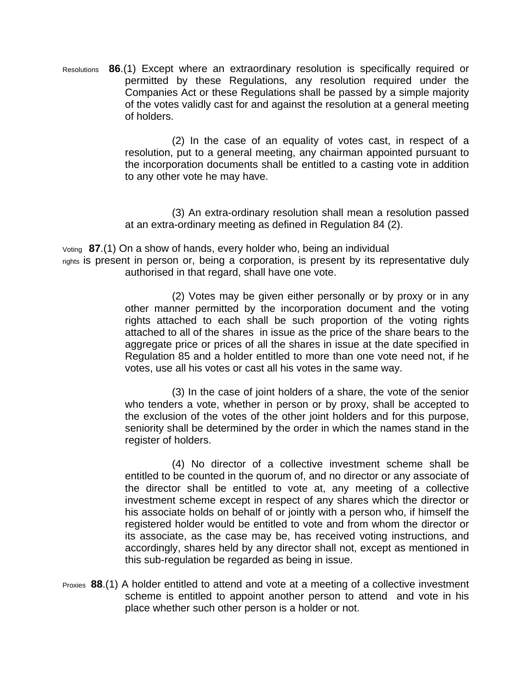Resolutions **86**.(1) Except where an extraordinary resolution is specifically required or permitted by these Regulations, any resolution required under the Companies Act or these Regulations shall be passed by a simple majority of the votes validly cast for and against the resolution at a general meeting of holders.

> (2) In the case of an equality of votes cast, in respect of a resolution, put to a general meeting, any chairman appointed pursuant to the incorporation documents shall be entitled to a casting vote in addition to any other vote he may have.

> (3) An extra-ordinary resolution shall mean a resolution passed at an extra-ordinary meeting as defined in Regulation 84 (2).

Voting **87**.(1) On a show of hands, every holder who, being an individual

rights is present in person or, being a corporation, is present by its representative duly authorised in that regard, shall have one vote.

> (2) Votes may be given either personally or by proxy or in any other manner permitted by the incorporation document and the voting rights attached to each shall be such proportion of the voting rights attached to all of the shares in issue as the price of the share bears to the aggregate price or prices of all the shares in issue at the date specified in Regulation 85 and a holder entitled to more than one vote need not, if he votes, use all his votes or cast all his votes in the same way.

> (3) In the case of joint holders of a share, the vote of the senior who tenders a vote, whether in person or by proxy, shall be accepted to the exclusion of the votes of the other joint holders and for this purpose, seniority shall be determined by the order in which the names stand in the register of holders.

> (4) No director of a collective investment scheme shall be entitled to be counted in the quorum of, and no director or any associate of the director shall be entitled to vote at, any meeting of a collective investment scheme except in respect of any shares which the director or his associate holds on behalf of or jointly with a person who, if himself the registered holder would be entitled to vote and from whom the director or its associate, as the case may be, has received voting instructions, and accordingly, shares held by any director shall not, except as mentioned in this sub-regulation be regarded as being in issue.

Proxies **88**.(1) A holder entitled to attend and vote at a meeting of a collective investment scheme is entitled to appoint another person to attend and vote in his place whether such other person is a holder or not.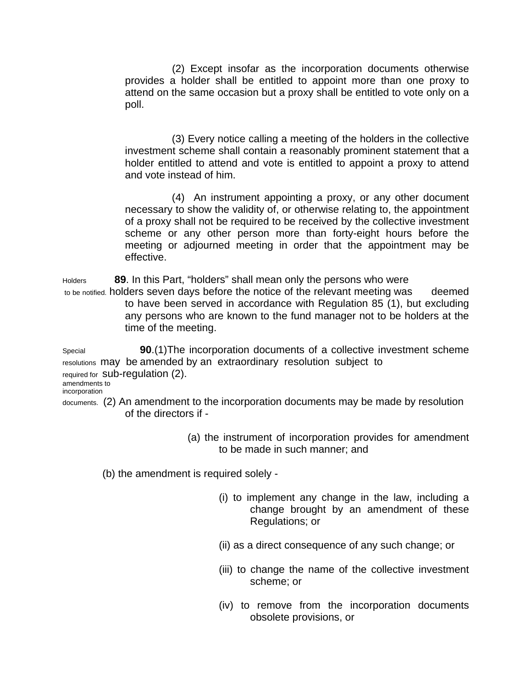(2) Except insofar as the incorporation documents otherwise provides a holder shall be entitled to appoint more than one proxy to attend on the same occasion but a proxy shall be entitled to vote only on a poll.

(3) Every notice calling a meeting of the holders in the collective investment scheme shall contain a reasonably prominent statement that a holder entitled to attend and vote is entitled to appoint a proxy to attend and vote instead of him.

(4) An instrument appointing a proxy, or any other document necessary to show the validity of, or otherwise relating to, the appointment of a proxy shall not be required to be received by the collective investment scheme or any other person more than forty-eight hours before the meeting or adjourned meeting in order that the appointment may be effective.

Holders **89**. In this Part, "holders" shall mean only the persons who were to be notified. holders seven days before the notice of the relevant meeting was deemed to have been served in accordance with Regulation 85 (1), but excluding any persons who are known to the fund manager not to be holders at the

time of the meeting. Special **90**.(1)The incorporation documents of a collective investment scheme resolutions may be amended by an extraordinary resolution subject to required for sub-regulation (2). amendments to

incorporation

documents. (2) An amendment to the incorporation documents may be made by resolution of the directors if -

> (a) the instrument of incorporation provides for amendment to be made in such manner; and

(b) the amendment is required solely -

- (i) to implement any change in the law, including a change brought by an amendment of these Regulations; or
- (ii) as a direct consequence of any such change; or
- (iii) to change the name of the collective investment scheme; or
- (iv) to remove from the incorporation documents obsolete provisions, or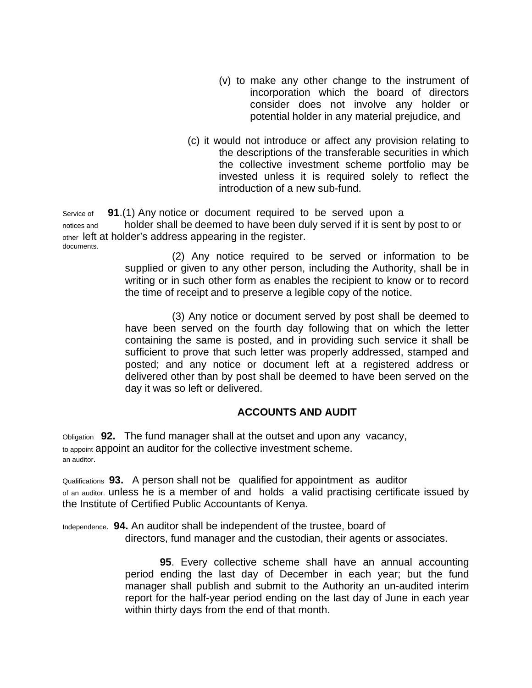- (v) to make any other change to the instrument of incorporation which the board of directors consider does not involve any holder or potential holder in any material prejudice, and
- (c) it would not introduce or affect any provision relating to the descriptions of the transferable securities in which the collective investment scheme portfolio may be invested unless it is required solely to reflect the introduction of a new sub-fund.

Service of **91**.(1) Any notice or document required to be served upon a notices and holder shall be deemed to have been duly served if it is sent by post to or other left at holder's address appearing in the register. documents.

(2) Any notice required to be served or information to be supplied or given to any other person, including the Authority, shall be in writing or in such other form as enables the recipient to know or to record the time of receipt and to preserve a legible copy of the notice.

(3) Any notice or document served by post shall be deemed to have been served on the fourth day following that on which the letter containing the same is posted, and in providing such service it shall be sufficient to prove that such letter was properly addressed, stamped and posted; and any notice or document left at a registered address or delivered other than by post shall be deemed to have been served on the day it was so left or delivered.

# **ACCOUNTS AND AUDIT**

Obligation **92.** The fund manager shall at the outset and upon any vacancy, to appoint appoint an auditor for the collective investment scheme. an auditor.

Qualifications **93.** A person shall not be qualified for appointment as auditor of an auditor. unless he is a member of and holds a valid practising certificate issued by the Institute of Certified Public Accountants of Kenya.

Independence. **94.** An auditor shall be independent of the trustee, board of directors, fund manager and the custodian, their agents or associates.

> **95**. Every collective scheme shall have an annual accounting period ending the last day of December in each year; but the fund manager shall publish and submit to the Authority an un-audited interim report for the half-year period ending on the last day of June in each year within thirty days from the end of that month.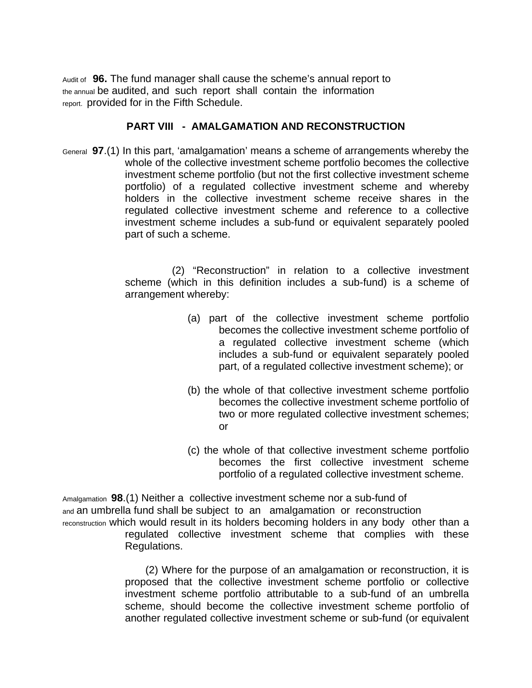Audit of **96.** The fund manager shall cause the scheme's annual report to the annual be audited, and such report shall contain the information report. provided for in the Fifth Schedule.

## **PART VIII - AMALGAMATION AND RECONSTRUCTION**

General **97**.(1) In this part, 'amalgamation' means a scheme of arrangements whereby the whole of the collective investment scheme portfolio becomes the collective investment scheme portfolio (but not the first collective investment scheme portfolio) of a regulated collective investment scheme and whereby holders in the collective investment scheme receive shares in the regulated collective investment scheme and reference to a collective investment scheme includes a sub-fund or equivalent separately pooled part of such a scheme.

> (2) "Reconstruction" in relation to a collective investment scheme (which in this definition includes a sub-fund) is a scheme of arrangement whereby:

- (a) part of the collective investment scheme portfolio becomes the collective investment scheme portfolio of a regulated collective investment scheme (which includes a sub-fund or equivalent separately pooled part, of a regulated collective investment scheme); or
- (b) the whole of that collective investment scheme portfolio becomes the collective investment scheme portfolio of two or more regulated collective investment schemes; or
- (c) the whole of that collective investment scheme portfolio becomes the first collective investment scheme portfolio of a regulated collective investment scheme.

Amalgamation **98**.(1) Neither a collective investment scheme nor a sub-fund of and an umbrella fund shall be subject to an amalgamation or reconstruction reconstruction which would result in its holders becoming holders in any body other than a regulated collective investment scheme that complies with these Regulations.

> (2) Where for the purpose of an amalgamation or reconstruction, it is proposed that the collective investment scheme portfolio or collective investment scheme portfolio attributable to a sub-fund of an umbrella scheme, should become the collective investment scheme portfolio of another regulated collective investment scheme or sub-fund (or equivalent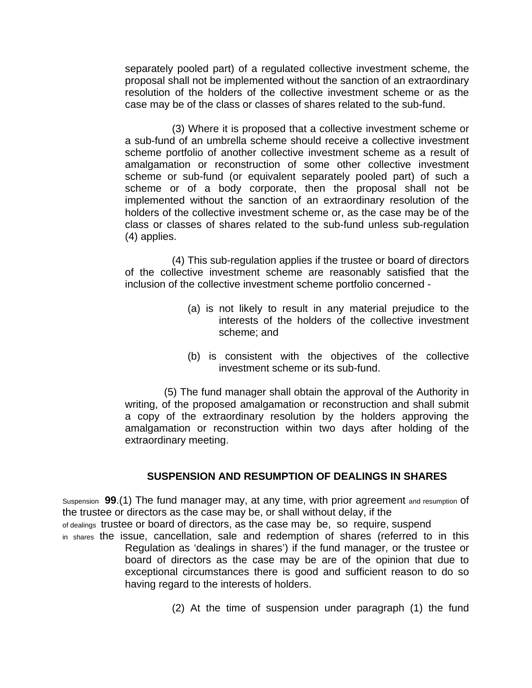separately pooled part) of a regulated collective investment scheme, the proposal shall not be implemented without the sanction of an extraordinary resolution of the holders of the collective investment scheme or as the case may be of the class or classes of shares related to the sub-fund.

(3) Where it is proposed that a collective investment scheme or a sub-fund of an umbrella scheme should receive a collective investment scheme portfolio of another collective investment scheme as a result of amalgamation or reconstruction of some other collective investment scheme or sub-fund (or equivalent separately pooled part) of such a scheme or of a body corporate, then the proposal shall not be implemented without the sanction of an extraordinary resolution of the holders of the collective investment scheme or, as the case may be of the class or classes of shares related to the sub-fund unless sub-regulation (4) applies.

(4) This sub-regulation applies if the trustee or board of directors of the collective investment scheme are reasonably satisfied that the inclusion of the collective investment scheme portfolio concerned -

- (a) is not likely to result in any material prejudice to the interests of the holders of the collective investment scheme; and
- (b) is consistent with the objectives of the collective investment scheme or its sub-fund.

(5) The fund manager shall obtain the approval of the Authority in writing, of the proposed amalgamation or reconstruction and shall submit a copy of the extraordinary resolution by the holders approving the amalgamation or reconstruction within two days after holding of the extraordinary meeting.

# **SUSPENSION AND RESUMPTION OF DEALINGS IN SHARES**

Suspension **99**.(1) The fund manager may, at any time, with prior agreement and resumption of the trustee or directors as the case may be, or shall without delay, if the of dealings trustee or board of directors, as the case may be, so require, suspend in shares the issue, cancellation, sale and redemption of shares (referred to in this Regulation as 'dealings in shares') if the fund manager, or the trustee or board of directors as the case may be are of the opinion that due to exceptional circumstances there is good and sufficient reason to do so having regard to the interests of holders.

(2) At the time of suspension under paragraph (1) the fund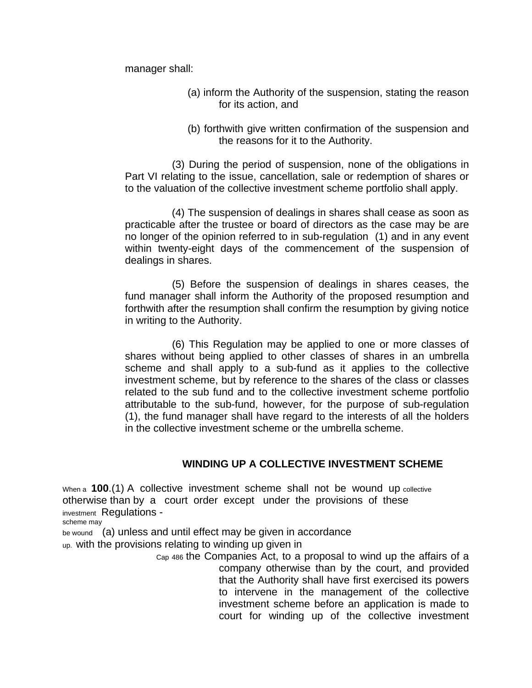manager shall:

- (a) inform the Authority of the suspension, stating the reason for its action, and
- (b) forthwith give written confirmation of the suspension and the reasons for it to the Authority.

(3) During the period of suspension, none of the obligations in Part VI relating to the issue, cancellation, sale or redemption of shares or to the valuation of the collective investment scheme portfolio shall apply.

(4) The suspension of dealings in shares shall cease as soon as practicable after the trustee or board of directors as the case may be are no longer of the opinion referred to in sub-regulation (1) and in any event within twenty-eight days of the commencement of the suspension of dealings in shares.

(5) Before the suspension of dealings in shares ceases, the fund manager shall inform the Authority of the proposed resumption and forthwith after the resumption shall confirm the resumption by giving notice in writing to the Authority.

(6) This Regulation may be applied to one or more classes of shares without being applied to other classes of shares in an umbrella scheme and shall apply to a sub-fund as it applies to the collective investment scheme, but by reference to the shares of the class or classes related to the sub fund and to the collective investment scheme portfolio attributable to the sub-fund, however, for the purpose of sub-regulation (1), the fund manager shall have regard to the interests of all the holders in the collective investment scheme or the umbrella scheme.

# **WINDING UP A COLLECTIVE INVESTMENT SCHEME**

When a **100**.(1) A collective investment scheme shall not be wound up collective otherwise than by a court order except under the provisions of these investment Regulations -

scheme may

be wound (a) unless and until effect may be given in accordance

up. with the provisions relating to winding up given in

Cap 486 the Companies Act, to a proposal to wind up the affairs of a company otherwise than by the court, and provided that the Authority shall have first exercised its powers to intervene in the management of the collective investment scheme before an application is made to court for winding up of the collective investment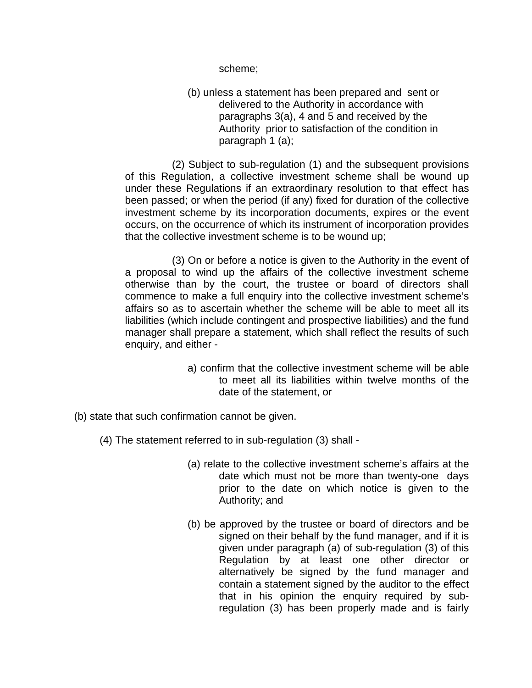scheme;

(b) unless a statement has been prepared and sent or delivered to the Authority in accordance with paragraphs 3(a), 4 and 5 and received by the Authority prior to satisfaction of the condition in paragraph 1 (a);

(2) Subject to sub-regulation (1) and the subsequent provisions of this Regulation, a collective investment scheme shall be wound up under these Regulations if an extraordinary resolution to that effect has been passed; or when the period (if any) fixed for duration of the collective investment scheme by its incorporation documents, expires or the event occurs, on the occurrence of which its instrument of incorporation provides that the collective investment scheme is to be wound up;

(3) On or before a notice is given to the Authority in the event of a proposal to wind up the affairs of the collective investment scheme otherwise than by the court, the trustee or board of directors shall commence to make a full enquiry into the collective investment scheme's affairs so as to ascertain whether the scheme will be able to meet all its liabilities (which include contingent and prospective liabilities) and the fund manager shall prepare a statement, which shall reflect the results of such enquiry, and either -

- a) confirm that the collective investment scheme will be able to meet all its liabilities within twelve months of the date of the statement, or
- (b) state that such confirmation cannot be given.
	- (4) The statement referred to in sub-regulation (3) shall
		- (a) relate to the collective investment scheme's affairs at the date which must not be more than twenty-one days prior to the date on which notice is given to the Authority; and
		- (b) be approved by the trustee or board of directors and be signed on their behalf by the fund manager, and if it is given under paragraph (a) of sub-regulation (3) of this Regulation by at least one other director or alternatively be signed by the fund manager and contain a statement signed by the auditor to the effect that in his opinion the enquiry required by subregulation (3) has been properly made and is fairly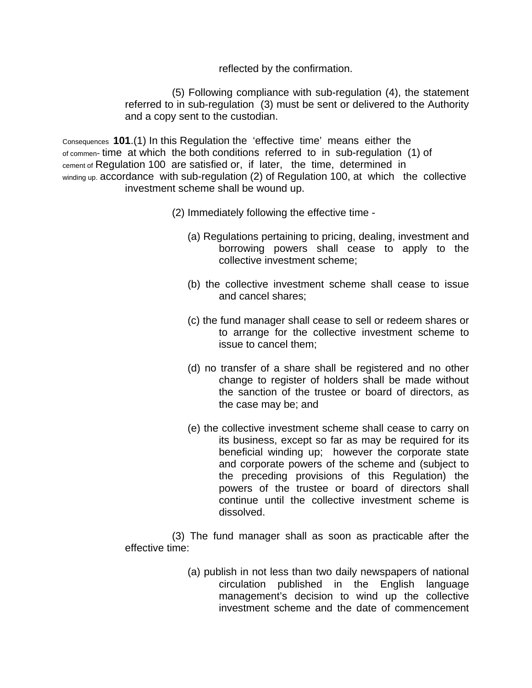reflected by the confirmation.

(5) Following compliance with sub-regulation (4), the statement referred to in sub-regulation (3) must be sent or delivered to the Authority and a copy sent to the custodian.

Consequences **101**.(1) In this Regulation the 'effective time' means either the of commen- time at which the both conditions referred to in sub-regulation (1) of cement of Regulation 100 are satisfied or, if later, the time, determined in winding up. accordance with sub-regulation (2) of Regulation 100, at which the collective investment scheme shall be wound up.

- (2) Immediately following the effective time
	- (a) Regulations pertaining to pricing, dealing, investment and borrowing powers shall cease to apply to the collective investment scheme;
	- (b) the collective investment scheme shall cease to issue and cancel shares;
	- (c) the fund manager shall cease to sell or redeem shares or to arrange for the collective investment scheme to issue to cancel them;
	- (d) no transfer of a share shall be registered and no other change to register of holders shall be made without the sanction of the trustee or board of directors, as the case may be; and
	- (e) the collective investment scheme shall cease to carry on its business, except so far as may be required for its beneficial winding up; however the corporate state and corporate powers of the scheme and (subject to the preceding provisions of this Regulation) the powers of the trustee or board of directors shall continue until the collective investment scheme is dissolved.

(3) The fund manager shall as soon as practicable after the effective time:

> (a) publish in not less than two daily newspapers of national circulation published in the English language management's decision to wind up the collective investment scheme and the date of commencement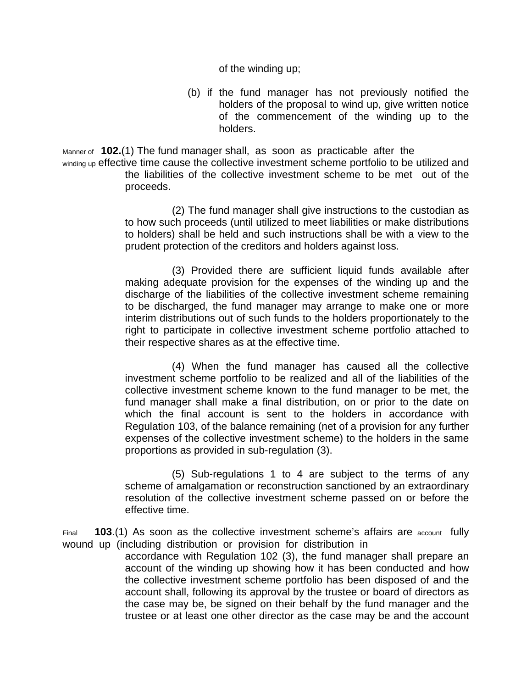of the winding up;

(b) if the fund manager has not previously notified the holders of the proposal to wind up, give written notice of the commencement of the winding up to the holders.

Manner of **102.**(1) The fund manager shall, as soon as practicable after the winding up effective time cause the collective investment scheme portfolio to be utilized and the liabilities of the collective investment scheme to be met out of the

proceeds.

(2) The fund manager shall give instructions to the custodian as to how such proceeds (until utilized to meet liabilities or make distributions to holders) shall be held and such instructions shall be with a view to the prudent protection of the creditors and holders against loss.

(3) Provided there are sufficient liquid funds available after making adequate provision for the expenses of the winding up and the discharge of the liabilities of the collective investment scheme remaining to be discharged, the fund manager may arrange to make one or more interim distributions out of such funds to the holders proportionately to the right to participate in collective investment scheme portfolio attached to their respective shares as at the effective time.

(4) When the fund manager has caused all the collective investment scheme portfolio to be realized and all of the liabilities of the collective investment scheme known to the fund manager to be met, the fund manager shall make a final distribution, on or prior to the date on which the final account is sent to the holders in accordance with Regulation 103, of the balance remaining (net of a provision for any further expenses of the collective investment scheme) to the holders in the same proportions as provided in sub-regulation (3).

(5) Sub-regulations 1 to 4 are subject to the terms of any scheme of amalgamation or reconstruction sanctioned by an extraordinary resolution of the collective investment scheme passed on or before the effective time.

Final **103**.(1) As soon as the collective investment scheme's affairs are account fully wound up (including distribution or provision for distribution in

accordance with Regulation 102 (3), the fund manager shall prepare an account of the winding up showing how it has been conducted and how the collective investment scheme portfolio has been disposed of and the account shall, following its approval by the trustee or board of directors as the case may be, be signed on their behalf by the fund manager and the trustee or at least one other director as the case may be and the account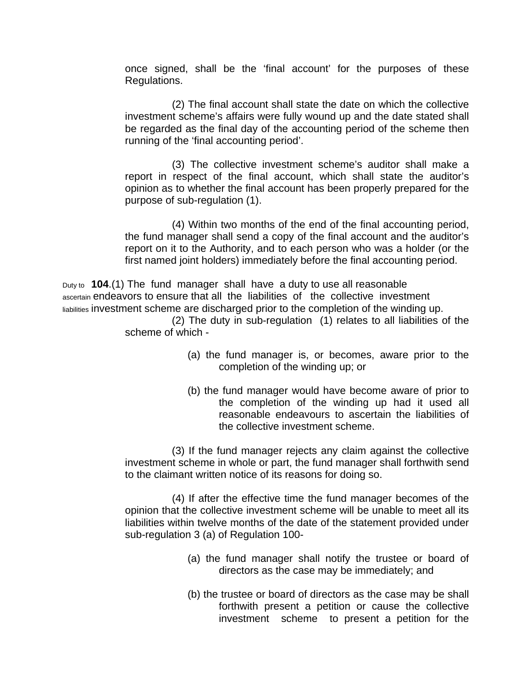once signed, shall be the 'final account' for the purposes of these Regulations.

(2) The final account shall state the date on which the collective investment scheme's affairs were fully wound up and the date stated shall be regarded as the final day of the accounting period of the scheme then running of the 'final accounting period'.

(3) The collective investment scheme's auditor shall make a report in respect of the final account, which shall state the auditor's opinion as to whether the final account has been properly prepared for the purpose of sub-regulation (1).

(4) Within two months of the end of the final accounting period, the fund manager shall send a copy of the final account and the auditor's report on it to the Authority, and to each person who was a holder (or the first named joint holders) immediately before the final accounting period.

Duty to **104**.(1) The fund manager shall have a duty to use all reasonable ascertain endeavors to ensure that all the liabilities of the collective investment liabilities investment scheme are discharged prior to the completion of the winding up.

(2) The duty in sub-regulation (1) relates to all liabilities of the scheme of which -

- (a) the fund manager is, or becomes, aware prior to the completion of the winding up; or
- (b) the fund manager would have become aware of prior to the completion of the winding up had it used all reasonable endeavours to ascertain the liabilities of the collective investment scheme.

(3) If the fund manager rejects any claim against the collective investment scheme in whole or part, the fund manager shall forthwith send to the claimant written notice of its reasons for doing so.

(4) If after the effective time the fund manager becomes of the opinion that the collective investment scheme will be unable to meet all its liabilities within twelve months of the date of the statement provided under sub-regulation 3 (a) of Regulation 100-

- (a) the fund manager shall notify the trustee or board of directors as the case may be immediately; and
- (b) the trustee or board of directors as the case may be shall forthwith present a petition or cause the collective investment scheme to present a petition for the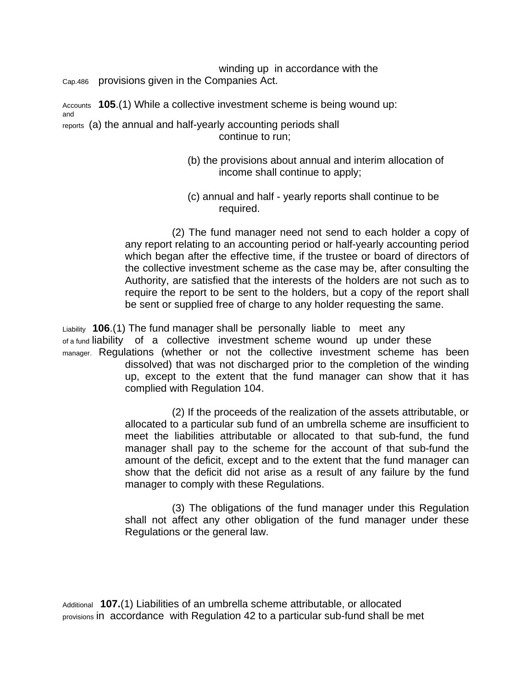winding up in accordance with the Cap.486 provisions given in the Companies Act.

Accounts **105**.(1) While a collective investment scheme is being wound up: and reports (a) the annual and half-yearly accounting periods shall continue to run;

- (b) the provisions about annual and interim allocation of income shall continue to apply;
- (c) annual and half yearly reports shall continue to be required.

(2) The fund manager need not send to each holder a copy of any report relating to an accounting period or half-yearly accounting period which began after the effective time, if the trustee or board of directors of the collective investment scheme as the case may be, after consulting the Authority, are satisfied that the interests of the holders are not such as to require the report to be sent to the holders, but a copy of the report shall be sent or supplied free of charge to any holder requesting the same.

Liability **106**.(1) The fund manager shall be personally liable to meet any of a fund liability of a collective investment scheme wound up under these manager. Regulations (whether or not the collective investment scheme has been dissolved) that was not discharged prior to the completion of the winding up, except to the extent that the fund manager can show that it has complied with Regulation 104.

> (2) If the proceeds of the realization of the assets attributable, or allocated to a particular sub fund of an umbrella scheme are insufficient to meet the liabilities attributable or allocated to that sub-fund, the fund manager shall pay to the scheme for the account of that sub-fund the amount of the deficit, except and to the extent that the fund manager can show that the deficit did not arise as a result of any failure by the fund manager to comply with these Regulations.

> (3) The obligations of the fund manager under this Regulation shall not affect any other obligation of the fund manager under these Regulations or the general law.

Additional **107.**(1) Liabilities of an umbrella scheme attributable, or allocated provisions in accordance with Regulation 42 to a particular sub-fund shall be met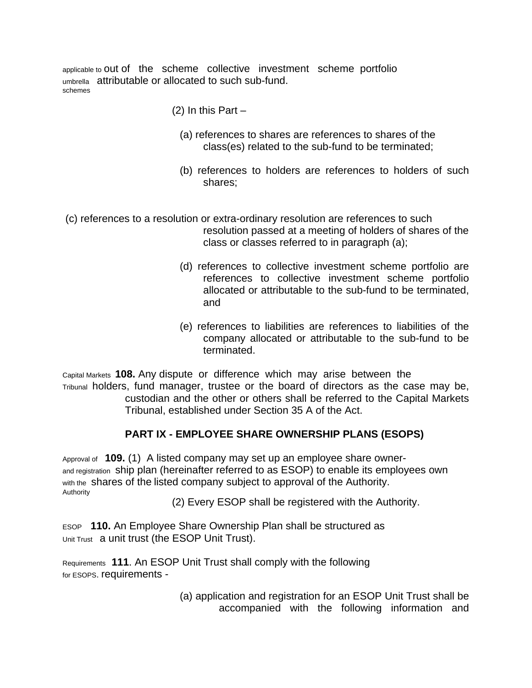applicable to out of the scheme collective investment scheme portfolio umbrella attributable or allocated to such sub-fund. schemes

- $(2)$  In this Part  $-$ 
	- (a) references to shares are references to shares of the class(es) related to the sub-fund to be terminated;
	- (b) references to holders are references to holders of such shares;

 (c) references to a resolution or extra-ordinary resolution are references to such resolution passed at a meeting of holders of shares of the class or classes referred to in paragraph (a);

- (d) references to collective investment scheme portfolio are references to collective investment scheme portfolio allocated or attributable to the sub-fund to be terminated, and
- (e) references to liabilities are references to liabilities of the company allocated or attributable to the sub-fund to be terminated.

Capital Markets **108.** Any dispute or difference which may arise between the Tribunal holders, fund manager, trustee or the board of directors as the case may be, custodian and the other or others shall be referred to the Capital Markets Tribunal, established under Section 35 A of the Act.

# **PART IX - EMPLOYEE SHARE OWNERSHIP PLANS (ESOPS)**

Approval of **109.** (1) A listed company may set up an employee share ownerand registration ship plan (hereinafter referred to as ESOP) to enable its employees own with the shares of the listed company subject to approval of the Authority. Authority

(2) Every ESOP shall be registered with the Authority.

ESOP **110.** An Employee Share Ownership Plan shall be structured as Unit Trust a unit trust (the ESOP Unit Trust).

Requirements **111**. An ESOP Unit Trust shall comply with the following for ESOPS. requirements -

> (a) application and registration for an ESOP Unit Trust shall be accompanied with the following information and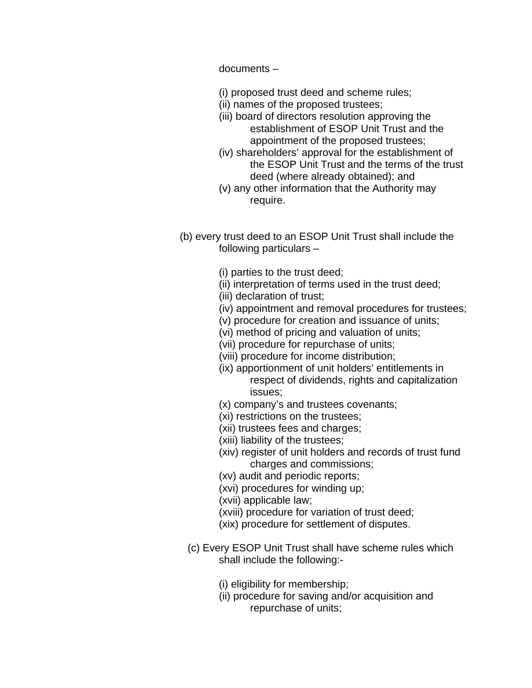documents –

- (i) proposed trust deed and scheme rules;
- (ii) names of the proposed trustees;
- (iii) board of directors resolution approving the establishment of ESOP Unit Trust and the appointment of the proposed trustees;
- (iv) shareholders' approval for the establishment of the ESOP Unit Trust and the terms of the trust deed (where already obtained); and
- (v) any other information that the Authority may require.
- (b) every trust deed to an ESOP Unit Trust shall include the following particulars –
	- (i) parties to the trust deed;
	- (ii) interpretation of terms used in the trust deed;
	- (iii) declaration of trust;
	- (iv) appointment and removal procedures for trustees;
	- (v) procedure for creation and issuance of units;
	- (vi) method of pricing and valuation of units;
	- (vii) procedure for repurchase of units;
	- (viii) procedure for income distribution;
	- (ix) apportionment of unit holders' entitlements in respect of dividends, rights and capitalization issues;
	- (x) company's and trustees covenants;
	- (xi) restrictions on the trustees;
	- (xii) trustees fees and charges;
	- (xiii) liability of the trustees;
	- (xiv) register of unit holders and records of trust fund charges and commissions;
	- (xv) audit and periodic reports;
	- (xvi) procedures for winding up;
	- (xvii) applicable law;
	- (xviii) procedure for variation of trust deed;
	- (xix) procedure for settlement of disputes.
	- (c) Every ESOP Unit Trust shall have scheme rules which shall include the following:-
		- (i) eligibility for membership;
		- (ii) procedure for saving and/or acquisition and repurchase of units;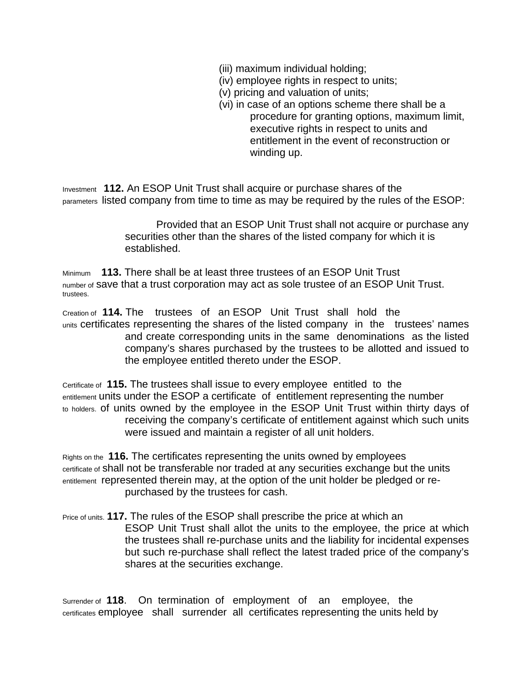- (iii) maximum individual holding;
- (iv) employee rights in respect to units;
- (v) pricing and valuation of units;
- (vi) in case of an options scheme there shall be a procedure for granting options, maximum limit, executive rights in respect to units and entitlement in the event of reconstruction or winding up.

Investment **112.** An ESOP Unit Trust shall acquire or purchase shares of the parameters listed company from time to time as may be required by the rules of the ESOP:

> Provided that an ESOP Unit Trust shall not acquire or purchase any securities other than the shares of the listed company for which it is established.

Minimum **113.** There shall be at least three trustees of an ESOP Unit Trust number of save that a trust corporation may act as sole trustee of an ESOP Unit Trust. trustees.

Creation of **114.** The trustees of an ESOP Unit Trust shall hold the units certificates representing the shares of the listed company in the trustees' names and create corresponding units in the same denominations as the listed company's shares purchased by the trustees to be allotted and issued to the employee entitled thereto under the ESOP.

Certificate of **115.** The trustees shall issue to every employee entitled to the entitlement units under the ESOP a certificate of entitlement representing the number to holders. of units owned by the employee in the ESOP Unit Trust within thirty days of receiving the company's certificate of entitlement against which such units were issued and maintain a register of all unit holders.

Rights on the **116.** The certificates representing the units owned by employees certificate of shall not be transferable nor traded at any securities exchange but the units entitlement represented therein may, at the option of the unit holder be pledged or repurchased by the trustees for cash.

Price of units. **117.** The rules of the ESOP shall prescribe the price at which an ESOP Unit Trust shall allot the units to the employee, the price at which the trustees shall re-purchase units and the liability for incidental expenses but such re-purchase shall reflect the latest traded price of the company's shares at the securities exchange.

Surrender of **118**. On termination of employment of an employee, the certificates employee shall surrender all certificates representing the units held by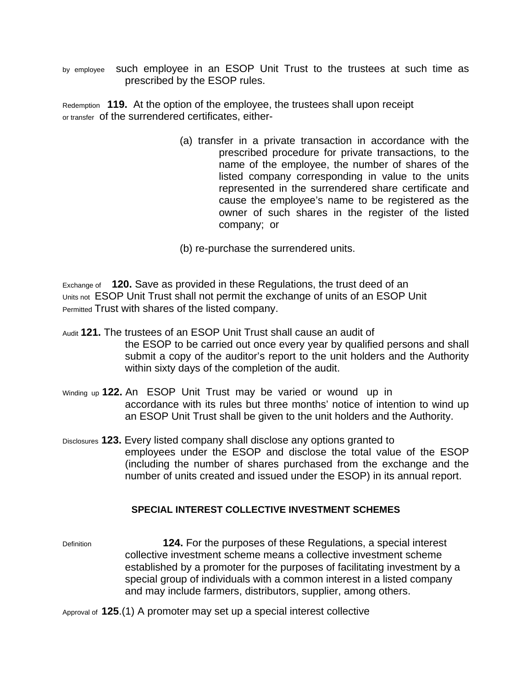by employee such employee in an ESOP Unit Trust to the trustees at such time as prescribed by the ESOP rules.

Redemption **119.** At the option of the employee, the trustees shall upon receipt or transfer of the surrendered certificates, either-

> (a) transfer in a private transaction in accordance with the prescribed procedure for private transactions, to the name of the employee, the number of shares of the listed company corresponding in value to the units represented in the surrendered share certificate and cause the employee's name to be registered as the owner of such shares in the register of the listed company; or

(b) re-purchase the surrendered units.

Exchange of **120.** Save as provided in these Regulations, the trust deed of an Units not ESOP Unit Trust shall not permit the exchange of units of an ESOP Unit Permitted Trust with shares of the listed company.

- Audit **121.** The trustees of an ESOP Unit Trust shall cause an audit of the ESOP to be carried out once every year by qualified persons and shall submit a copy of the auditor's report to the unit holders and the Authority within sixty days of the completion of the audit.
- Winding up **122.** An ESOP Unit Trust may be varied or wound up in accordance with its rules but three months' notice of intention to wind up an ESOP Unit Trust shall be given to the unit holders and the Authority.
- Disclosures **123.** Every listed company shall disclose any options granted to employees under the ESOP and disclose the total value of the ESOP (including the number of shares purchased from the exchange and the number of units created and issued under the ESOP) in its annual report.

### **SPECIAL INTEREST COLLECTIVE INVESTMENT SCHEMES**

Definition **124.** For the purposes of these Regulations, a special interest collective investment scheme means a collective investment scheme established by a promoter for the purposes of facilitating investment by a special group of individuals with a common interest in a listed company and may include farmers, distributors, supplier, among others.

Approval of **125**.(1) A promoter may set up a special interest collective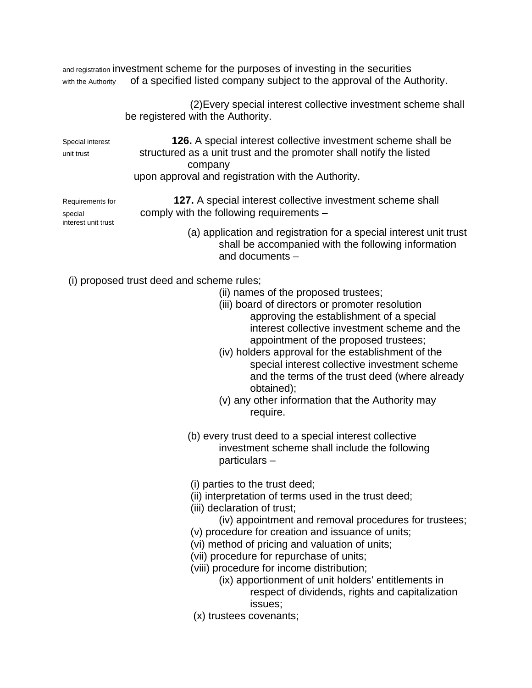| and registration investment scheme for the purposes of investing in the securities |                                                                         |  |
|------------------------------------------------------------------------------------|-------------------------------------------------------------------------|--|
| with the Authority                                                                 | of a specified listed company subject to the approval of the Authority. |  |

|                                                    | (2) Every special interest collective investment scheme shall<br>be registered with the Authority.                                                                                                                                                                                                                                                                                                                                                                                                                             |
|----------------------------------------------------|--------------------------------------------------------------------------------------------------------------------------------------------------------------------------------------------------------------------------------------------------------------------------------------------------------------------------------------------------------------------------------------------------------------------------------------------------------------------------------------------------------------------------------|
| Special interest<br>unit trust                     | <b>126.</b> A special interest collective investment scheme shall be<br>structured as a unit trust and the promoter shall notify the listed<br>company<br>upon approval and registration with the Authority.                                                                                                                                                                                                                                                                                                                   |
| Requirements for<br>special<br>interest unit trust | 127. A special interest collective investment scheme shall<br>comply with the following requirements -                                                                                                                                                                                                                                                                                                                                                                                                                         |
|                                                    | (a) application and registration for a special interest unit trust<br>shall be accompanied with the following information<br>and documents -                                                                                                                                                                                                                                                                                                                                                                                   |
|                                                    | (i) proposed trust deed and scheme rules;<br>(ii) names of the proposed trustees;<br>(iii) board of directors or promoter resolution<br>approving the establishment of a special<br>interest collective investment scheme and the<br>appointment of the proposed trustees;<br>(iv) holders approval for the establishment of the<br>special interest collective investment scheme<br>and the terms of the trust deed (where already<br>obtained);<br>(v) any other information that the Authority may<br>require.              |
|                                                    | (b) every trust deed to a special interest collective<br>investment scheme shall include the following<br>particulars-                                                                                                                                                                                                                                                                                                                                                                                                         |
|                                                    | (i) parties to the trust deed;<br>(ii) interpretation of terms used in the trust deed;<br>(iii) declaration of trust;<br>(iv) appointment and removal procedures for trustees;<br>(v) procedure for creation and issuance of units;<br>(vi) method of pricing and valuation of units;<br>(vii) procedure for repurchase of units;<br>(viii) procedure for income distribution;<br>(ix) apportionment of unit holders' entitlements in<br>respect of dividends, rights and capitalization<br>issues;<br>(x) trustees covenants; |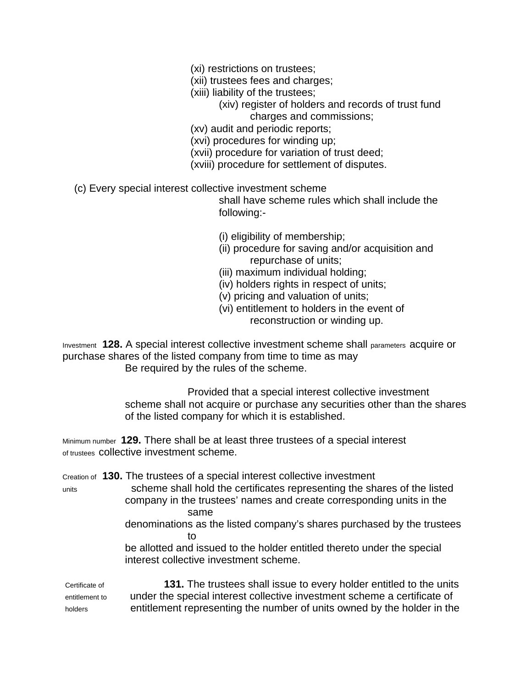- (xi) restrictions on trustees;
- (xii) trustees fees and charges;
- (xiii) liability of the trustees;
	- (xiv) register of holders and records of trust fund charges and commissions;
- (xv) audit and periodic reports;
- (xvi) procedures for winding up;
- (xvii) procedure for variation of trust deed;
- (xviii) procedure for settlement of disputes.
- (c) Every special interest collective investment scheme

shall have scheme rules which shall include the following:-

- (i) eligibility of membership;
- (ii) procedure for saving and/or acquisition and repurchase of units;
- (iii) maximum individual holding;
- (iv) holders rights in respect of units;
- (v) pricing and valuation of units;
- (vi) entitlement to holders in the event of reconstruction or winding up.

Investment **128.** A special interest collective investment scheme shall parameters acquire or purchase shares of the listed company from time to time as may Be required by the rules of the scheme.

> Provided that a special interest collective investment scheme shall not acquire or purchase any securities other than the shares of the listed company for which it is established.

Minimum number **129.** There shall be at least three trustees of a special interest of trustees collective investment scheme.

Creation of **130.** The trustees of a special interest collective investment

units scheme shall hold the certificates representing the shares of the listed company in the trustees' names and create corresponding units in the same

denominations as the listed company's shares purchased by the trustees to

be allotted and issued to the holder entitled thereto under the special interest collective investment scheme.

Certificate of **131.** The trustees shall issue to every holder entitled to the units entitlement to under the special interest collective investment scheme a certificate of holders entitlement representing the number of units owned by the holder in the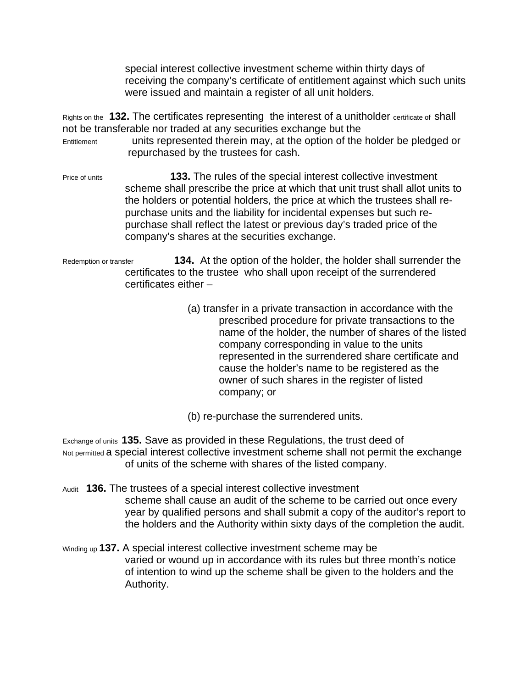special interest collective investment scheme within thirty days of receiving the company's certificate of entitlement against which such units were issued and maintain a register of all unit holders.

Rights on the **132.** The certificates representing the interest of a unitholder certificate of shall not be transferable nor traded at any securities exchange but the Entitlement units represented therein may, at the option of the holder be pledged or repurchased by the trustees for cash.

Price of units **133.** The rules of the special interest collective investment scheme shall prescribe the price at which that unit trust shall allot units to the holders or potential holders, the price at which the trustees shall repurchase units and the liability for incidental expenses but such repurchase shall reflect the latest or previous day's traded price of the company's shares at the securities exchange.

Redemption or transfer **134.** At the option of the holder, the holder shall surrender the certificates to the trustee who shall upon receipt of the surrendered certificates either –

- (a) transfer in a private transaction in accordance with the prescribed procedure for private transactions to the name of the holder, the number of shares of the listed company corresponding in value to the units represented in the surrendered share certificate and cause the holder's name to be registered as the owner of such shares in the register of listed company; or
- (b) re-purchase the surrendered units.

Exchange of units **135.** Save as provided in these Regulations, the trust deed of Not permitted a special interest collective investment scheme shall not permit the exchange of units of the scheme with shares of the listed company.

- Audit **136.** The trustees of a special interest collective investment scheme shall cause an audit of the scheme to be carried out once every year by qualified persons and shall submit a copy of the auditor's report to the holders and the Authority within sixty days of the completion the audit.
- Winding up **137.** A special interest collective investment scheme may be varied or wound up in accordance with its rules but three month's notice of intention to wind up the scheme shall be given to the holders and the Authority.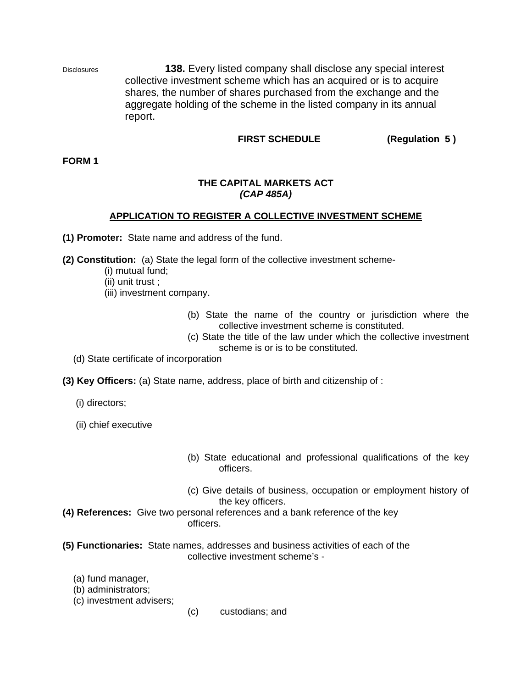Disclosures **138.** Every listed company shall disclose any special interest collective investment scheme which has an acquired or is to acquire shares, the number of shares purchased from the exchange and the aggregate holding of the scheme in the listed company in its annual report.

### **FIRST SCHEDULE (Regulation 5 )**

**FORM 1** 

#### **THE CAPITAL MARKETS ACT**  *(CAP 485A)*

### **APPLICATION TO REGISTER A COLLECTIVE INVESTMENT SCHEME**

**(1) Promoter:** State name and address of the fund.

**(2) Constitution:** (a) State the legal form of the collective investment scheme-

- (i) mutual fund;
- (ii) unit trust ;
- (iii) investment company.
	- (b) State the name of the country or jurisdiction where the collective investment scheme is constituted.
	- (c) State the title of the law under which the collective investment scheme is or is to be constituted.
- (d) State certificate of incorporation
- **(3) Key Officers:** (a) State name, address, place of birth and citizenship of :

(i) directors;

(ii) chief executive

- (b) State educational and professional qualifications of the key officers.
- (c) Give details of business, occupation or employment history of the key officers.
- **(4) References:** Give two personal references and a bank reference of the key officers.
- **(5) Functionaries:** State names, addresses and business activities of each of the collective investment scheme's -

(a) fund manager,

- (b) administrators;
- (c) investment advisers;
- (c) custodians; and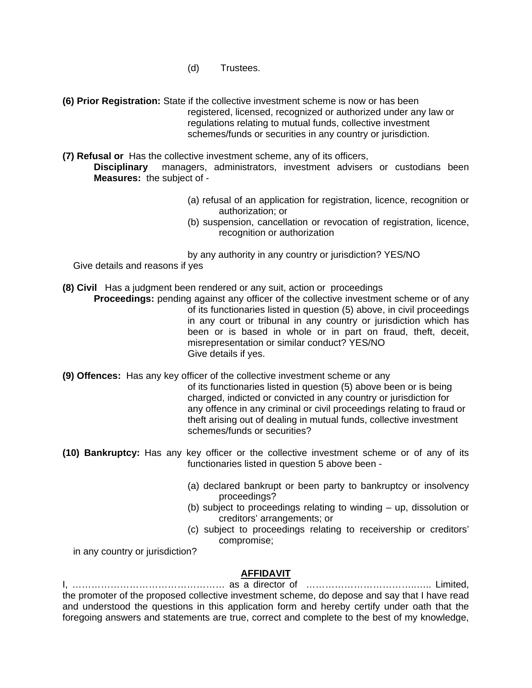- (d) Trustees.
- **(6) Prior Registration:** State if the collective investment scheme is now or has been registered, licensed, recognized or authorized under any law or regulations relating to mutual funds, collective investment schemes/funds or securities in any country or jurisdiction.
- **(7) Refusal or** Has the collective investment scheme, any of its officers, **Disciplinary** managers, administrators, investment advisers or custodians been

**Measures:** the subject of -

- (a) refusal of an application for registration, licence, recognition or authorization; or
- (b) suspension, cancellation or revocation of registration, licence, recognition or authorization

by any authority in any country or jurisdiction? YES/NO Give details and reasons if yes

**(8) Civil** Has a judgment been rendered or any suit, action or proceedings

**Proceedings:** pending against any officer of the collective investment scheme or of any of its functionaries listed in question (5) above, in civil proceedings in any court or tribunal in any country or jurisdiction which has been or is based in whole or in part on fraud, theft, deceit, misrepresentation or similar conduct? YES/NO Give details if yes.

**(9) Offences:** Has any key officer of the collective investment scheme or any

of its functionaries listed in question (5) above been or is being charged, indicted or convicted in any country or jurisdiction for any offence in any criminal or civil proceedings relating to fraud or theft arising out of dealing in mutual funds, collective investment schemes/funds or securities?

- **(10) Bankruptcy:** Has any key officer or the collective investment scheme or of any of its functionaries listed in question 5 above been -
	- (a) declared bankrupt or been party to bankruptcy or insolvency proceedings?
	- (b) subject to proceedings relating to winding up, dissolution or creditors' arrangements; or
	- (c) subject to proceedings relating to receivership or creditors' compromise;

in any country or jurisdiction?

### **AFFIDAVIT**

I, ………………………………………… as a director of ……………………………..….. Limited, the promoter of the proposed collective investment scheme, do depose and say that I have read and understood the questions in this application form and hereby certify under oath that the foregoing answers and statements are true, correct and complete to the best of my knowledge,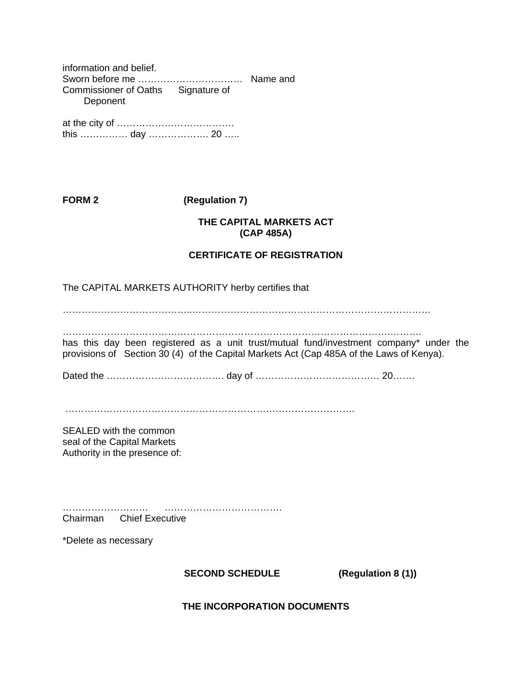information and belief. Sworn before me …………………………… Name and Commissioner of Oaths Signature of Deponent

at the city of ………………………………. this …………… day ………………. 20 …..

# **FORM 2 (Regulation 7)**

## **THE CAPITAL MARKETS ACT (CAP 485A)**

## **CERTIFICATE OF REGISTRATION**

The CAPITAL MARKETS AUTHORITY herby certifies that

…………………………………..…………………………………………………………………

………………………………………………………………………………………….……….

has this day been registered as a unit trust/mutual fund/investment company\* under the provisions of Section 30 (4) of the Capital Markets Act (Cap 485A of the Laws of Kenya).

Dated the ………………………………. day of ………………………………… 20…….

……………………………………………………………………………….

SEALED with the common seal of the Capital Markets Authority in the presence of:

……………………… ………………………………. Chairman Chief Executive

\*Delete as necessary

# **SECOND SCHEDULE (Regulation 8 (1))**

**THE INCORPORATION DOCUMENTS**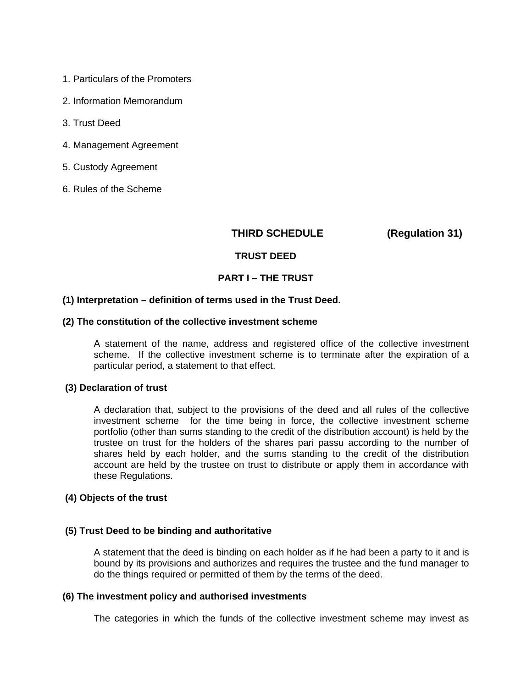- 1. Particulars of the Promoters
- 2. Information Memorandum
- 3. Trust Deed
- 4. Management Agreement
- 5. Custody Agreement
- 6. Rules of the Scheme

### **THIRD SCHEDULE (Regulation 31)**

#### **TRUST DEED**

### **PART I – THE TRUST**

#### **(1) Interpretation – definition of terms used in the Trust Deed.**

#### **(2) The constitution of the collective investment scheme**

A statement of the name, address and registered office of the collective investment scheme. If the collective investment scheme is to terminate after the expiration of a particular period, a statement to that effect.

#### **(3) Declaration of trust**

A declaration that, subject to the provisions of the deed and all rules of the collective investment scheme for the time being in force, the collective investment scheme portfolio (other than sums standing to the credit of the distribution account) is held by the trustee on trust for the holders of the shares pari passu according to the number of shares held by each holder, and the sums standing to the credit of the distribution account are held by the trustee on trust to distribute or apply them in accordance with these Regulations.

#### **(4) Objects of the trust**

#### **(5) Trust Deed to be binding and authoritative**

A statement that the deed is binding on each holder as if he had been a party to it and is bound by its provisions and authorizes and requires the trustee and the fund manager to do the things required or permitted of them by the terms of the deed.

#### **(6) The investment policy and authorised investments**

The categories in which the funds of the collective investment scheme may invest as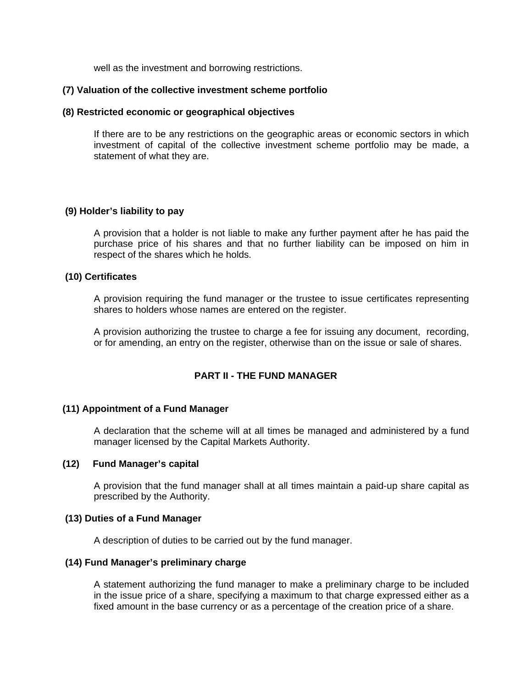well as the investment and borrowing restrictions.

### **(7) Valuation of the collective investment scheme portfolio**

#### **(8) Restricted economic or geographical objectives**

If there are to be any restrictions on the geographic areas or economic sectors in which investment of capital of the collective investment scheme portfolio may be made, a statement of what they are.

### **(9) Holder's liability to pay**

A provision that a holder is not liable to make any further payment after he has paid the purchase price of his shares and that no further liability can be imposed on him in respect of the shares which he holds.

### **(10) Certificates**

A provision requiring the fund manager or the trustee to issue certificates representing shares to holders whose names are entered on the register.

A provision authorizing the trustee to charge a fee for issuing any document, recording, or for amending, an entry on the register, otherwise than on the issue or sale of shares.

### **PART II - THE FUND MANAGER**

### **(11) Appointment of a Fund Manager**

A declaration that the scheme will at all times be managed and administered by a fund manager licensed by the Capital Markets Authority.

#### **(12) Fund Manager's capital**

A provision that the fund manager shall at all times maintain a paid-up share capital as prescribed by the Authority.

#### **(13) Duties of a Fund Manager**

A description of duties to be carried out by the fund manager.

#### **(14) Fund Manager's preliminary charge**

A statement authorizing the fund manager to make a preliminary charge to be included in the issue price of a share, specifying a maximum to that charge expressed either as a fixed amount in the base currency or as a percentage of the creation price of a share.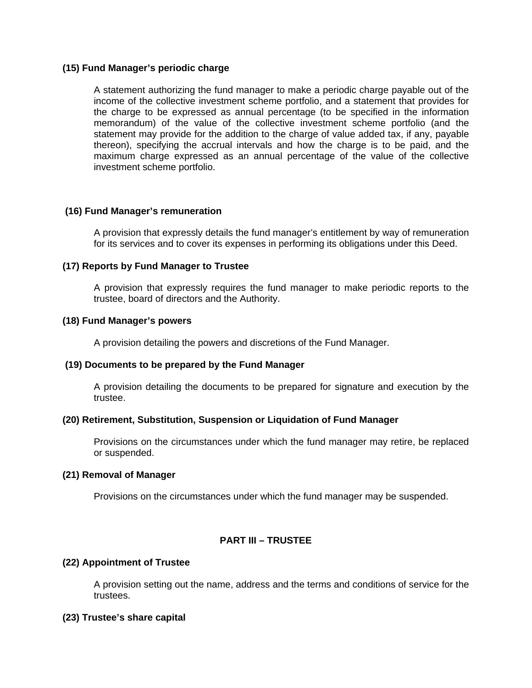### **(15) Fund Manager's periodic charge**

A statement authorizing the fund manager to make a periodic charge payable out of the income of the collective investment scheme portfolio, and a statement that provides for the charge to be expressed as annual percentage (to be specified in the information memorandum) of the value of the collective investment scheme portfolio (and the statement may provide for the addition to the charge of value added tax, if any, payable thereon), specifying the accrual intervals and how the charge is to be paid, and the maximum charge expressed as an annual percentage of the value of the collective investment scheme portfolio.

### **(16) Fund Manager's remuneration**

A provision that expressly details the fund manager's entitlement by way of remuneration for its services and to cover its expenses in performing its obligations under this Deed.

### **(17) Reports by Fund Manager to Trustee**

A provision that expressly requires the fund manager to make periodic reports to the trustee, board of directors and the Authority.

### **(18) Fund Manager's powers**

A provision detailing the powers and discretions of the Fund Manager.

### **(19) Documents to be prepared by the Fund Manager**

A provision detailing the documents to be prepared for signature and execution by the trustee.

### **(20) Retirement, Substitution, Suspension or Liquidation of Fund Manager**

Provisions on the circumstances under which the fund manager may retire, be replaced or suspended.

### **(21) Removal of Manager**

Provisions on the circumstances under which the fund manager may be suspended.

### **PART III – TRUSTEE**

### **(22) Appointment of Trustee**

A provision setting out the name, address and the terms and conditions of service for the trustees.

### **(23) Trustee's share capital**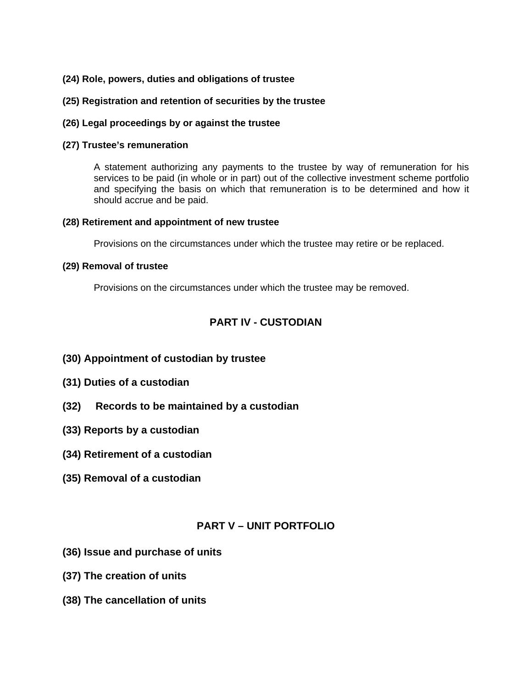### **(24) Role, powers, duties and obligations of trustee**

### **(25) Registration and retention of securities by the trustee**

### **(26) Legal proceedings by or against the trustee**

### **(27) Trustee's remuneration**

A statement authorizing any payments to the trustee by way of remuneration for his services to be paid (in whole or in part) out of the collective investment scheme portfolio and specifying the basis on which that remuneration is to be determined and how it should accrue and be paid.

### **(28) Retirement and appointment of new trustee**

Provisions on the circumstances under which the trustee may retire or be replaced.

### **(29) Removal of trustee**

Provisions on the circumstances under which the trustee may be removed.

## **PART IV - CUSTODIAN**

- **(30) Appointment of custodian by trustee**
- **(31) Duties of a custodian**
- **(32) Records to be maintained by a custodian**
- **(33) Reports by a custodian**
- **(34) Retirement of a custodian**
- **(35) Removal of a custodian**

### **PART V – UNIT PORTFOLIO**

- **(36) Issue and purchase of units**
- **(37) The creation of units**
- **(38) The cancellation of units**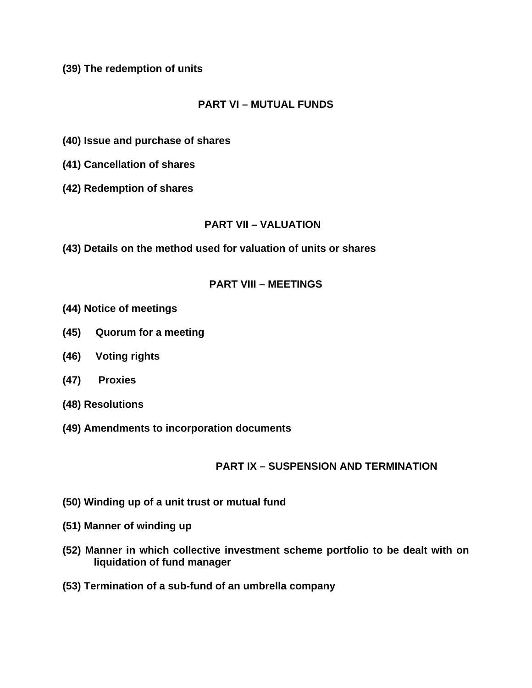**(39) The redemption of units** 

# **PART VI – MUTUAL FUNDS**

- **(40) Issue and purchase of shares**
- **(41) Cancellation of shares**
- **(42) Redemption of shares**

# **PART VII – VALUATION**

**(43) Details on the method used for valuation of units or shares** 

## **PART VIII – MEETINGS**

- **(44) Notice of meetings**
- **(45) Quorum for a meeting**
- **(46) Voting rights**
- **(47) Proxies**
- **(48) Resolutions**
- **(49) Amendments to incorporation documents**

# **PART IX – SUSPENSION AND TERMINATION**

- **(50) Winding up of a unit trust or mutual fund**
- **(51) Manner of winding up**
- **(52) Manner in which collective investment scheme portfolio to be dealt with on liquidation of fund manager**
- **(53) Termination of a sub-fund of an umbrella company**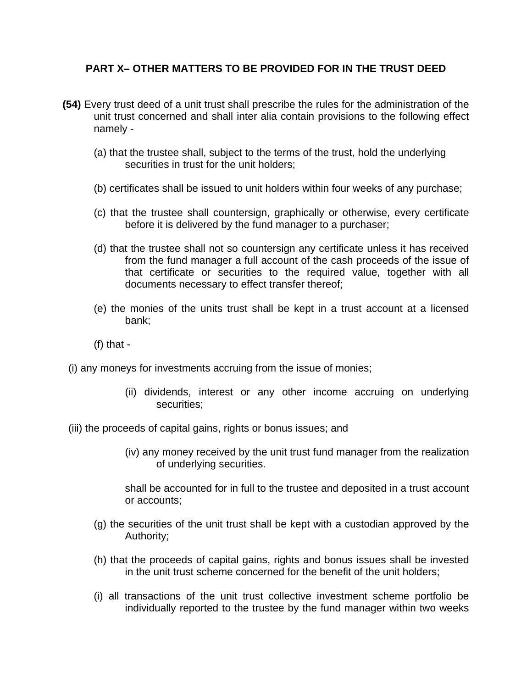## **PART X– OTHER MATTERS TO BE PROVIDED FOR IN THE TRUST DEED**

- **(54)** Every trust deed of a unit trust shall prescribe the rules for the administration of the unit trust concerned and shall inter alia contain provisions to the following effect namely -
	- (a) that the trustee shall, subject to the terms of the trust, hold the underlying securities in trust for the unit holders;
	- (b) certificates shall be issued to unit holders within four weeks of any purchase;
	- (c) that the trustee shall countersign, graphically or otherwise, every certificate before it is delivered by the fund manager to a purchaser;
	- (d) that the trustee shall not so countersign any certificate unless it has received from the fund manager a full account of the cash proceeds of the issue of that certificate or securities to the required value, together with all documents necessary to effect transfer thereof;
	- (e) the monies of the units trust shall be kept in a trust account at a licensed bank;
	- $(f)$  that -
	- (i) any moneys for investments accruing from the issue of monies;
		- (ii) dividends, interest or any other income accruing on underlying securities;
	- (iii) the proceeds of capital gains, rights or bonus issues; and
		- (iv) any money received by the unit trust fund manager from the realization of underlying securities.

shall be accounted for in full to the trustee and deposited in a trust account or accounts;

- (g) the securities of the unit trust shall be kept with a custodian approved by the Authority;
- (h) that the proceeds of capital gains, rights and bonus issues shall be invested in the unit trust scheme concerned for the benefit of the unit holders;
- (i) all transactions of the unit trust collective investment scheme portfolio be individually reported to the trustee by the fund manager within two weeks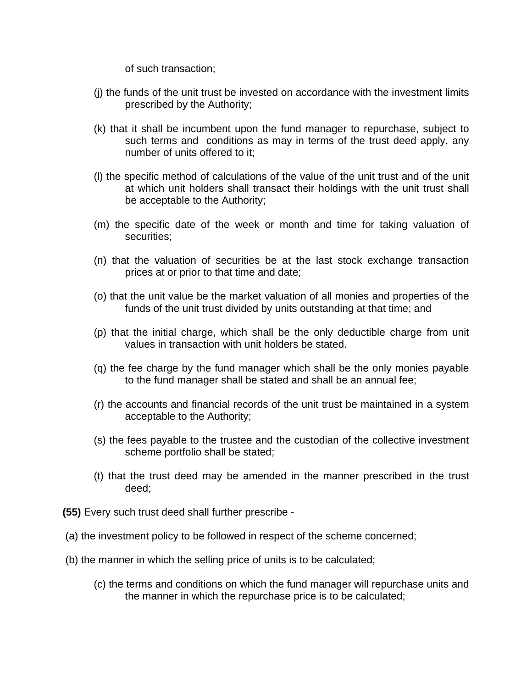of such transaction;

- (j) the funds of the unit trust be invested on accordance with the investment limits prescribed by the Authority;
- (k) that it shall be incumbent upon the fund manager to repurchase, subject to such terms and conditions as may in terms of the trust deed apply, any number of units offered to it;
- (l) the specific method of calculations of the value of the unit trust and of the unit at which unit holders shall transact their holdings with the unit trust shall be acceptable to the Authority;
- (m) the specific date of the week or month and time for taking valuation of securities;
- (n) that the valuation of securities be at the last stock exchange transaction prices at or prior to that time and date;
- (o) that the unit value be the market valuation of all monies and properties of the funds of the unit trust divided by units outstanding at that time; and
- (p) that the initial charge, which shall be the only deductible charge from unit values in transaction with unit holders be stated.
- (q) the fee charge by the fund manager which shall be the only monies payable to the fund manager shall be stated and shall be an annual fee;
- (r) the accounts and financial records of the unit trust be maintained in a system acceptable to the Authority;
- (s) the fees payable to the trustee and the custodian of the collective investment scheme portfolio shall be stated;
- (t) that the trust deed may be amended in the manner prescribed in the trust deed;
- **(55)** Every such trust deed shall further prescribe -
- (a) the investment policy to be followed in respect of the scheme concerned;
- (b) the manner in which the selling price of units is to be calculated;
	- (c) the terms and conditions on which the fund manager will repurchase units and the manner in which the repurchase price is to be calculated;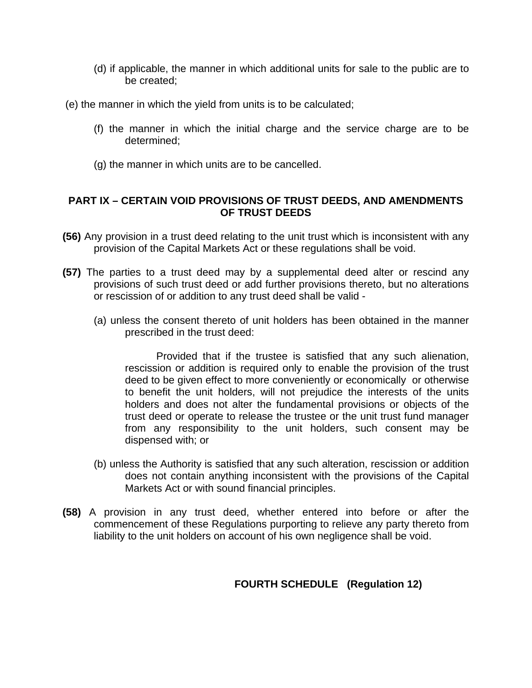- (d) if applicable, the manner in which additional units for sale to the public are to be created;
- (e) the manner in which the yield from units is to be calculated;
	- (f) the manner in which the initial charge and the service charge are to be determined;
	- (g) the manner in which units are to be cancelled.

## **PART IX – CERTAIN VOID PROVISIONS OF TRUST DEEDS, AND AMENDMENTS OF TRUST DEEDS**

- **(56)** Any provision in a trust deed relating to the unit trust which is inconsistent with any provision of the Capital Markets Act or these regulations shall be void.
- **(57)** The parties to a trust deed may by a supplemental deed alter or rescind any provisions of such trust deed or add further provisions thereto, but no alterations or rescission of or addition to any trust deed shall be valid -
	- (a) unless the consent thereto of unit holders has been obtained in the manner prescribed in the trust deed:

Provided that if the trustee is satisfied that any such alienation, rescission or addition is required only to enable the provision of the trust deed to be given effect to more conveniently or economically or otherwise to benefit the unit holders, will not prejudice the interests of the units holders and does not alter the fundamental provisions or objects of the trust deed or operate to release the trustee or the unit trust fund manager from any responsibility to the unit holders, such consent may be dispensed with; or

- (b) unless the Authority is satisfied that any such alteration, rescission or addition does not contain anything inconsistent with the provisions of the Capital Markets Act or with sound financial principles.
- **(58)** A provision in any trust deed, whether entered into before or after the commencement of these Regulations purporting to relieve any party thereto from liability to the unit holders on account of his own negligence shall be void.

# **FOURTH SCHEDULE (Regulation 12)**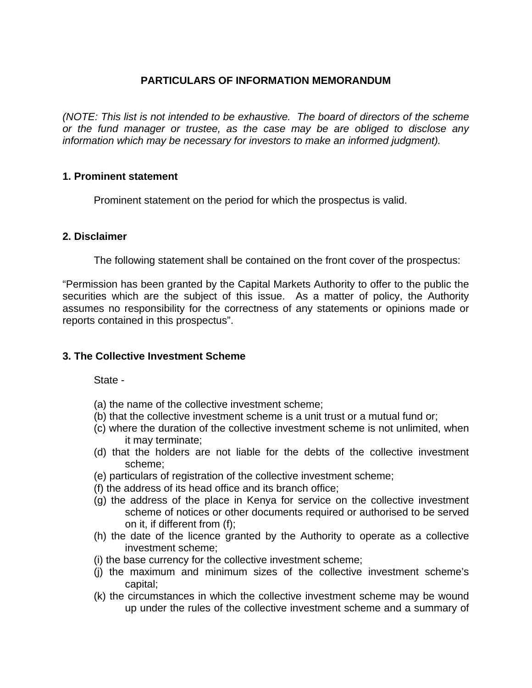# **PARTICULARS OF INFORMATION MEMORANDUM**

*(NOTE: This list is not intended to be exhaustive. The board of directors of the scheme or the fund manager or trustee, as the case may be are obliged to disclose any information which may be necessary for investors to make an informed judgment).*

### **1. Prominent statement**

Prominent statement on the period for which the prospectus is valid.

### **2. Disclaimer**

The following statement shall be contained on the front cover of the prospectus:

"Permission has been granted by the Capital Markets Authority to offer to the public the securities which are the subject of this issue. As a matter of policy, the Authority assumes no responsibility for the correctness of any statements or opinions made or reports contained in this prospectus".

## **3. The Collective Investment Scheme**

State -

- (a) the name of the collective investment scheme;
- (b) that the collective investment scheme is a unit trust or a mutual fund or;
- (c) where the duration of the collective investment scheme is not unlimited, when it may terminate;
- (d) that the holders are not liable for the debts of the collective investment scheme;
- (e) particulars of registration of the collective investment scheme;
- (f) the address of its head office and its branch office;
- (g) the address of the place in Kenya for service on the collective investment scheme of notices or other documents required or authorised to be served on it, if different from (f);
- (h) the date of the licence granted by the Authority to operate as a collective investment scheme;
- (i) the base currency for the collective investment scheme;
- (j) the maximum and minimum sizes of the collective investment scheme's capital;
- (k) the circumstances in which the collective investment scheme may be wound up under the rules of the collective investment scheme and a summary of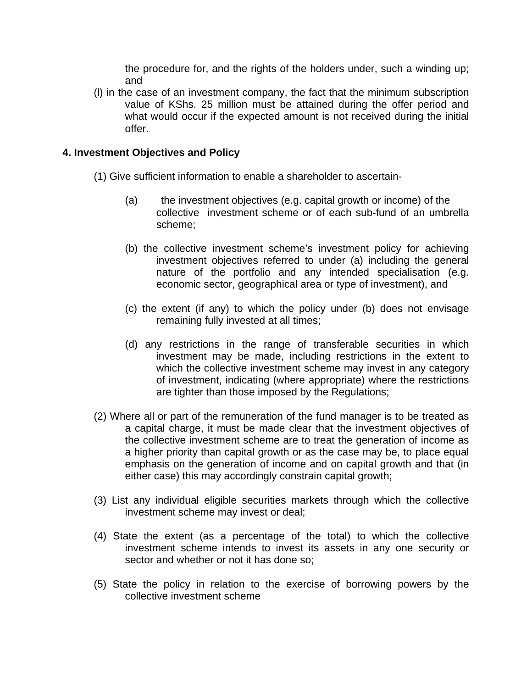the procedure for, and the rights of the holders under, such a winding up; and

(l) in the case of an investment company, the fact that the minimum subscription value of KShs. 25 million must be attained during the offer period and what would occur if the expected amount is not received during the initial offer.

## **4. Investment Objectives and Policy**

- (1) Give sufficient information to enable a shareholder to ascertain-
	- (a) the investment objectives (e.g. capital growth or income) of the collective investment scheme or of each sub-fund of an umbrella scheme;
	- (b) the collective investment scheme's investment policy for achieving investment objectives referred to under (a) including the general nature of the portfolio and any intended specialisation (e.g. economic sector, geographical area or type of investment), and
	- (c) the extent (if any) to which the policy under (b) does not envisage remaining fully invested at all times;
	- (d) any restrictions in the range of transferable securities in which investment may be made, including restrictions in the extent to which the collective investment scheme may invest in any category of investment, indicating (where appropriate) where the restrictions are tighter than those imposed by the Regulations;
- (2) Where all or part of the remuneration of the fund manager is to be treated as a capital charge, it must be made clear that the investment objectives of the collective investment scheme are to treat the generation of income as a higher priority than capital growth or as the case may be, to place equal emphasis on the generation of income and on capital growth and that (in either case) this may accordingly constrain capital growth;
- (3) List any individual eligible securities markets through which the collective investment scheme may invest or deal;
- (4) State the extent (as a percentage of the total) to which the collective investment scheme intends to invest its assets in any one security or sector and whether or not it has done so;
- (5) State the policy in relation to the exercise of borrowing powers by the collective investment scheme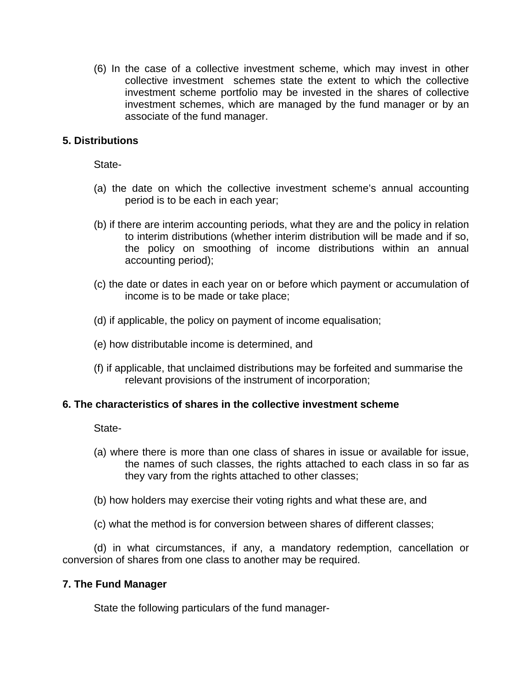(6) In the case of a collective investment scheme, which may invest in other collective investment schemes state the extent to which the collective investment scheme portfolio may be invested in the shares of collective investment schemes, which are managed by the fund manager or by an associate of the fund manager.

## **5. Distributions**

State-

- (a) the date on which the collective investment scheme's annual accounting period is to be each in each year;
- (b) if there are interim accounting periods, what they are and the policy in relation to interim distributions (whether interim distribution will be made and if so, the policy on smoothing of income distributions within an annual accounting period);
- (c) the date or dates in each year on or before which payment or accumulation of income is to be made or take place;
- (d) if applicable, the policy on payment of income equalisation;
- (e) how distributable income is determined, and
- (f) if applicable, that unclaimed distributions may be forfeited and summarise the relevant provisions of the instrument of incorporation;

## **6. The characteristics of shares in the collective investment scheme**

State-

- (a) where there is more than one class of shares in issue or available for issue, the names of such classes, the rights attached to each class in so far as they vary from the rights attached to other classes;
- (b) how holders may exercise their voting rights and what these are, and
- (c) what the method is for conversion between shares of different classes;

(d) in what circumstances, if any, a mandatory redemption, cancellation or conversion of shares from one class to another may be required.

## **7. The Fund Manager**

State the following particulars of the fund manager-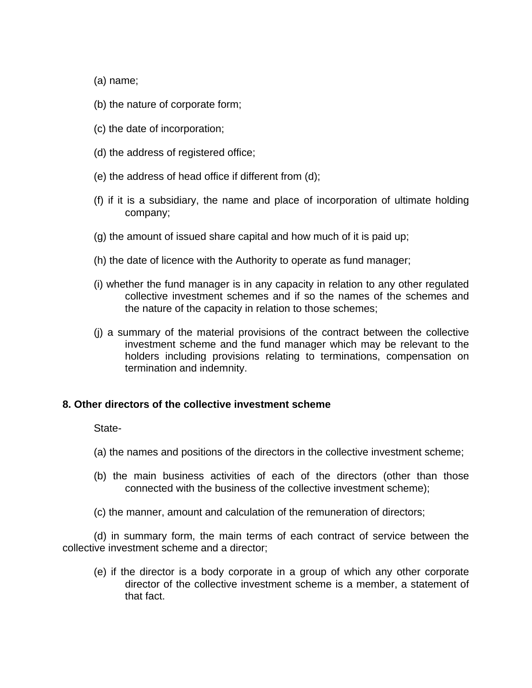(a) name;

- (b) the nature of corporate form;
- (c) the date of incorporation;
- (d) the address of registered office;
- (e) the address of head office if different from (d);
- (f) if it is a subsidiary, the name and place of incorporation of ultimate holding company;
- (g) the amount of issued share capital and how much of it is paid up;
- (h) the date of licence with the Authority to operate as fund manager;
- (i) whether the fund manager is in any capacity in relation to any other regulated collective investment schemes and if so the names of the schemes and the nature of the capacity in relation to those schemes;
- (j) a summary of the material provisions of the contract between the collective investment scheme and the fund manager which may be relevant to the holders including provisions relating to terminations, compensation on termination and indemnity.

### **8. Other directors of the collective investment scheme**

State-

- (a) the names and positions of the directors in the collective investment scheme;
- (b) the main business activities of each of the directors (other than those connected with the business of the collective investment scheme);
- (c) the manner, amount and calculation of the remuneration of directors;

(d) in summary form, the main terms of each contract of service between the collective investment scheme and a director;

(e) if the director is a body corporate in a group of which any other corporate director of the collective investment scheme is a member, a statement of that fact.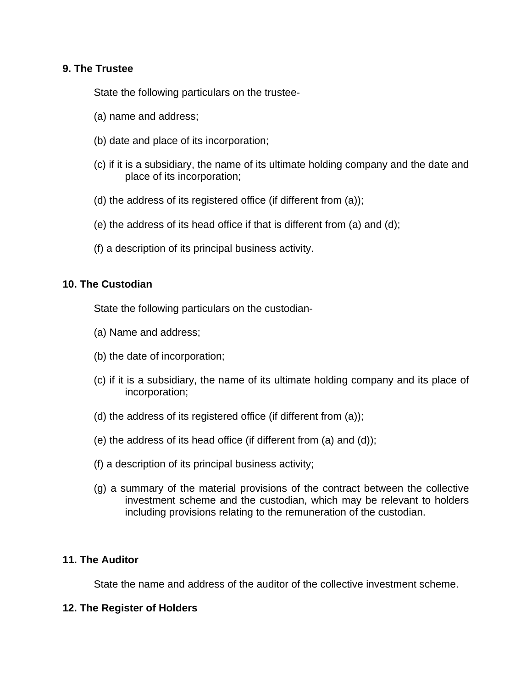## **9. The Trustee**

State the following particulars on the trustee-

- (a) name and address;
- (b) date and place of its incorporation;
- (c) if it is a subsidiary, the name of its ultimate holding company and the date and place of its incorporation;
- (d) the address of its registered office (if different from (a));
- (e) the address of its head office if that is different from (a) and (d);
- (f) a description of its principal business activity.

## **10. The Custodian**

State the following particulars on the custodian-

- (a) Name and address;
- (b) the date of incorporation;
- (c) if it is a subsidiary, the name of its ultimate holding company and its place of incorporation;
- (d) the address of its registered office (if different from (a));
- (e) the address of its head office (if different from (a) and (d));
- (f) a description of its principal business activity;
- (g) a summary of the material provisions of the contract between the collective investment scheme and the custodian, which may be relevant to holders including provisions relating to the remuneration of the custodian.

## **11. The Auditor**

State the name and address of the auditor of the collective investment scheme.

## **12. The Register of Holders**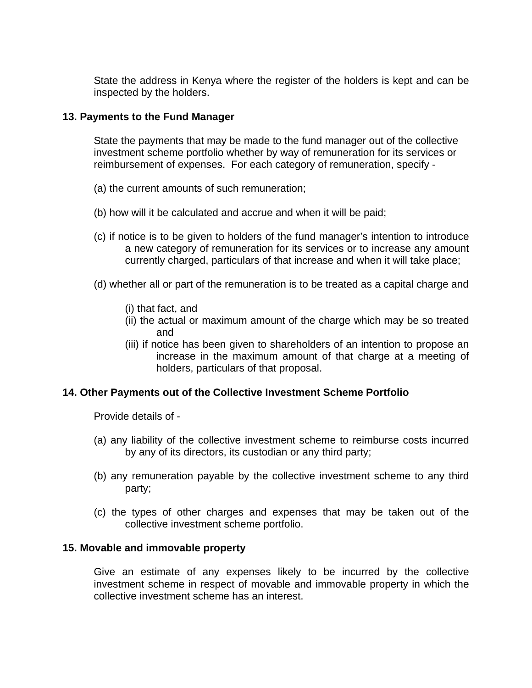State the address in Kenya where the register of the holders is kept and can be inspected by the holders.

## **13. Payments to the Fund Manager**

State the payments that may be made to the fund manager out of the collective investment scheme portfolio whether by way of remuneration for its services or reimbursement of expenses. For each category of remuneration, specify -

- (a) the current amounts of such remuneration;
- (b) how will it be calculated and accrue and when it will be paid;
- (c) if notice is to be given to holders of the fund manager's intention to introduce a new category of remuneration for its services or to increase any amount currently charged, particulars of that increase and when it will take place;
- (d) whether all or part of the remuneration is to be treated as a capital charge and
	- (i) that fact, and
	- (ii) the actual or maximum amount of the charge which may be so treated and
	- (iii) if notice has been given to shareholders of an intention to propose an increase in the maximum amount of that charge at a meeting of holders, particulars of that proposal.

# **14. Other Payments out of the Collective Investment Scheme Portfolio**

Provide details of -

- (a) any liability of the collective investment scheme to reimburse costs incurred by any of its directors, its custodian or any third party;
- (b) any remuneration payable by the collective investment scheme to any third party;
- (c) the types of other charges and expenses that may be taken out of the collective investment scheme portfolio.

## **15. Movable and immovable property**

Give an estimate of any expenses likely to be incurred by the collective investment scheme in respect of movable and immovable property in which the collective investment scheme has an interest.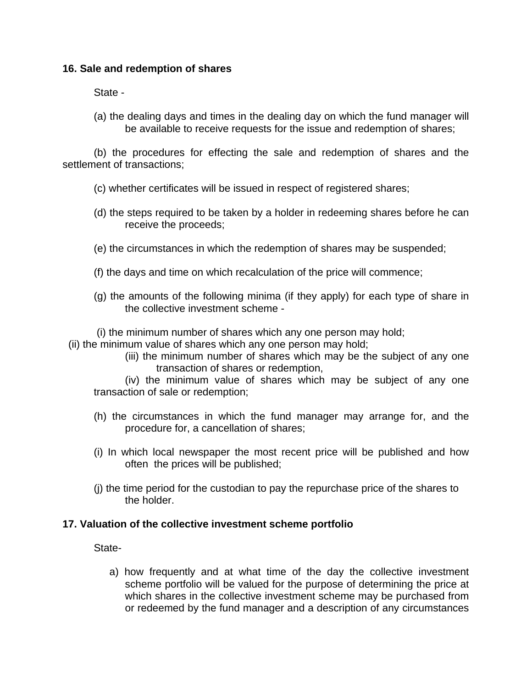## **16. Sale and redemption of shares**

State -

(a) the dealing days and times in the dealing day on which the fund manager will be available to receive requests for the issue and redemption of shares;

(b) the procedures for effecting the sale and redemption of shares and the settlement of transactions;

- (c) whether certificates will be issued in respect of registered shares;
- (d) the steps required to be taken by a holder in redeeming shares before he can receive the proceeds;
- (e) the circumstances in which the redemption of shares may be suspended;
- (f) the days and time on which recalculation of the price will commence;
- (g) the amounts of the following minima (if they apply) for each type of share in the collective investment scheme -

(i) the minimum number of shares which any one person may hold;

(ii) the minimum value of shares which any one person may hold;

(iii) the minimum number of shares which may be the subject of any one transaction of shares or redemption,

(iv) the minimum value of shares which may be subject of any one transaction of sale or redemption;

- (h) the circumstances in which the fund manager may arrange for, and the procedure for, a cancellation of shares;
- (i) In which local newspaper the most recent price will be published and how often the prices will be published;
- (j) the time period for the custodian to pay the repurchase price of the shares to the holder.

## **17. Valuation of the collective investment scheme portfolio**

State-

a) how frequently and at what time of the day the collective investment scheme portfolio will be valued for the purpose of determining the price at which shares in the collective investment scheme may be purchased from or redeemed by the fund manager and a description of any circumstances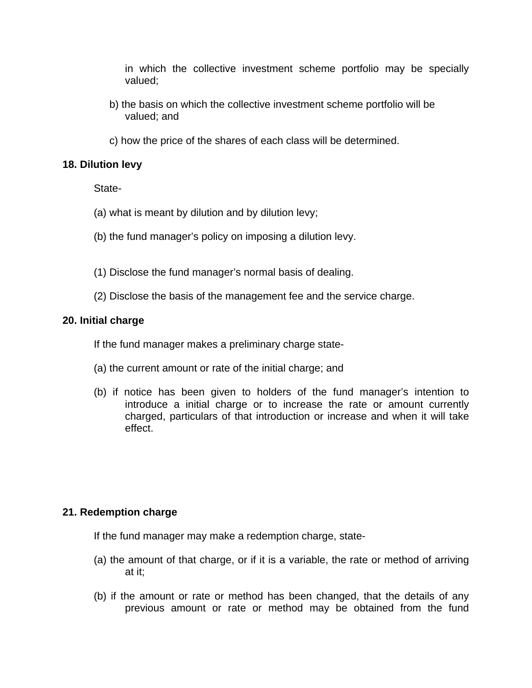in which the collective investment scheme portfolio may be specially valued;

- b) the basis on which the collective investment scheme portfolio will be valued; and
- c) how the price of the shares of each class will be determined.

## **18. Dilution levy**

State-

- (a) what is meant by dilution and by dilution levy;
- (b) the fund manager's policy on imposing a dilution levy.
- (1) Disclose the fund manager's normal basis of dealing.
- (2) Disclose the basis of the management fee and the service charge.

## **20. Initial charge**

If the fund manager makes a preliminary charge state-

- (a) the current amount or rate of the initial charge; and
- (b) if notice has been given to holders of the fund manager's intention to introduce a initial charge or to increase the rate or amount currently charged, particulars of that introduction or increase and when it will take effect.

# **21. Redemption charge**

If the fund manager may make a redemption charge, state-

- (a) the amount of that charge, or if it is a variable, the rate or method of arriving at it;
- (b) if the amount or rate or method has been changed, that the details of any previous amount or rate or method may be obtained from the fund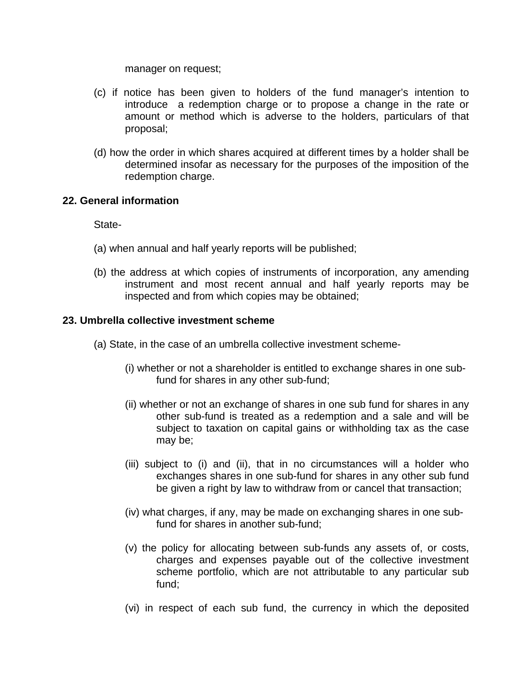manager on request;

- (c) if notice has been given to holders of the fund manager's intention to introduce a redemption charge or to propose a change in the rate or amount or method which is adverse to the holders, particulars of that proposal;
- (d) how the order in which shares acquired at different times by a holder shall be determined insofar as necessary for the purposes of the imposition of the redemption charge.

### **22. General information**

State-

- (a) when annual and half yearly reports will be published;
- (b) the address at which copies of instruments of incorporation, any amending instrument and most recent annual and half yearly reports may be inspected and from which copies may be obtained;

### **23. Umbrella collective investment scheme**

- (a) State, in the case of an umbrella collective investment scheme-
	- (i) whether or not a shareholder is entitled to exchange shares in one subfund for shares in any other sub-fund;
	- (ii) whether or not an exchange of shares in one sub fund for shares in any other sub-fund is treated as a redemption and a sale and will be subject to taxation on capital gains or withholding tax as the case may be;
	- (iii) subject to (i) and (ii), that in no circumstances will a holder who exchanges shares in one sub-fund for shares in any other sub fund be given a right by law to withdraw from or cancel that transaction;
	- (iv) what charges, if any, may be made on exchanging shares in one subfund for shares in another sub-fund;
	- (v) the policy for allocating between sub-funds any assets of, or costs, charges and expenses payable out of the collective investment scheme portfolio, which are not attributable to any particular sub fund;
	- (vi) in respect of each sub fund, the currency in which the deposited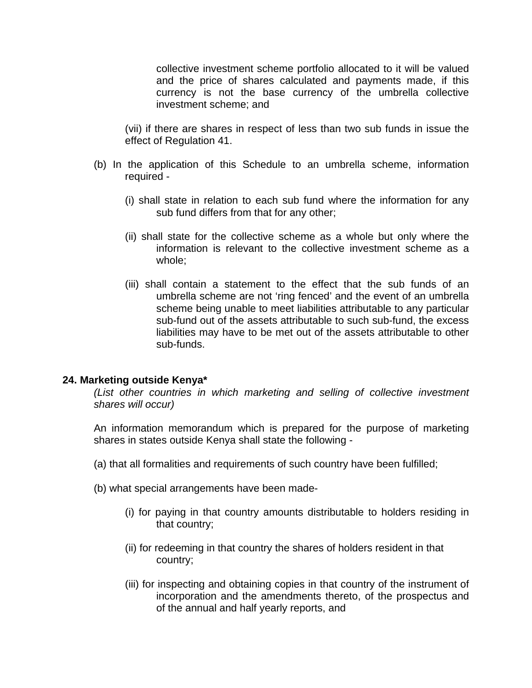collective investment scheme portfolio allocated to it will be valued and the price of shares calculated and payments made, if this currency is not the base currency of the umbrella collective investment scheme; and

(vii) if there are shares in respect of less than two sub funds in issue the effect of Regulation 41.

- (b) In the application of this Schedule to an umbrella scheme, information required -
	- (i) shall state in relation to each sub fund where the information for any sub fund differs from that for any other;
	- (ii) shall state for the collective scheme as a whole but only where the information is relevant to the collective investment scheme as a whole;
	- (iii) shall contain a statement to the effect that the sub funds of an umbrella scheme are not 'ring fenced' and the event of an umbrella scheme being unable to meet liabilities attributable to any particular sub-fund out of the assets attributable to such sub-fund, the excess liabilities may have to be met out of the assets attributable to other sub-funds.

### **24. Marketing outside Kenya\***

*(List other countries in which marketing and selling of collective investment shares will occur)*

An information memorandum which is prepared for the purpose of marketing shares in states outside Kenya shall state the following -

- (a) that all formalities and requirements of such country have been fulfilled;
- (b) what special arrangements have been made-
	- (i) for paying in that country amounts distributable to holders residing in that country;
	- (ii) for redeeming in that country the shares of holders resident in that country;
	- (iii) for inspecting and obtaining copies in that country of the instrument of incorporation and the amendments thereto, of the prospectus and of the annual and half yearly reports, and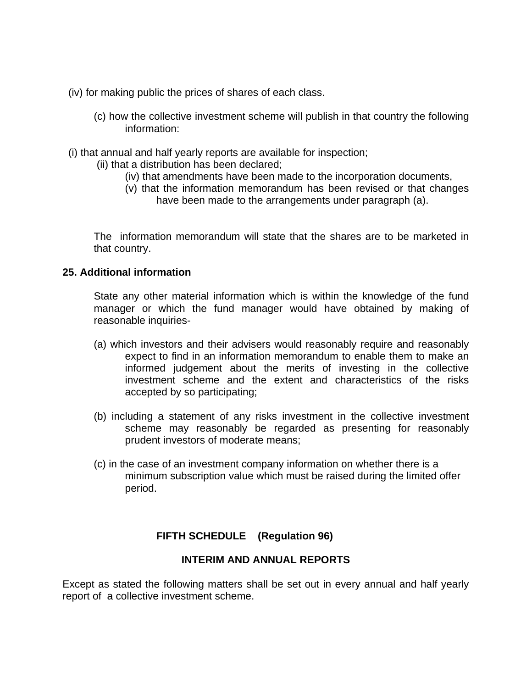(iv) for making public the prices of shares of each class.

- (c) how the collective investment scheme will publish in that country the following information:
- (i) that annual and half yearly reports are available for inspection;
	- (ii) that a distribution has been declared;
		- (iv) that amendments have been made to the incorporation documents,
		- (v) that the information memorandum has been revised or that changes have been made to the arrangements under paragraph (a).

The information memorandum will state that the shares are to be marketed in that country.

### **25. Additional information**

State any other material information which is within the knowledge of the fund manager or which the fund manager would have obtained by making of reasonable inquiries-

- (a) which investors and their advisers would reasonably require and reasonably expect to find in an information memorandum to enable them to make an informed judgement about the merits of investing in the collective investment scheme and the extent and characteristics of the risks accepted by so participating;
- (b) including a statement of any risks investment in the collective investment scheme may reasonably be regarded as presenting for reasonably prudent investors of moderate means;
- (c) in the case of an investment company information on whether there is a minimum subscription value which must be raised during the limited offer period.

## **FIFTH SCHEDULE (Regulation 96)**

## **INTERIM AND ANNUAL REPORTS**

Except as stated the following matters shall be set out in every annual and half yearly report of a collective investment scheme.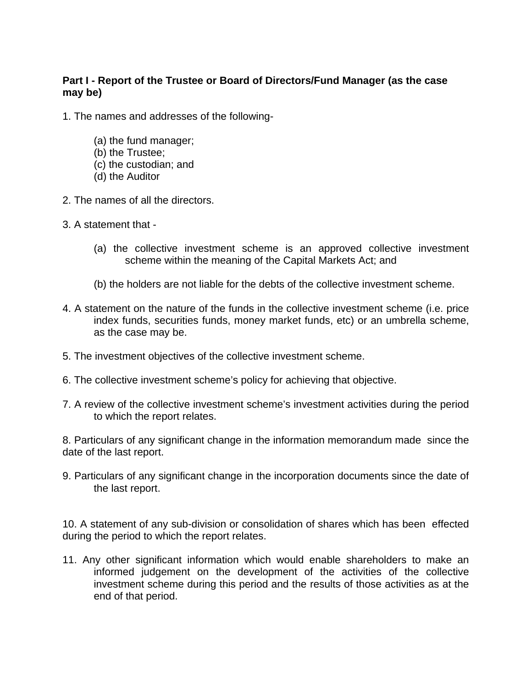# **Part I - Report of the Trustee or Board of Directors/Fund Manager (as the case may be)**

- 1. The names and addresses of the following-
	- (a) the fund manager;
	- (b) the Trustee;
	- (c) the custodian; and
	- (d) the Auditor
- 2. The names of all the directors.
- 3. A statement that
	- (a) the collective investment scheme is an approved collective investment scheme within the meaning of the Capital Markets Act; and
	- (b) the holders are not liable for the debts of the collective investment scheme.
- 4. A statement on the nature of the funds in the collective investment scheme (i.e. price index funds, securities funds, money market funds, etc) or an umbrella scheme, as the case may be.
- 5. The investment objectives of the collective investment scheme.
- 6. The collective investment scheme's policy for achieving that objective.
- 7. A review of the collective investment scheme's investment activities during the period to which the report relates.

8. Particulars of any significant change in the information memorandum made since the date of the last report.

9. Particulars of any significant change in the incorporation documents since the date of the last report.

10. A statement of any sub-division or consolidation of shares which has been effected during the period to which the report relates.

11. Any other significant information which would enable shareholders to make an informed judgement on the development of the activities of the collective investment scheme during this period and the results of those activities as at the end of that period.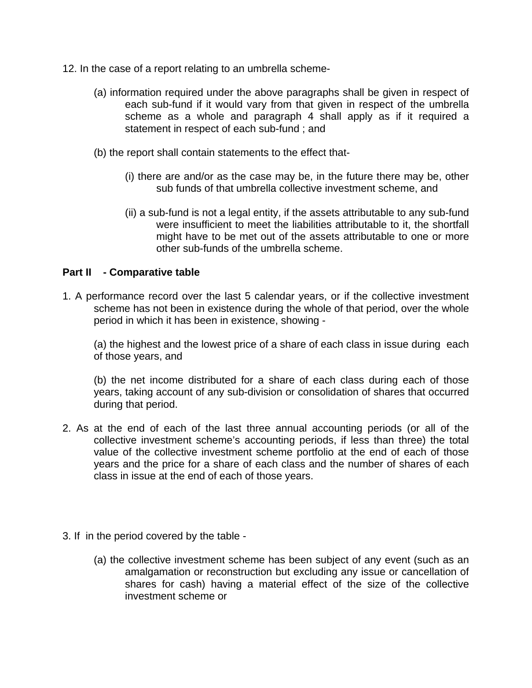- 12. In the case of a report relating to an umbrella scheme-
	- (a) information required under the above paragraphs shall be given in respect of each sub-fund if it would vary from that given in respect of the umbrella scheme as a whole and paragraph 4 shall apply as if it required a statement in respect of each sub-fund ; and
	- (b) the report shall contain statements to the effect that-
		- (i) there are and/or as the case may be, in the future there may be, other sub funds of that umbrella collective investment scheme, and
		- (ii) a sub-fund is not a legal entity, if the assets attributable to any sub-fund were insufficient to meet the liabilities attributable to it, the shortfall might have to be met out of the assets attributable to one or more other sub-funds of the umbrella scheme.

### **Part II - Comparative table**

1. A performance record over the last 5 calendar years, or if the collective investment scheme has not been in existence during the whole of that period, over the whole period in which it has been in existence, showing -

(a) the highest and the lowest price of a share of each class in issue during each of those years, and

(b) the net income distributed for a share of each class during each of those years, taking account of any sub-division or consolidation of shares that occurred during that period.

- 2. As at the end of each of the last three annual accounting periods (or all of the collective investment scheme's accounting periods, if less than three) the total value of the collective investment scheme portfolio at the end of each of those years and the price for a share of each class and the number of shares of each class in issue at the end of each of those years.
- 3. If in the period covered by the table
	- (a) the collective investment scheme has been subject of any event (such as an amalgamation or reconstruction but excluding any issue or cancellation of shares for cash) having a material effect of the size of the collective investment scheme or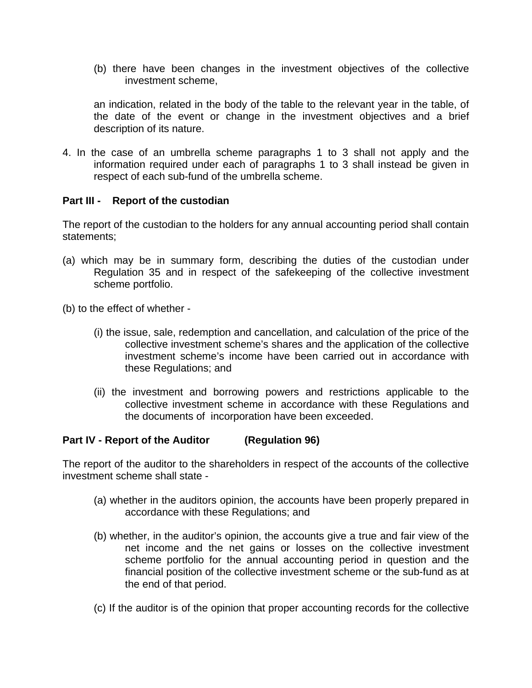(b) there have been changes in the investment objectives of the collective investment scheme,

an indication, related in the body of the table to the relevant year in the table, of the date of the event or change in the investment objectives and a brief description of its nature.

4. In the case of an umbrella scheme paragraphs 1 to 3 shall not apply and the information required under each of paragraphs 1 to 3 shall instead be given in respect of each sub-fund of the umbrella scheme.

### **Part III - Report of the custodian**

The report of the custodian to the holders for any annual accounting period shall contain statements;

- (a) which may be in summary form, describing the duties of the custodian under Regulation 35 and in respect of the safekeeping of the collective investment scheme portfolio.
- (b) to the effect of whether
	- (i) the issue, sale, redemption and cancellation, and calculation of the price of the collective investment scheme's shares and the application of the collective investment scheme's income have been carried out in accordance with these Regulations; and
	- (ii) the investment and borrowing powers and restrictions applicable to the collective investment scheme in accordance with these Regulations and the documents of incorporation have been exceeded.

## **Part IV - Report of the Auditor (Regulation 96)**

The report of the auditor to the shareholders in respect of the accounts of the collective investment scheme shall state -

- (a) whether in the auditors opinion, the accounts have been properly prepared in accordance with these Regulations; and
- (b) whether, in the auditor's opinion, the accounts give a true and fair view of the net income and the net gains or losses on the collective investment scheme portfolio for the annual accounting period in question and the financial position of the collective investment scheme or the sub-fund as at the end of that period.
- (c) If the auditor is of the opinion that proper accounting records for the collective